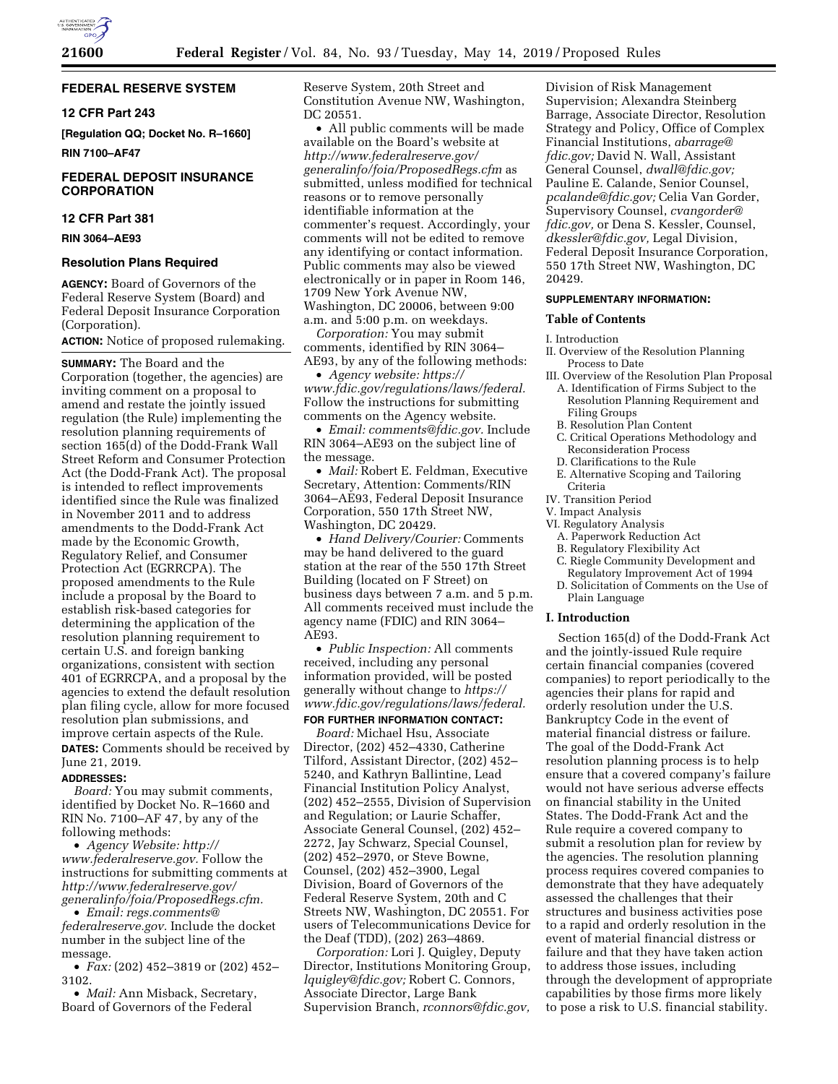

# **FEDERAL RESERVE SYSTEM**

### **12 CFR Part 243**

**[Regulation QQ; Docket No. R–1660] RIN 7100–AF47** 

### **FEDERAL DEPOSIT INSURANCE CORPORATION**

# **12 CFR Part 381**

### **RIN 3064–AE93**

#### **Resolution Plans Required**

**AGENCY:** Board of Governors of the Federal Reserve System (Board) and Federal Deposit Insurance Corporation (Corporation).

# **ACTION:** Notice of proposed rulemaking.

**SUMMARY:** The Board and the Corporation (together, the agencies) are inviting comment on a proposal to amend and restate the jointly issued regulation (the Rule) implementing the resolution planning requirements of section 165(d) of the Dodd-Frank Wall Street Reform and Consumer Protection Act (the Dodd-Frank Act). The proposal is intended to reflect improvements identified since the Rule was finalized in November 2011 and to address amendments to the Dodd-Frank Act made by the Economic Growth, Regulatory Relief, and Consumer Protection Act (EGRRCPA). The proposed amendments to the Rule include a proposal by the Board to establish risk-based categories for determining the application of the resolution planning requirement to certain U.S. and foreign banking organizations, consistent with section 401 of EGRRCPA, and a proposal by the agencies to extend the default resolution plan filing cycle, allow for more focused resolution plan submissions, and improve certain aspects of the Rule. **DATES:** Comments should be received by June 21, 2019.

#### **ADDRESSES:**

*Board:* You may submit comments, identified by Docket No. R–1660 and RIN No. 7100–AF 47, by any of the following methods:

• *Agency Website: [http://](http://www.federalreserve.gov) [www.federalreserve.gov.](http://www.federalreserve.gov)* Follow the instructions for submitting comments at *[http://www.federalreserve.gov/](http://www.federalreserve.gov/generalinfo/foia/ProposedRegs.cfm)  [generalinfo/foia/ProposedRegs.cfm.](http://www.federalreserve.gov/generalinfo/foia/ProposedRegs.cfm)* 

• *Email: [regs.comments@](mailto:regs.comments@federalreserve.gov) [federalreserve.gov.](mailto:regs.comments@federalreserve.gov)* Include the docket number in the subject line of the message.

• *Fax:* (202) 452–3819 or (202) 452– 3102.

• *Mail:* Ann Misback, Secretary, Board of Governors of the Federal

Reserve System, 20th Street and Constitution Avenue NW, Washington, DC 20551.

• All public comments will be made available on the Board's website at *[http://www.federalreserve.gov/](http://www.federalreserve.gov/generalinfo/foia/ProposedRegs.cfm)  [generalinfo/foia/ProposedRegs.cfm](http://www.federalreserve.gov/generalinfo/foia/ProposedRegs.cfm)* as submitted, unless modified for technical reasons or to remove personally identifiable information at the commenter's request. Accordingly, your comments will not be edited to remove any identifying or contact information. Public comments may also be viewed electronically or in paper in Room 146, 1709 New York Avenue NW, Washington, DC 20006, between 9:00 a.m. and 5:00 p.m. on weekdays.

*Corporation:* You may submit comments, identified by RIN 3064– AE93, by any of the following methods:

• *Agency website: [https://](https://www.fdic.gov/regulations/laws/federal) [www.fdic.gov/regulations/laws/federal.](https://www.fdic.gov/regulations/laws/federal)*  Follow the instructions for submitting comments on the Agency website.

• *Email: [comments@fdic.gov.](mailto:comments@fdic.gov)* Include RIN 3064–AE93 on the subject line of the message.

• *Mail:* Robert E. Feldman, Executive Secretary, Attention: Comments/RIN 3064–AE93, Federal Deposit Insurance Corporation, 550 17th Street NW, Washington, DC 20429.

• *Hand Delivery/Courier:* Comments may be hand delivered to the guard station at the rear of the 550 17th Street Building (located on F Street) on business days between 7 a.m. and 5 p.m. All comments received must include the agency name (FDIC) and RIN 3064– AE93.

• *Public Inspection:* All comments received, including any personal information provided, will be posted generally without change to *[https://](https://www.fdic.gov/regulations/laws/federal) [www.fdic.gov/regulations/laws/federal.](https://www.fdic.gov/regulations/laws/federal)* 

#### **FOR FURTHER INFORMATION CONTACT:**

*Board:* Michael Hsu, Associate Director, (202) 452–4330, Catherine Tilford, Assistant Director, (202) 452– 5240, and Kathryn Ballintine, Lead Financial Institution Policy Analyst, (202) 452–2555, Division of Supervision and Regulation; or Laurie Schaffer, Associate General Counsel, (202) 452– 2272, Jay Schwarz, Special Counsel, (202) 452–2970, or Steve Bowne, Counsel, (202) 452–3900, Legal Division, Board of Governors of the Federal Reserve System, 20th and C Streets NW, Washington, DC 20551. For users of Telecommunications Device for the Deaf (TDD), (202) 263–4869.

*Corporation:* Lori J. Quigley, Deputy Director, Institutions Monitoring Group, *[lquigley@fdic.gov;](mailto:lquigley@fdic.gov)* Robert C. Connors, Associate Director, Large Bank Supervision Branch, *[rconnors@fdic.gov,](mailto:rconnors@fdic.gov)* 

Division of Risk Management Supervision; Alexandra Steinberg Barrage, Associate Director, Resolution Strategy and Policy, Office of Complex Financial Institutions, *[abarrage@](mailto:abarrage@fdic.gov) [fdic.gov;](mailto:abarrage@fdic.gov)* David N. Wall, Assistant General Counsel, *[dwall@fdic.gov;](mailto:dwall@fdic.gov)*  Pauline E. Calande, Senior Counsel, *[pcalande@fdic.gov;](mailto:pcalande@fdic.gov)* Celia Van Gorder, Supervisory Counsel, *[cvangorder@](mailto:cvangorder@fdic.gov) [fdic.gov,](mailto:cvangorder@fdic.gov)* or Dena S. Kessler, Counsel, *[dkessler@fdic.gov,](mailto:dkessler@fdic.gov)* Legal Division, Federal Deposit Insurance Corporation, 550 17th Street NW, Washington, DC 20429.

### **SUPPLEMENTARY INFORMATION:**

#### **Table of Contents**

#### I. Introduction

- II. Overview of the Resolution Planning Process to Date
- III. Overview of the Resolution Plan Proposal A. Identification of Firms Subject to the
- Resolution Planning Requirement and Filing Groups
- B. Resolution Plan Content
- C. Critical Operations Methodology and Reconsideration Process
- D. Clarifications to the Rule
- E. Alternative Scoping and Tailoring Criteria
- IV. Transition Period
- V. Impact Analysis
- VI. Regulatory Analysis
	- A. Paperwork Reduction Act
	- B. Regulatory Flexibility Act
	- C. Riegle Community Development and Regulatory Improvement Act of 1994
	- D. Solicitation of Comments on the Use of Plain Language

### **I. Introduction**

Section 165(d) of the Dodd-Frank Act and the jointly-issued Rule require certain financial companies (covered companies) to report periodically to the agencies their plans for rapid and orderly resolution under the U.S. Bankruptcy Code in the event of material financial distress or failure. The goal of the Dodd-Frank Act resolution planning process is to help ensure that a covered company's failure would not have serious adverse effects on financial stability in the United States. The Dodd-Frank Act and the Rule require a covered company to submit a resolution plan for review by the agencies. The resolution planning process requires covered companies to demonstrate that they have adequately assessed the challenges that their structures and business activities pose to a rapid and orderly resolution in the event of material financial distress or failure and that they have taken action to address those issues, including through the development of appropriate capabilities by those firms more likely to pose a risk to U.S. financial stability.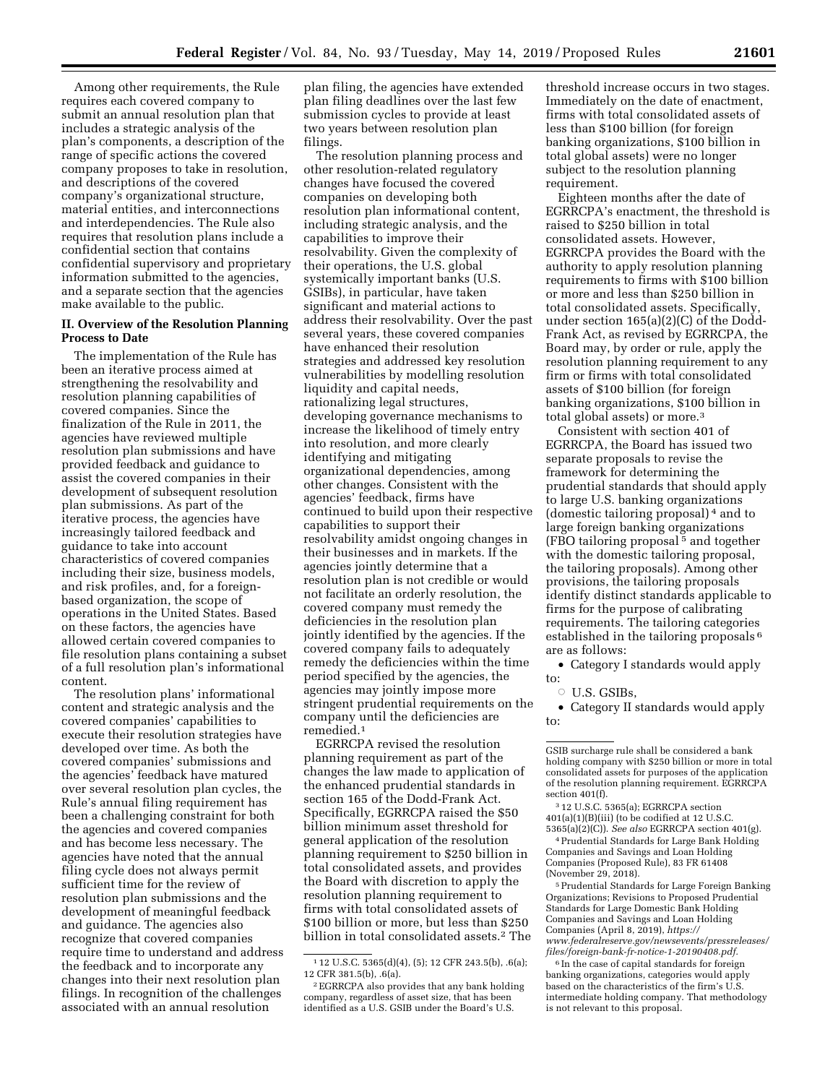Among other requirements, the Rule requires each covered company to submit an annual resolution plan that includes a strategic analysis of the plan's components, a description of the range of specific actions the covered company proposes to take in resolution, and descriptions of the covered company's organizational structure, material entities, and interconnections and interdependencies. The Rule also requires that resolution plans include a confidential section that contains confidential supervisory and proprietary information submitted to the agencies, and a separate section that the agencies make available to the public.

## **II. Overview of the Resolution Planning Process to Date**

The implementation of the Rule has been an iterative process aimed at strengthening the resolvability and resolution planning capabilities of covered companies. Since the finalization of the Rule in 2011, the agencies have reviewed multiple resolution plan submissions and have provided feedback and guidance to assist the covered companies in their development of subsequent resolution plan submissions. As part of the iterative process, the agencies have increasingly tailored feedback and guidance to take into account characteristics of covered companies including their size, business models, and risk profiles, and, for a foreignbased organization, the scope of operations in the United States. Based on these factors, the agencies have allowed certain covered companies to file resolution plans containing a subset of a full resolution plan's informational content.

The resolution plans' informational content and strategic analysis and the covered companies' capabilities to execute their resolution strategies have developed over time. As both the covered companies' submissions and the agencies' feedback have matured over several resolution plan cycles, the Rule's annual filing requirement has been a challenging constraint for both the agencies and covered companies and has become less necessary. The agencies have noted that the annual filing cycle does not always permit sufficient time for the review of resolution plan submissions and the development of meaningful feedback and guidance. The agencies also recognize that covered companies require time to understand and address the feedback and to incorporate any changes into their next resolution plan filings. In recognition of the challenges associated with an annual resolution

plan filing, the agencies have extended plan filing deadlines over the last few submission cycles to provide at least two years between resolution plan filings.

The resolution planning process and other resolution-related regulatory changes have focused the covered companies on developing both resolution plan informational content, including strategic analysis, and the capabilities to improve their resolvability. Given the complexity of their operations, the U.S. global systemically important banks (U.S. GSIBs), in particular, have taken significant and material actions to address their resolvability. Over the past several years, these covered companies have enhanced their resolution strategies and addressed key resolution vulnerabilities by modelling resolution liquidity and capital needs, rationalizing legal structures, developing governance mechanisms to increase the likelihood of timely entry into resolution, and more clearly identifying and mitigating organizational dependencies, among other changes. Consistent with the agencies' feedback, firms have continued to build upon their respective capabilities to support their resolvability amidst ongoing changes in their businesses and in markets. If the agencies jointly determine that a resolution plan is not credible or would not facilitate an orderly resolution, the covered company must remedy the deficiencies in the resolution plan jointly identified by the agencies. If the covered company fails to adequately remedy the deficiencies within the time period specified by the agencies, the agencies may jointly impose more stringent prudential requirements on the company until the deficiencies are remedied.1

EGRRCPA revised the resolution planning requirement as part of the changes the law made to application of the enhanced prudential standards in section 165 of the Dodd-Frank Act. Specifically, EGRRCPA raised the \$50 billion minimum asset threshold for general application of the resolution planning requirement to \$250 billion in total consolidated assets, and provides the Board with discretion to apply the resolution planning requirement to firms with total consolidated assets of \$100 billion or more, but less than \$250 billion in total consolidated assets.2 The

threshold increase occurs in two stages. Immediately on the date of enactment, firms with total consolidated assets of less than \$100 billion (for foreign banking organizations, \$100 billion in total global assets) were no longer subject to the resolution planning requirement.

Eighteen months after the date of EGRRCPA's enactment, the threshold is raised to \$250 billion in total consolidated assets. However, EGRRCPA provides the Board with the authority to apply resolution planning requirements to firms with \$100 billion or more and less than \$250 billion in total consolidated assets. Specifically, under section 165(a)(2)(C) of the Dodd-Frank Act, as revised by EGRRCPA, the Board may, by order or rule, apply the resolution planning requirement to any firm or firms with total consolidated assets of \$100 billion (for foreign banking organizations, \$100 billion in total global assets) or more.3

Consistent with section 401 of EGRRCPA, the Board has issued two separate proposals to revise the framework for determining the prudential standards that should apply to large U.S. banking organizations (domestic tailoring proposal) 4 and to large foreign banking organizations (FBO tailoring proposal 5 and together with the domestic tailoring proposal, the tailoring proposals). Among other provisions, the tailoring proposals identify distinct standards applicable to firms for the purpose of calibrating requirements. The tailoring categories established in the tailoring proposals 6 are as follows:

• Category I standards would apply to:

 $\circ$  U.S. GSIBs,

• Category II standards would apply to:

3 12 U.S.C. 5365(a); EGRRCPA section 401(a)(1)(B)(iii) (to be codified at 12 U.S.C. 5365(a)(2)(C)). *See also* EGRRCPA section 401(g).

4Prudential Standards for Large Bank Holding Companies and Savings and Loan Holding Companies (Proposed Rule), 83 FR 61408 (November 29, 2018).

5Prudential Standards for Large Foreign Banking Organizations; Revisions to Proposed Prudential Standards for Large Domestic Bank Holding Companies and Savings and Loan Holding Companies (April 8, 2019), *[https://](https://www.federalreserve.gov/newsevents/pressreleases/files/foreign-bank-fr-notice-1-20190408.pdf) [www.federalreserve.gov/newsevents/pressreleases/](https://www.federalreserve.gov/newsevents/pressreleases/files/foreign-bank-fr-notice-1-20190408.pdf)  [files/foreign-bank-fr-notice-1-20190408.pdf.](https://www.federalreserve.gov/newsevents/pressreleases/files/foreign-bank-fr-notice-1-20190408.pdf)* 

<sup>6</sup> In the case of capital standards for foreign banking organizations, categories would apply based on the characteristics of the firm's U.S. intermediate holding company. That methodology is not relevant to this proposal.

<sup>1</sup> 12 U.S.C. 5365(d)(4), (5); 12 CFR 243.5(b), .6(a); 12 CFR 381.5(b), .6(a).

<sup>2</sup>EGRRCPA also provides that any bank holding company, regardless of asset size, that has been identified as a U.S. GSIB under the Board's U.S.

GSIB surcharge rule shall be considered a bank holding company with \$250 billion or more in total consolidated assets for purposes of the application of the resolution planning requirement. EGRRCPA section 401(f).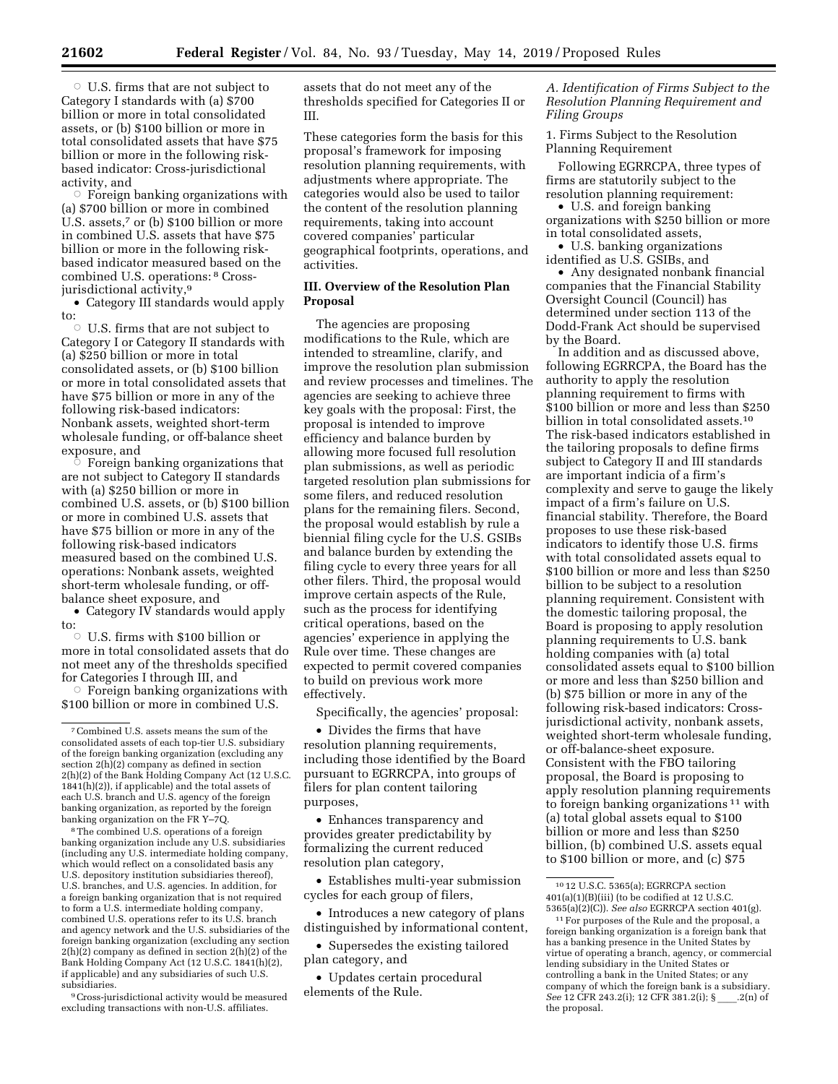$\circ$  Foreign banking organizations with (a) \$700 billion or more in combined U.S. assets,<sup>7</sup> or (b) \$100 billion or more in combined U.S. assets that have \$75 billion or more in the following riskbased indicator measured based on the combined U.S. operations: 8 Crossjurisdictional activity,<sup>9</sup>

• Category III standards would apply to:

 $\circ$  U.S. firms that are not subject to Category I or Category II standards with (a) \$250 billion or more in total consolidated assets, or (b) \$100 billion or more in total consolidated assets that have \$75 billion or more in any of the following risk-based indicators: Nonbank assets, weighted short-term wholesale funding, or off-balance sheet exposure, and

 $\circ$  Foreign banking organizations that are not subject to Category II standards with (a) \$250 billion or more in combined U.S. assets, or (b) \$100 billion or more in combined U.S. assets that have \$75 billion or more in any of the following risk-based indicators measured based on the combined U.S. operations: Nonbank assets, weighted short-term wholesale funding, or offbalance sheet exposure, and

• Category IV standards would apply to:

 $\circ$  U.S. firms with \$100 billion or more in total consolidated assets that do not meet any of the thresholds specified for Categories I through III, and

 $\circ$  Foreign banking organizations with \$100 billion or more in combined U.S.

8The combined U.S. operations of a foreign banking organization include any U.S. subsidiaries (including any U.S. intermediate holding company, which would reflect on a consolidated basis any U.S. depository institution subsidiaries thereof), U.S. branches, and U.S. agencies. In addition, for a foreign banking organization that is not required to form a U.S. intermediate holding company, combined U.S. operations refer to its U.S. branch and agency network and the U.S. subsidiaries of the foreign banking organization (excluding any section  $2(h)(2)$  company as defined in section  $2(h)(2)$  of the Bank Holding Company Act (12 U.S.C. 1841(h)(2), if applicable) and any subsidiaries of such U.S. subsidiaries.

9Cross-jurisdictional activity would be measured excluding transactions with non-U.S. affiliates.

assets that do not meet any of the thresholds specified for Categories II or III.

These categories form the basis for this proposal's framework for imposing resolution planning requirements, with adjustments where appropriate. The categories would also be used to tailor the content of the resolution planning requirements, taking into account covered companies' particular geographical footprints, operations, and activities.

# **III. Overview of the Resolution Plan Proposal**

The agencies are proposing modifications to the Rule, which are intended to streamline, clarify, and improve the resolution plan submission and review processes and timelines. The agencies are seeking to achieve three key goals with the proposal: First, the proposal is intended to improve efficiency and balance burden by allowing more focused full resolution plan submissions, as well as periodic targeted resolution plan submissions for some filers, and reduced resolution plans for the remaining filers. Second, the proposal would establish by rule a biennial filing cycle for the U.S. GSIBs and balance burden by extending the filing cycle to every three years for all other filers. Third, the proposal would improve certain aspects of the Rule, such as the process for identifying critical operations, based on the agencies' experience in applying the Rule over time. These changes are expected to permit covered companies to build on previous work more effectively.

Specifically, the agencies' proposal:

• Divides the firms that have resolution planning requirements, including those identified by the Board pursuant to EGRRCPA, into groups of filers for plan content tailoring purposes,

• Enhances transparency and provides greater predictability by formalizing the current reduced resolution plan category,

• Establishes multi-year submission cycles for each group of filers,

• Introduces a new category of plans distinguished by informational content,

• Supersedes the existing tailored plan category, and

• Updates certain procedural elements of the Rule.

*A. Identification of Firms Subject to the Resolution Planning Requirement and Filing Groups* 

1. Firms Subject to the Resolution Planning Requirement

Following EGRRCPA, three types of firms are statutorily subject to the resolution planning requirement:

• U.S. and foreign banking organizations with \$250 billion or more in total consolidated assets,

• U.S. banking organizations identified as U.S. GSIBs, and

• Any designated nonbank financial companies that the Financial Stability Oversight Council (Council) has determined under section 113 of the Dodd-Frank Act should be supervised by the Board.

In addition and as discussed above, following EGRRCPA, the Board has the authority to apply the resolution planning requirement to firms with \$100 billion or more and less than \$250 billion in total consolidated assets.10 The risk-based indicators established in the tailoring proposals to define firms subject to Category II and III standards are important indicia of a firm's complexity and serve to gauge the likely impact of a firm's failure on U.S. financial stability. Therefore, the Board proposes to use these risk-based indicators to identify those U.S. firms with total consolidated assets equal to \$100 billion or more and less than \$250 billion to be subject to a resolution planning requirement. Consistent with the domestic tailoring proposal, the Board is proposing to apply resolution planning requirements to U.S. bank holding companies with (a) total consolidated assets equal to \$100 billion or more and less than \$250 billion and (b) \$75 billion or more in any of the following risk-based indicators: Crossjurisdictional activity, nonbank assets, weighted short-term wholesale funding, or off-balance-sheet exposure. Consistent with the FBO tailoring proposal, the Board is proposing to apply resolution planning requirements to foreign banking organizations 11 with (a) total global assets equal to \$100 billion or more and less than \$250 billion, (b) combined U.S. assets equal to \$100 billion or more, and (c) \$75

<sup>7</sup>Combined U.S. assets means the sum of the consolidated assets of each top-tier U.S. subsidiary of the foreign banking organization (excluding any section 2(h)(2) company as defined in section 2(h)(2) of the Bank Holding Company Act (12 U.S.C. 1841(h)(2)), if applicable) and the total assets of each U.S. branch and U.S. agency of the foreign banking organization, as reported by the foreign banking organization on the FR Y–7Q.

<sup>10</sup> 12 U.S.C. 5365(a); EGRRCPA section  $401(a)(1)(B)(iii)$  (to be codified at 12 U.S.C. 5365(a)(2)(C)). *See also* EGRRCPA section 401(g).

<sup>11</sup>For purposes of the Rule and the proposal, a foreign banking organization is a foreign bank that has a banking presence in the United States by virtue of operating a branch, agency, or commercial lending subsidiary in the United States or controlling a bank in the United States; or any company of which the foreign bank is a subsidiary. *See* 12 CFR 243.2(i); 12 CFR 381.2(i); § \_\_\_\_.2(n) of the proposal.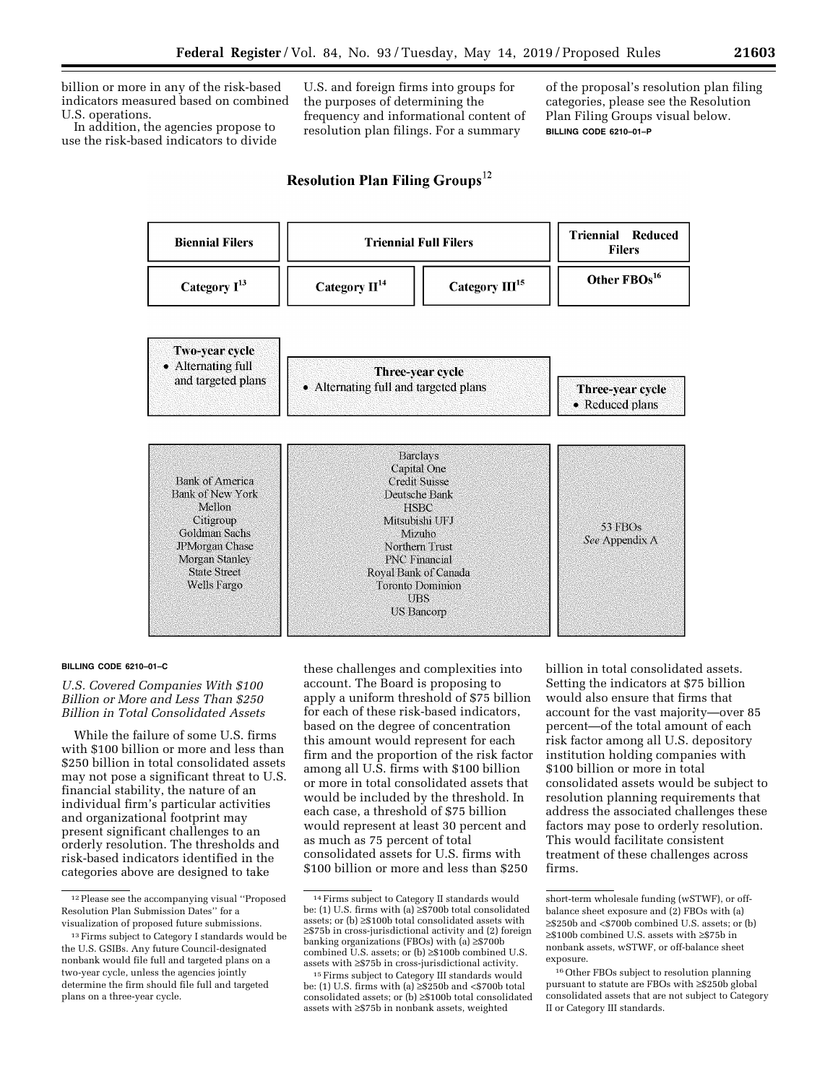billion or more in any of the risk-based indicators measured based on combined U.S. operations.

In addition, the agencies propose to use the risk-based indicators to divide

U.S. and foreign firms into groups for the purposes of determining the frequency and informational content of resolution plan filings. For a summary

of the proposal's resolution plan filing categories, please see the Resolution Plan Filing Groups visual below. **BILLING CODE 6210–01–P** 

# Resolution Plan Filing Groups<sup>12</sup>



#### **BILLING CODE 6210–01–C**

*U.S. Covered Companies With \$100 Billion or More and Less Than \$250 Billion in Total Consolidated Assets* 

While the failure of some U.S. firms with \$100 billion or more and less than \$250 billion in total consolidated assets may not pose a significant threat to U.S. financial stability, the nature of an individual firm's particular activities and organizational footprint may present significant challenges to an orderly resolution. The thresholds and risk-based indicators identified in the categories above are designed to take

these challenges and complexities into account. The Board is proposing to apply a uniform threshold of \$75 billion for each of these risk-based indicators, based on the degree of concentration this amount would represent for each firm and the proportion of the risk factor among all U.S. firms with \$100 billion or more in total consolidated assets that would be included by the threshold. In each case, a threshold of \$75 billion would represent at least 30 percent and as much as 75 percent of total consolidated assets for U.S. firms with \$100 billion or more and less than \$250

billion in total consolidated assets. Setting the indicators at \$75 billion would also ensure that firms that account for the vast majority—over 85 percent—of the total amount of each risk factor among all U.S. depository institution holding companies with \$100 billion or more in total consolidated assets would be subject to resolution planning requirements that address the associated challenges these factors may pose to orderly resolution. This would facilitate consistent treatment of these challenges across firms.

<sup>12</sup>Please see the accompanying visual ''Proposed Resolution Plan Submission Dates'' for a visualization of proposed future submissions.

<sup>&</sup>lt;sup>13</sup> Firms subject to Category I standards would be the U.S. GSIBs. Any future Council-designated nonbank would file full and targeted plans on a two-year cycle, unless the agencies jointly determine the firm should file full and targeted plans on a three-year cycle.

<sup>14</sup>Firms subject to Category II standards would be: (1) U.S. firms with (a)  $\geq$ \$700b total consolidated assets; or (b) ≥\$100b total consolidated assets with ≥\$75b in cross-jurisdictional activity and (2) foreign banking organizations (FBOs) with (a) ≥\$700b combined U.S. assets; or (b) ≥\$100b combined U.S. assets with ≥\$75b in cross-jurisdictional activity.

<sup>15</sup>Firms subject to Category III standards would be: (1) U.S. firms with (a) ≥\$250b and <\$700b total consolidated assets; or (b) ≥\$100b total consolidated assets with ≥\$75b in nonbank assets, weighted

short-term wholesale funding (wSTWF), or offbalance sheet exposure and (2) FBOs with (a) ≥\$250b and <\$700b combined U.S. assets; or (b) ≥\$100b combined U.S. assets with ≥\$75b in nonbank assets, wSTWF, or off-balance sheet exposure.

<sup>16</sup>Other FBOs subject to resolution planning pursuant to statute are FBOs with ≥\$250b global consolidated assets that are not subject to Category II or Category III standards.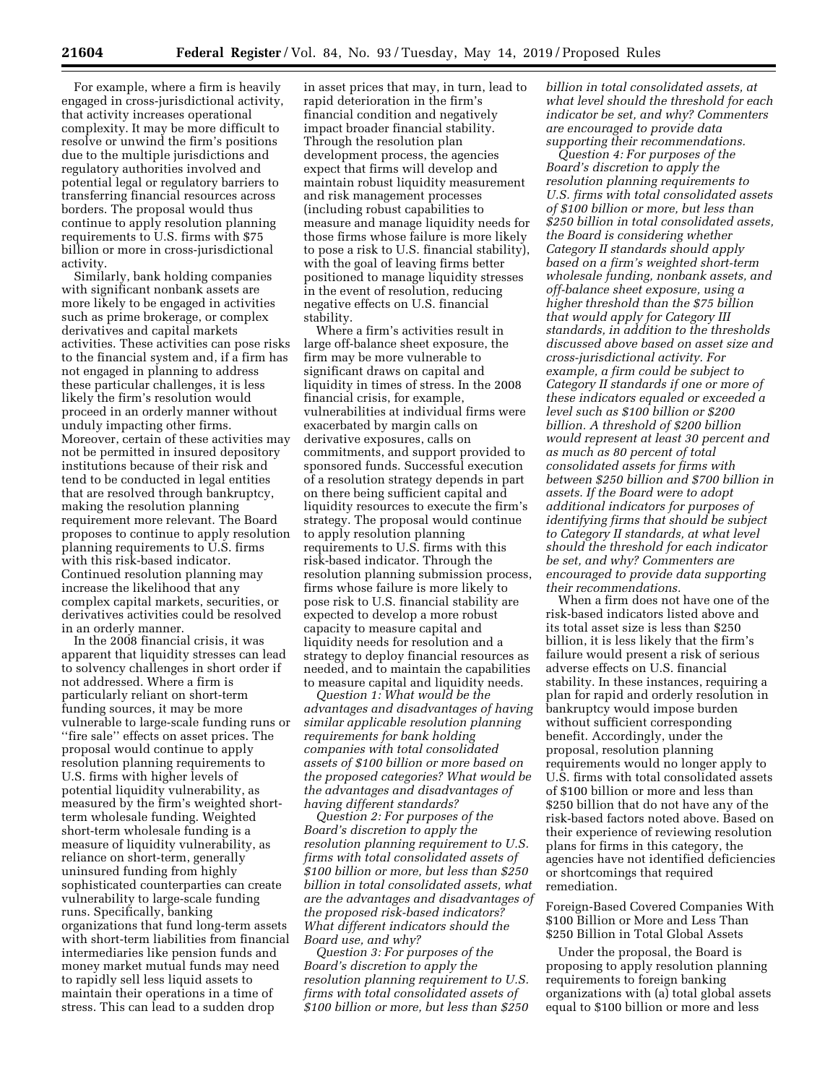For example, where a firm is heavily engaged in cross-jurisdictional activity, that activity increases operational complexity. It may be more difficult to resolve or unwind the firm's positions due to the multiple jurisdictions and regulatory authorities involved and potential legal or regulatory barriers to transferring financial resources across borders. The proposal would thus continue to apply resolution planning requirements to U.S. firms with \$75 billion or more in cross-jurisdictional activity.

Similarly, bank holding companies with significant nonbank assets are more likely to be engaged in activities such as prime brokerage, or complex derivatives and capital markets activities. These activities can pose risks to the financial system and, if a firm has not engaged in planning to address these particular challenges, it is less likely the firm's resolution would proceed in an orderly manner without unduly impacting other firms. Moreover, certain of these activities may not be permitted in insured depository institutions because of their risk and tend to be conducted in legal entities that are resolved through bankruptcy, making the resolution planning requirement more relevant. The Board proposes to continue to apply resolution planning requirements to U.S. firms with this risk-based indicator. Continued resolution planning may increase the likelihood that any complex capital markets, securities, or derivatives activities could be resolved in an orderly manner.

In the 2008 financial crisis, it was apparent that liquidity stresses can lead to solvency challenges in short order if not addressed. Where a firm is particularly reliant on short-term funding sources, it may be more vulnerable to large-scale funding runs or ''fire sale'' effects on asset prices. The proposal would continue to apply resolution planning requirements to U.S. firms with higher levels of potential liquidity vulnerability, as measured by the firm's weighted shortterm wholesale funding. Weighted short-term wholesale funding is a measure of liquidity vulnerability, as reliance on short-term, generally uninsured funding from highly sophisticated counterparties can create vulnerability to large-scale funding runs. Specifically, banking organizations that fund long-term assets with short-term liabilities from financial intermediaries like pension funds and money market mutual funds may need to rapidly sell less liquid assets to maintain their operations in a time of stress. This can lead to a sudden drop

in asset prices that may, in turn, lead to rapid deterioration in the firm's financial condition and negatively impact broader financial stability. Through the resolution plan development process, the agencies expect that firms will develop and maintain robust liquidity measurement and risk management processes (including robust capabilities to measure and manage liquidity needs for those firms whose failure is more likely to pose a risk to U.S. financial stability), with the goal of leaving firms better positioned to manage liquidity stresses in the event of resolution, reducing negative effects on U.S. financial stability.

Where a firm's activities result in large off-balance sheet exposure, the firm may be more vulnerable to significant draws on capital and liquidity in times of stress. In the 2008 financial crisis, for example, vulnerabilities at individual firms were exacerbated by margin calls on derivative exposures, calls on commitments, and support provided to sponsored funds. Successful execution of a resolution strategy depends in part on there being sufficient capital and liquidity resources to execute the firm's strategy. The proposal would continue to apply resolution planning requirements to U.S. firms with this risk-based indicator. Through the resolution planning submission process, firms whose failure is more likely to pose risk to U.S. financial stability are expected to develop a more robust capacity to measure capital and liquidity needs for resolution and a strategy to deploy financial resources as needed, and to maintain the capabilities to measure capital and liquidity needs.

*Question 1: What would be the advantages and disadvantages of having similar applicable resolution planning requirements for bank holding companies with total consolidated assets of \$100 billion or more based on the proposed categories? What would be the advantages and disadvantages of having different standards?* 

*Question 2: For purposes of the Board's discretion to apply the resolution planning requirement to U.S. firms with total consolidated assets of \$100 billion or more, but less than \$250 billion in total consolidated assets, what are the advantages and disadvantages of the proposed risk-based indicators? What different indicators should the Board use, and why?* 

*Question 3: For purposes of the Board's discretion to apply the resolution planning requirement to U.S. firms with total consolidated assets of \$100 billion or more, but less than \$250*  *billion in total consolidated assets, at what level should the threshold for each indicator be set, and why? Commenters are encouraged to provide data supporting their recommendations.* 

*Question 4: For purposes of the Board's discretion to apply the resolution planning requirements to U.S. firms with total consolidated assets of \$100 billion or more, but less than \$250 billion in total consolidated assets, the Board is considering whether Category II standards should apply based on a firm's weighted short-term wholesale funding, nonbank assets, and off-balance sheet exposure, using a higher threshold than the \$75 billion that would apply for Category III standards, in addition to the thresholds discussed above based on asset size and cross-jurisdictional activity. For example, a firm could be subject to Category II standards if one or more of these indicators equaled or exceeded a level such as \$100 billion or \$200 billion. A threshold of \$200 billion would represent at least 30 percent and as much as 80 percent of total consolidated assets for firms with between \$250 billion and \$700 billion in assets. If the Board were to adopt additional indicators for purposes of identifying firms that should be subject to Category II standards, at what level should the threshold for each indicator be set, and why? Commenters are encouraged to provide data supporting their recommendations.* 

When a firm does not have one of the risk-based indicators listed above and its total asset size is less than \$250 billion, it is less likely that the firm's failure would present a risk of serious adverse effects on U.S. financial stability. In these instances, requiring a plan for rapid and orderly resolution in bankruptcy would impose burden without sufficient corresponding benefit. Accordingly, under the proposal, resolution planning requirements would no longer apply to U.S. firms with total consolidated assets of \$100 billion or more and less than \$250 billion that do not have any of the risk-based factors noted above. Based on their experience of reviewing resolution plans for firms in this category, the agencies have not identified deficiencies or shortcomings that required remediation.

Foreign-Based Covered Companies With \$100 Billion or More and Less Than \$250 Billion in Total Global Assets

Under the proposal, the Board is proposing to apply resolution planning requirements to foreign banking organizations with (a) total global assets equal to \$100 billion or more and less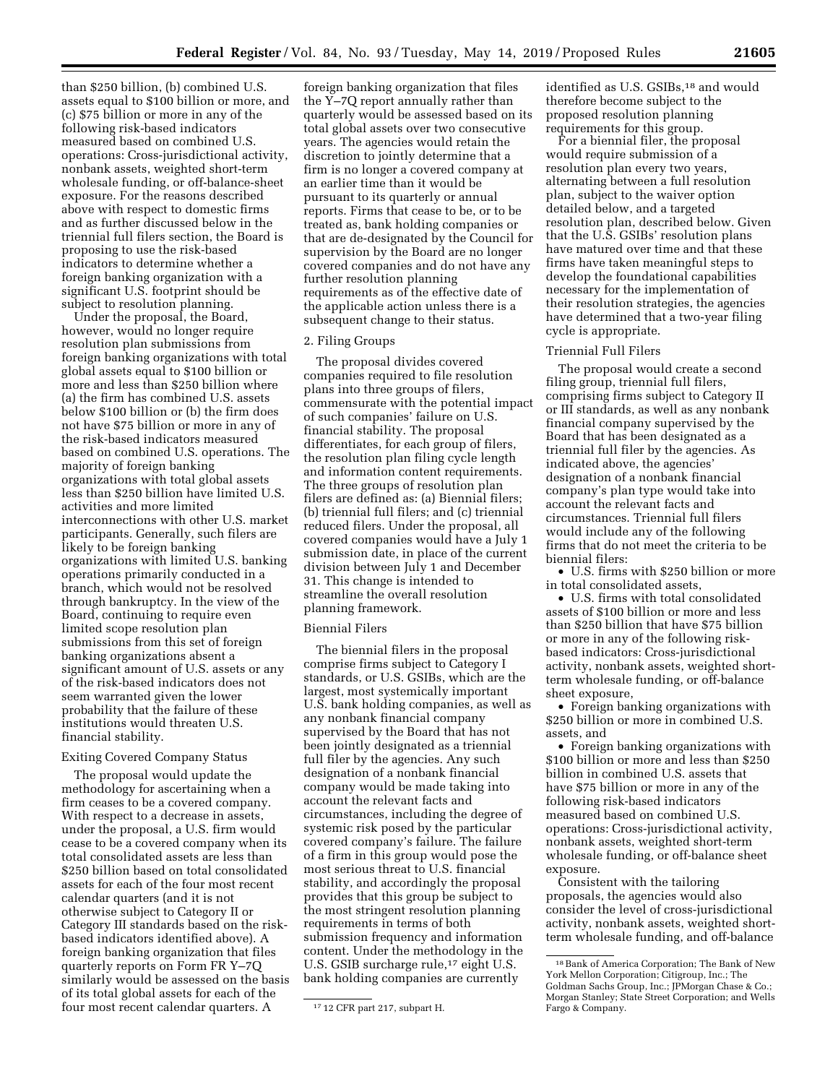than \$250 billion, (b) combined U.S. assets equal to \$100 billion or more, and (c) \$75 billion or more in any of the following risk-based indicators measured based on combined U.S. operations: Cross-jurisdictional activity, nonbank assets, weighted short-term wholesale funding, or off-balance-sheet exposure. For the reasons described above with respect to domestic firms and as further discussed below in the triennial full filers section, the Board is proposing to use the risk-based indicators to determine whether a foreign banking organization with a significant U.S. footprint should be subject to resolution planning.

Under the proposal, the Board, however, would no longer require resolution plan submissions from foreign banking organizations with total global assets equal to \$100 billion or more and less than \$250 billion where (a) the firm has combined U.S. assets below \$100 billion or (b) the firm does not have \$75 billion or more in any of the risk-based indicators measured based on combined U.S. operations. The majority of foreign banking organizations with total global assets less than \$250 billion have limited U.S. activities and more limited interconnections with other U.S. market participants. Generally, such filers are likely to be foreign banking organizations with limited U.S. banking operations primarily conducted in a branch, which would not be resolved through bankruptcy. In the view of the Board, continuing to require even limited scope resolution plan submissions from this set of foreign banking organizations absent a significant amount of U.S. assets or any of the risk-based indicators does not seem warranted given the lower probability that the failure of these institutions would threaten U.S. financial stability.

# Exiting Covered Company Status

The proposal would update the methodology for ascertaining when a firm ceases to be a covered company. With respect to a decrease in assets, under the proposal, a U.S. firm would cease to be a covered company when its total consolidated assets are less than \$250 billion based on total consolidated assets for each of the four most recent calendar quarters (and it is not otherwise subject to Category II or Category III standards based on the riskbased indicators identified above). A foreign banking organization that files quarterly reports on Form FR Y–7Q similarly would be assessed on the basis of its total global assets for each of the four most recent calendar quarters. A

foreign banking organization that files the Y–7Q report annually rather than quarterly would be assessed based on its total global assets over two consecutive years. The agencies would retain the discretion to jointly determine that a firm is no longer a covered company at an earlier time than it would be pursuant to its quarterly or annual reports. Firms that cease to be, or to be treated as, bank holding companies or that are de-designated by the Council for supervision by the Board are no longer covered companies and do not have any further resolution planning requirements as of the effective date of the applicable action unless there is a subsequent change to their status.

### 2. Filing Groups

The proposal divides covered companies required to file resolution plans into three groups of filers, commensurate with the potential impact of such companies' failure on U.S. financial stability. The proposal differentiates, for each group of filers, the resolution plan filing cycle length and information content requirements. The three groups of resolution plan filers are defined as: (a) Biennial filers; (b) triennial full filers; and (c) triennial reduced filers. Under the proposal, all covered companies would have a July 1 submission date, in place of the current division between July 1 and December 31. This change is intended to streamline the overall resolution planning framework.

### Biennial Filers

The biennial filers in the proposal comprise firms subject to Category I standards, or U.S. GSIBs, which are the largest, most systemically important U.S. bank holding companies, as well as any nonbank financial company supervised by the Board that has not been jointly designated as a triennial full filer by the agencies. Any such designation of a nonbank financial company would be made taking into account the relevant facts and circumstances, including the degree of systemic risk posed by the particular covered company's failure. The failure of a firm in this group would pose the most serious threat to U.S. financial stability, and accordingly the proposal provides that this group be subject to the most stringent resolution planning requirements in terms of both submission frequency and information content. Under the methodology in the U.S. GSIB surcharge rule,<sup>17</sup> eight U.S. bank holding companies are currently

identified as U.S. GSIBs.<sup>18</sup> and would therefore become subject to the proposed resolution planning requirements for this group.

For a biennial filer, the proposal would require submission of a resolution plan every two years, alternating between a full resolution plan, subject to the waiver option detailed below, and a targeted resolution plan, described below. Given that the U.S. GSIBs' resolution plans have matured over time and that these firms have taken meaningful steps to develop the foundational capabilities necessary for the implementation of their resolution strategies, the agencies have determined that a two-year filing cycle is appropriate.

#### Triennial Full Filers

The proposal would create a second filing group, triennial full filers, comprising firms subject to Category II or III standards, as well as any nonbank financial company supervised by the Board that has been designated as a triennial full filer by the agencies. As indicated above, the agencies' designation of a nonbank financial company's plan type would take into account the relevant facts and circumstances. Triennial full filers would include any of the following firms that do not meet the criteria to be biennial filers:

• U.S. firms with \$250 billion or more in total consolidated assets,

• U.S. firms with total consolidated assets of \$100 billion or more and less than \$250 billion that have \$75 billion or more in any of the following riskbased indicators: Cross-jurisdictional activity, nonbank assets, weighted shortterm wholesale funding, or off-balance sheet exposure,

• Foreign banking organizations with \$250 billion or more in combined U.S. assets, and

• Foreign banking organizations with \$100 billion or more and less than \$250 billion in combined U.S. assets that have \$75 billion or more in any of the following risk-based indicators measured based on combined U.S. operations: Cross-jurisdictional activity, nonbank assets, weighted short-term wholesale funding, or off-balance sheet exposure.

Consistent with the tailoring proposals, the agencies would also consider the level of cross-jurisdictional activity, nonbank assets, weighted shortterm wholesale funding, and off-balance

<sup>17</sup> 12 CFR part 217, subpart H.

<sup>18</sup>Bank of America Corporation; The Bank of New York Mellon Corporation; Citigroup, Inc.; The Goldman Sachs Group, Inc.; JPMorgan Chase & Co.; Morgan Stanley; State Street Corporation; and Wells Fargo & Company.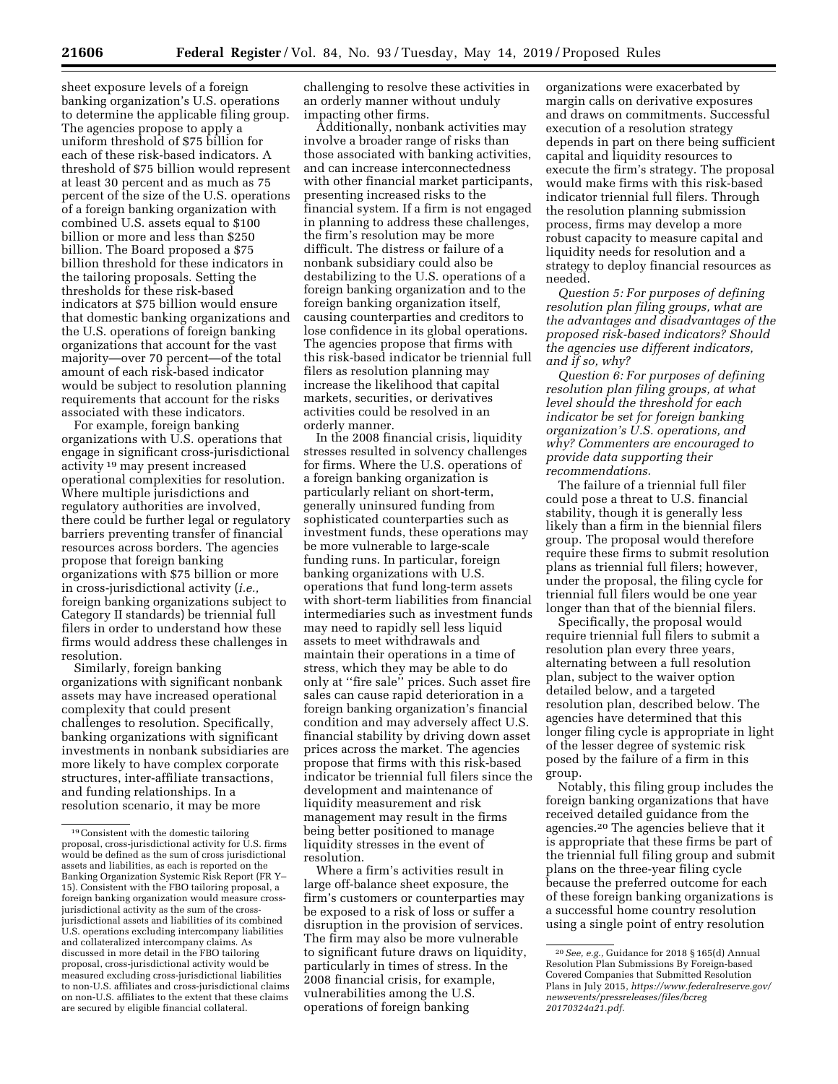sheet exposure levels of a foreign banking organization's U.S. operations to determine the applicable filing group. The agencies propose to apply a uniform threshold of \$75 billion for each of these risk-based indicators. A threshold of \$75 billion would represent at least 30 percent and as much as 75 percent of the size of the U.S. operations of a foreign banking organization with combined U.S. assets equal to \$100 billion or more and less than \$250 billion. The Board proposed a \$75 billion threshold for these indicators in the tailoring proposals. Setting the thresholds for these risk-based indicators at \$75 billion would ensure that domestic banking organizations and the U.S. operations of foreign banking organizations that account for the vast majority—over 70 percent—of the total amount of each risk-based indicator would be subject to resolution planning requirements that account for the risks associated with these indicators.

For example, foreign banking organizations with U.S. operations that engage in significant cross-jurisdictional activity 19 may present increased operational complexities for resolution. Where multiple jurisdictions and regulatory authorities are involved, there could be further legal or regulatory barriers preventing transfer of financial resources across borders. The agencies propose that foreign banking organizations with \$75 billion or more in cross-jurisdictional activity (*i.e.,*  foreign banking organizations subject to Category II standards) be triennial full filers in order to understand how these firms would address these challenges in resolution.

Similarly, foreign banking organizations with significant nonbank assets may have increased operational complexity that could present challenges to resolution. Specifically, banking organizations with significant investments in nonbank subsidiaries are more likely to have complex corporate structures, inter-affiliate transactions, and funding relationships. In a resolution scenario, it may be more

challenging to resolve these activities in an orderly manner without unduly impacting other firms.

Additionally, nonbank activities may involve a broader range of risks than those associated with banking activities, and can increase interconnectedness with other financial market participants, presenting increased risks to the financial system. If a firm is not engaged in planning to address these challenges, the firm's resolution may be more difficult. The distress or failure of a nonbank subsidiary could also be destabilizing to the U.S. operations of a foreign banking organization and to the foreign banking organization itself, causing counterparties and creditors to lose confidence in its global operations. The agencies propose that firms with this risk-based indicator be triennial full filers as resolution planning may increase the likelihood that capital markets, securities, or derivatives activities could be resolved in an orderly manner.

In the 2008 financial crisis, liquidity stresses resulted in solvency challenges for firms. Where the U.S. operations of a foreign banking organization is particularly reliant on short-term, generally uninsured funding from sophisticated counterparties such as investment funds, these operations may be more vulnerable to large-scale funding runs. In particular, foreign banking organizations with U.S. operations that fund long-term assets with short-term liabilities from financial intermediaries such as investment funds may need to rapidly sell less liquid assets to meet withdrawals and maintain their operations in a time of stress, which they may be able to do only at ''fire sale'' prices. Such asset fire sales can cause rapid deterioration in a foreign banking organization's financial condition and may adversely affect U.S. financial stability by driving down asset prices across the market. The agencies propose that firms with this risk-based indicator be triennial full filers since the development and maintenance of liquidity measurement and risk management may result in the firms being better positioned to manage liquidity stresses in the event of resolution.

Where a firm's activities result in large off-balance sheet exposure, the firm's customers or counterparties may be exposed to a risk of loss or suffer a disruption in the provision of services. The firm may also be more vulnerable to significant future draws on liquidity, particularly in times of stress. In the 2008 financial crisis, for example, vulnerabilities among the U.S. operations of foreign banking

organizations were exacerbated by margin calls on derivative exposures and draws on commitments. Successful execution of a resolution strategy depends in part on there being sufficient capital and liquidity resources to execute the firm's strategy. The proposal would make firms with this risk-based indicator triennial full filers. Through the resolution planning submission process, firms may develop a more robust capacity to measure capital and liquidity needs for resolution and a strategy to deploy financial resources as needed.

*Question 5: For purposes of defining resolution plan filing groups, what are the advantages and disadvantages of the proposed risk-based indicators? Should the agencies use different indicators, and if so, why?* 

*Question 6: For purposes of defining resolution plan filing groups, at what level should the threshold for each indicator be set for foreign banking organization's U.S. operations, and why? Commenters are encouraged to provide data supporting their recommendations.* 

The failure of a triennial full filer could pose a threat to U.S. financial stability, though it is generally less likely than a firm in the biennial filers group. The proposal would therefore require these firms to submit resolution plans as triennial full filers; however, under the proposal, the filing cycle for triennial full filers would be one year longer than that of the biennial filers.

Specifically, the proposal would require triennial full filers to submit a resolution plan every three years, alternating between a full resolution plan, subject to the waiver option detailed below, and a targeted resolution plan, described below. The agencies have determined that this longer filing cycle is appropriate in light of the lesser degree of systemic risk posed by the failure of a firm in this group.

Notably, this filing group includes the foreign banking organizations that have received detailed guidance from the agencies.20 The agencies believe that it is appropriate that these firms be part of the triennial full filing group and submit plans on the three-year filing cycle because the preferred outcome for each of these foreign banking organizations is a successful home country resolution using a single point of entry resolution

<sup>19</sup>Consistent with the domestic tailoring proposal, cross-jurisdictional activity for U.S. firms would be defined as the sum of cross jurisdictional assets and liabilities, as each is reported on the Banking Organization Systemic Risk Report (FR Y– 15). Consistent with the FBO tailoring proposal, a foreign banking organization would measure crossjurisdictional activity as the sum of the crossjurisdictional assets and liabilities of its combined U.S. operations excluding intercompany liabilities and collateralized intercompany claims. As discussed in more detail in the FBO tailoring proposal, cross-jurisdictional activity would be measured excluding cross-jurisdictional liabilities to non-U.S. affiliates and cross-jurisdictional claims on non-U.S. affiliates to the extent that these claims are secured by eligible financial collateral.

<sup>20</sup>*See, e.g.,* Guidance for 2018 § 165(d) Annual Resolution Plan Submissions By Foreign-based Covered Companies that Submitted Resolution Plans in July 2015, *[https://www.federalreserve.gov/](https://www.federalreserve.gov/newsevents/pressreleases/files/bcreg20170324a21.pdf)  [newsevents/pressreleases/files/bcreg](https://www.federalreserve.gov/newsevents/pressreleases/files/bcreg20170324a21.pdf) [20170324a21.pdf.](https://www.federalreserve.gov/newsevents/pressreleases/files/bcreg20170324a21.pdf)*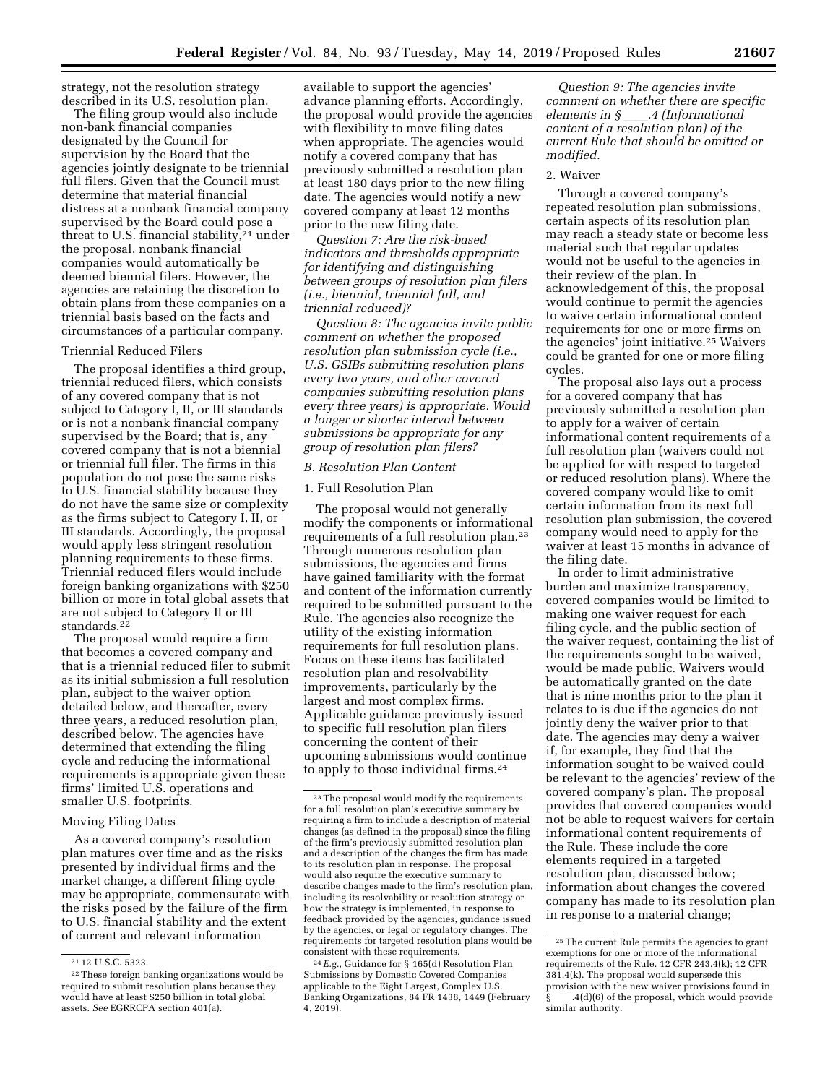strategy, not the resolution strategy described in its U.S. resolution plan.

The filing group would also include non-bank financial companies designated by the Council for supervision by the Board that the agencies jointly designate to be triennial full filers. Given that the Council must determine that material financial distress at a nonbank financial company supervised by the Board could pose a threat to U.S. financial stability,<sup>21</sup> under the proposal, nonbank financial companies would automatically be deemed biennial filers. However, the agencies are retaining the discretion to obtain plans from these companies on a triennial basis based on the facts and circumstances of a particular company.

### Triennial Reduced Filers

The proposal identifies a third group, triennial reduced filers, which consists of any covered company that is not subject to Category I, II, or III standards or is not a nonbank financial company supervised by the Board; that is, any covered company that is not a biennial or triennial full filer. The firms in this population do not pose the same risks to U.S. financial stability because they do not have the same size or complexity as the firms subject to Category I, II, or III standards. Accordingly, the proposal would apply less stringent resolution planning requirements to these firms. Triennial reduced filers would include foreign banking organizations with \$250 billion or more in total global assets that are not subject to Category II or III standards.22

The proposal would require a firm that becomes a covered company and that is a triennial reduced filer to submit as its initial submission a full resolution plan, subject to the waiver option detailed below, and thereafter, every three years, a reduced resolution plan, described below. The agencies have determined that extending the filing cycle and reducing the informational requirements is appropriate given these firms' limited U.S. operations and smaller U.S. footprints.

### Moving Filing Dates

As a covered company's resolution plan matures over time and as the risks presented by individual firms and the market change, a different filing cycle may be appropriate, commensurate with the risks posed by the failure of the firm to U.S. financial stability and the extent of current and relevant information

available to support the agencies' advance planning efforts. Accordingly, the proposal would provide the agencies with flexibility to move filing dates when appropriate. The agencies would notify a covered company that has previously submitted a resolution plan at least 180 days prior to the new filing date. The agencies would notify a new covered company at least 12 months prior to the new filing date.

*Question 7: Are the risk-based indicators and thresholds appropriate for identifying and distinguishing between groups of resolution plan filers (i.e., biennial, triennial full, and triennial reduced)?* 

*Question 8: The agencies invite public comment on whether the proposed resolution plan submission cycle (i.e., U.S. GSIBs submitting resolution plans every two years, and other covered companies submitting resolution plans every three years) is appropriate. Would a longer or shorter interval between submissions be appropriate for any group of resolution plan filers?* 

### *B. Resolution Plan Content*

# 1. Full Resolution Plan

The proposal would not generally modify the components or informational requirements of a full resolution plan.23 Through numerous resolution plan submissions, the agencies and firms have gained familiarity with the format and content of the information currently required to be submitted pursuant to the Rule. The agencies also recognize the utility of the existing information requirements for full resolution plans. Focus on these items has facilitated resolution plan and resolvability improvements, particularly by the largest and most complex firms. Applicable guidance previously issued to specific full resolution plan filers concerning the content of their upcoming submissions would continue to apply to those individual firms.24

*Question 9: The agencies invite comment on whether there are specific elements in §* ll*.4 (Informational content of a resolution plan) of the current Rule that should be omitted or modified.* 

#### 2. Waiver

Through a covered company's repeated resolution plan submissions, certain aspects of its resolution plan may reach a steady state or become less material such that regular updates would not be useful to the agencies in their review of the plan. In acknowledgement of this, the proposal would continue to permit the agencies to waive certain informational content requirements for one or more firms on the agencies' joint initiative.25 Waivers could be granted for one or more filing cycles.

The proposal also lays out a process for a covered company that has previously submitted a resolution plan to apply for a waiver of certain informational content requirements of a full resolution plan (waivers could not be applied for with respect to targeted or reduced resolution plans). Where the covered company would like to omit certain information from its next full resolution plan submission, the covered company would need to apply for the waiver at least 15 months in advance of the filing date.

In order to limit administrative burden and maximize transparency, covered companies would be limited to making one waiver request for each filing cycle, and the public section of the waiver request, containing the list of the requirements sought to be waived, would be made public. Waivers would be automatically granted on the date that is nine months prior to the plan it relates to is due if the agencies do not jointly deny the waiver prior to that date. The agencies may deny a waiver if, for example, they find that the information sought to be waived could be relevant to the agencies' review of the covered company's plan. The proposal provides that covered companies would not be able to request waivers for certain informational content requirements of the Rule. These include the core elements required in a targeted resolution plan, discussed below; information about changes the covered company has made to its resolution plan in response to a material change;

<sup>21</sup> 12 U.S.C. 5323.

<sup>22</sup>These foreign banking organizations would be required to submit resolution plans because they would have at least \$250 billion in total global assets. *See* EGRRCPA section 401(a).

<sup>23</sup>The proposal would modify the requirements for a full resolution plan's executive summary by requiring a firm to include a description of material changes (as defined in the proposal) since the filing of the firm's previously submitted resolution plan and a description of the changes the firm has made to its resolution plan in response. The proposal would also require the executive summary to describe changes made to the firm's resolution plan, including its resolvability or resolution strategy or how the strategy is implemented, in response to feedback provided by the agencies, guidance issued by the agencies, or legal or regulatory changes. The requirements for targeted resolution plans would be consistent with these requirements.

<sup>24</sup>*E.g.,* Guidance for § 165(d) Resolution Plan Submissions by Domestic Covered Companies applicable to the Eight Largest, Complex U.S. Banking Organizations, 84 FR 1438, 1449 (February 4, 2019).

<sup>25</sup>The current Rule permits the agencies to grant exemptions for one or more of the informational requirements of the Rule. 12 CFR 243.4(k); 12 CFR 381.4(k). The proposal would supersede this provision with the new waiver provisions found in §ll.4(d)(6) of the proposal, which would provide similar authority.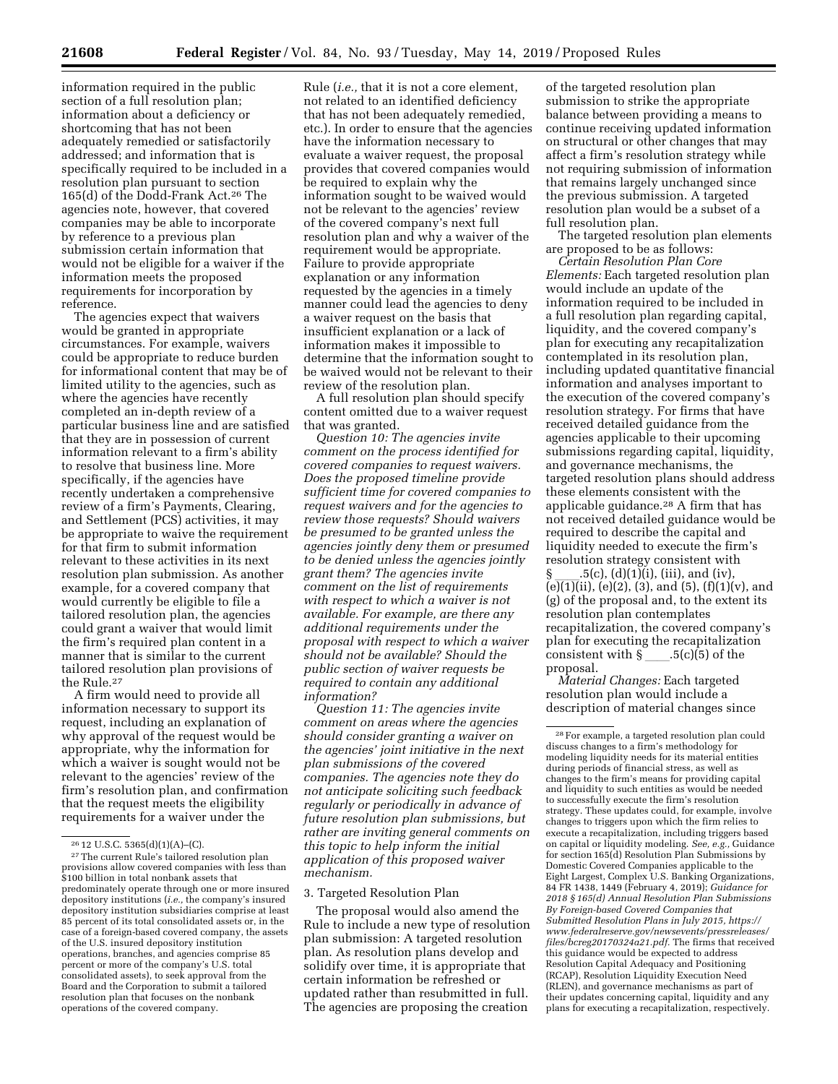information required in the public section of a full resolution plan; information about a deficiency or shortcoming that has not been adequately remedied or satisfactorily addressed; and information that is specifically required to be included in a resolution plan pursuant to section 165(d) of the Dodd-Frank Act.26 The agencies note, however, that covered companies may be able to incorporate by reference to a previous plan submission certain information that would not be eligible for a waiver if the information meets the proposed requirements for incorporation by reference.

The agencies expect that waivers would be granted in appropriate circumstances. For example, waivers could be appropriate to reduce burden for informational content that may be of limited utility to the agencies, such as where the agencies have recently completed an in-depth review of a particular business line and are satisfied that they are in possession of current information relevant to a firm's ability to resolve that business line. More specifically, if the agencies have recently undertaken a comprehensive review of a firm's Payments, Clearing, and Settlement (PCS) activities, it may be appropriate to waive the requirement for that firm to submit information relevant to these activities in its next resolution plan submission. As another example, for a covered company that would currently be eligible to file a tailored resolution plan, the agencies could grant a waiver that would limit the firm's required plan content in a manner that is similar to the current tailored resolution plan provisions of the Rule.27

A firm would need to provide all information necessary to support its request, including an explanation of why approval of the request would be appropriate, why the information for which a waiver is sought would not be relevant to the agencies' review of the firm's resolution plan, and confirmation that the request meets the eligibility requirements for a waiver under the

Rule (*i.e.,* that it is not a core element, not related to an identified deficiency that has not been adequately remedied, etc.). In order to ensure that the agencies have the information necessary to evaluate a waiver request, the proposal provides that covered companies would be required to explain why the information sought to be waived would not be relevant to the agencies' review of the covered company's next full resolution plan and why a waiver of the requirement would be appropriate. Failure to provide appropriate explanation or any information requested by the agencies in a timely manner could lead the agencies to deny a waiver request on the basis that insufficient explanation or a lack of information makes it impossible to determine that the information sought to be waived would not be relevant to their review of the resolution plan.

A full resolution plan should specify content omitted due to a waiver request that was granted.

*Question 10: The agencies invite comment on the process identified for covered companies to request waivers. Does the proposed timeline provide sufficient time for covered companies to request waivers and for the agencies to review those requests? Should waivers be presumed to be granted unless the agencies jointly deny them or presumed to be denied unless the agencies jointly grant them? The agencies invite comment on the list of requirements with respect to which a waiver is not available. For example, are there any additional requirements under the proposal with respect to which a waiver should not be available? Should the public section of waiver requests be required to contain any additional information?* 

*Question 11: The agencies invite comment on areas where the agencies should consider granting a waiver on the agencies' joint initiative in the next plan submissions of the covered companies. The agencies note they do not anticipate soliciting such feedback regularly or periodically in advance of future resolution plan submissions, but rather are inviting general comments on this topic to help inform the initial application of this proposed waiver mechanism.* 

#### 3. Targeted Resolution Plan

The proposal would also amend the Rule to include a new type of resolution plan submission: A targeted resolution plan. As resolution plans develop and solidify over time, it is appropriate that certain information be refreshed or updated rather than resubmitted in full. The agencies are proposing the creation

of the targeted resolution plan submission to strike the appropriate balance between providing a means to continue receiving updated information on structural or other changes that may affect a firm's resolution strategy while not requiring submission of information that remains largely unchanged since the previous submission. A targeted resolution plan would be a subset of a full resolution plan.

The targeted resolution plan elements are proposed to be as follows:

*Certain Resolution Plan Core Elements:* Each targeted resolution plan would include an update of the information required to be included in a full resolution plan regarding capital, liquidity, and the covered company's plan for executing any recapitalization contemplated in its resolution plan, including updated quantitative financial information and analyses important to the execution of the covered company's resolution strategy. For firms that have received detailed guidance from the agencies applicable to their upcoming submissions regarding capital, liquidity, and governance mechanisms, the targeted resolution plans should address these elements consistent with the applicable guidance.28 A firm that has not received detailed guidance would be required to describe the capital and liquidity needed to execute the firm's resolution strategy consistent with  $(5(c), (d)(1)(i), (iii),$  and  $(iv),$  $(e)(1)(ii)$ ,  $(e)(2)$ ,  $(3)$ , and  $(5)$ ,  $(f)(1)(v)$ , and (g) of the proposal and, to the extent its resolution plan contemplates recapitalization, the covered company's plan for executing the recapitalization consistent with  $\S$  \_\_\_\_.5(c)(5) of the

proposal.

*Material Changes:* Each targeted resolution plan would include a description of material changes since

<sup>&</sup>lt;sup>26</sup> 12 U.S.C. 5365(d)(1)(A)–(C).<br><sup>27</sup> The current Rule's tailored resolution plan provisions allow covered companies with less than \$100 billion in total nonbank assets that predominately operate through one or more insured depository institutions (*i.e.,* the company's insured depository institution subsidiaries comprise at least 85 percent of its total consolidated assets or, in the case of a foreign-based covered company, the assets of the U.S. insured depository institution operations, branches, and agencies comprise 85 percent or more of the company's U.S. total consolidated assets), to seek approval from the Board and the Corporation to submit a tailored resolution plan that focuses on the nonbank operations of the covered company.

<sup>28</sup>For example, a targeted resolution plan could discuss changes to a firm's methodology for modeling liquidity needs for its material entities during periods of financial stress, as well as changes to the firm's means for providing capital and liquidity to such entities as would be needed to successfully execute the firm's resolution strategy. These updates could, for example, involve changes to triggers upon which the firm relies to execute a recapitalization, including triggers based on capital or liquidity modeling. *See, e.g.,* Guidance for section 165(d) Resolution Plan Submissions by Domestic Covered Companies applicable to the Eight Largest, Complex U.S. Banking Organizations, 84 FR 1438, 1449 (February 4, 2019); *Guidance for 2018 § 165(d) Annual Resolution Plan Submissions By Foreign-based Covered Companies that Submitted Resolution Plans in July 2015, [https://](https://www.federalreserve.gov/newsevents/pressreleases/files/bcreg20170324a21.pdf) [www.federalreserve.gov/newsevents/pressreleases/](https://www.federalreserve.gov/newsevents/pressreleases/files/bcreg20170324a21.pdf)  [files/bcreg20170324a21.pdf.](https://www.federalreserve.gov/newsevents/pressreleases/files/bcreg20170324a21.pdf)* The firms that received this guidance would be expected to address Resolution Capital Adequacy and Positioning (RCAP), Resolution Liquidity Execution Need (RLEN), and governance mechanisms as part of their updates concerning capital, liquidity and any plans for executing a recapitalization, respectively.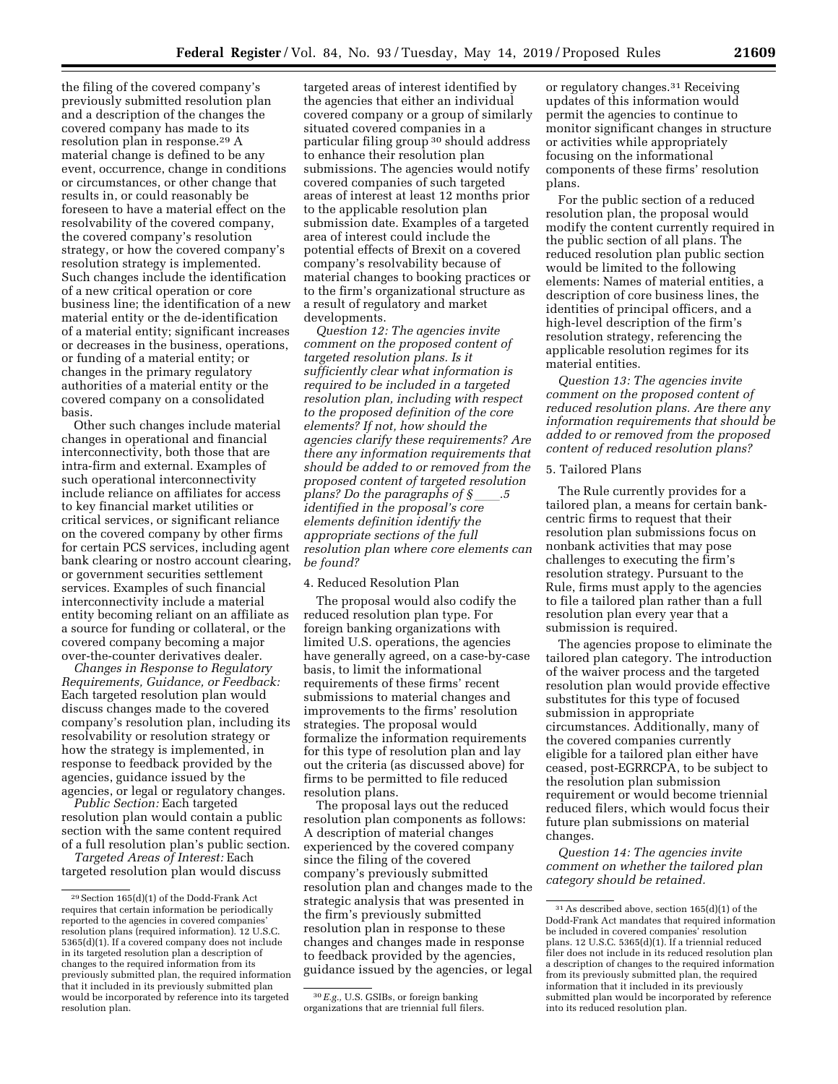the filing of the covered company's previously submitted resolution plan and a description of the changes the covered company has made to its resolution plan in response.29 A material change is defined to be any event, occurrence, change in conditions or circumstances, or other change that results in, or could reasonably be foreseen to have a material effect on the resolvability of the covered company, the covered company's resolution strategy, or how the covered company's resolution strategy is implemented. Such changes include the identification of a new critical operation or core business line; the identification of a new material entity or the de-identification of a material entity; significant increases or decreases in the business, operations, or funding of a material entity; or changes in the primary regulatory authorities of a material entity or the covered company on a consolidated basis.

Other such changes include material changes in operational and financial interconnectivity, both those that are intra-firm and external. Examples of such operational interconnectivity include reliance on affiliates for access to key financial market utilities or critical services, or significant reliance on the covered company by other firms for certain PCS services, including agent bank clearing or nostro account clearing, or government securities settlement services. Examples of such financial interconnectivity include a material entity becoming reliant on an affiliate as a source for funding or collateral, or the covered company becoming a major over-the-counter derivatives dealer.

*Changes in Response to Regulatory Requirements, Guidance, or Feedback:*  Each targeted resolution plan would discuss changes made to the covered company's resolution plan, including its resolvability or resolution strategy or how the strategy is implemented, in response to feedback provided by the agencies, guidance issued by the agencies, or legal or regulatory changes.

*Public Section:* Each targeted resolution plan would contain a public section with the same content required of a full resolution plan's public section.

*Targeted Areas of Interest:* Each targeted resolution plan would discuss

targeted areas of interest identified by the agencies that either an individual covered company or a group of similarly situated covered companies in a particular filing group 30 should address to enhance their resolution plan submissions. The agencies would notify covered companies of such targeted areas of interest at least 12 months prior to the applicable resolution plan submission date. Examples of a targeted area of interest could include the potential effects of Brexit on a covered company's resolvability because of material changes to booking practices or to the firm's organizational structure as a result of regulatory and market developments.

*Question 12: The agencies invite comment on the proposed content of targeted resolution plans. Is it sufficiently clear what information is required to be included in a targeted resolution plan, including with respect to the proposed definition of the core elements? If not, how should the agencies clarify these requirements? Are there any information requirements that should be added to or removed from the proposed content of targeted resolution plans? Do the paragraphs of* § *identified in the proposal's core elements definition identify the appropriate sections of the full resolution plan where core elements can be found?* 

#### 4. Reduced Resolution Plan

The proposal would also codify the reduced resolution plan type. For foreign banking organizations with limited U.S. operations, the agencies have generally agreed, on a case-by-case basis, to limit the informational requirements of these firms' recent submissions to material changes and improvements to the firms' resolution strategies. The proposal would formalize the information requirements for this type of resolution plan and lay out the criteria (as discussed above) for firms to be permitted to file reduced resolution plans.

The proposal lays out the reduced resolution plan components as follows: A description of material changes experienced by the covered company since the filing of the covered company's previously submitted resolution plan and changes made to the strategic analysis that was presented in the firm's previously submitted resolution plan in response to these changes and changes made in response to feedback provided by the agencies, guidance issued by the agencies, or legal

or regulatory changes.31 Receiving updates of this information would permit the agencies to continue to monitor significant changes in structure or activities while appropriately focusing on the informational components of these firms' resolution plans.

For the public section of a reduced resolution plan, the proposal would modify the content currently required in the public section of all plans. The reduced resolution plan public section would be limited to the following elements: Names of material entities, a description of core business lines, the identities of principal officers, and a high-level description of the firm's resolution strategy, referencing the applicable resolution regimes for its material entities.

*Question 13: The agencies invite comment on the proposed content of reduced resolution plans. Are there any information requirements that should be added to or removed from the proposed content of reduced resolution plans?* 

### 5. Tailored Plans

The Rule currently provides for a tailored plan, a means for certain bankcentric firms to request that their resolution plan submissions focus on nonbank activities that may pose challenges to executing the firm's resolution strategy. Pursuant to the Rule, firms must apply to the agencies to file a tailored plan rather than a full resolution plan every year that a submission is required.

The agencies propose to eliminate the tailored plan category. The introduction of the waiver process and the targeted resolution plan would provide effective substitutes for this type of focused submission in appropriate circumstances. Additionally, many of the covered companies currently eligible for a tailored plan either have ceased, post-EGRRCPA, to be subject to the resolution plan submission requirement or would become triennial reduced filers, which would focus their future plan submissions on material changes.

*Question 14: The agencies invite comment on whether the tailored plan category should be retained.* 

<sup>29</sup>Section 165(d)(1) of the Dodd-Frank Act requires that certain information be periodically reported to the agencies in covered companies' resolution plans (required information). 12 U.S.C. 5365(d)(1). If a covered company does not include in its targeted resolution plan a description of changes to the required information from its previously submitted plan, the required information that it included in its previously submitted plan would be incorporated by reference into its targeted resolution plan.

<sup>30</sup>*E.g.,* U.S. GSIBs, or foreign banking organizations that are triennial full filers.

<sup>31</sup>As described above, section 165(d)(1) of the Dodd-Frank Act mandates that required information be included in covered companies' resolution plans. 12 U.S.C. 5365(d)(1). If a triennial reduced filer does not include in its reduced resolution plan a description of changes to the required information from its previously submitted plan, the required information that it included in its previously submitted plan would be incorporated by reference into its reduced resolution plan.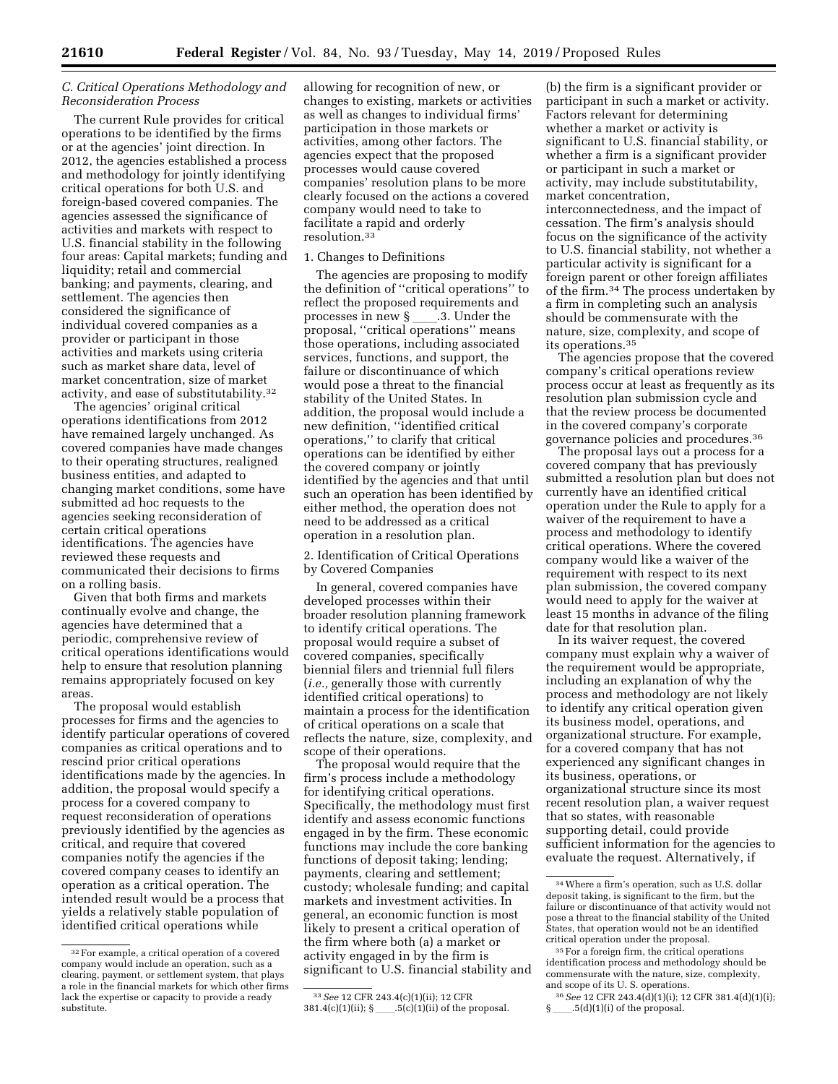## *C. Critical Operations Methodology and Reconsideration Process*

The current Rule provides for critical operations to be identified by the firms or at the agencies' joint direction. In 2012, the agencies established a process and methodology for jointly identifying critical operations for both U.S. and foreign-based covered companies. The agencies assessed the significance of activities and markets with respect to U.S. financial stability in the following four areas: Capital markets; funding and liquidity; retail and commercial banking; and payments, clearing, and settlement. The agencies then considered the significance of individual covered companies as a provider or participant in those activities and markets using criteria such as market share data, level of market concentration, size of market activity, and ease of substitutability.32

The agencies' original critical operations identifications from 2012 have remained largely unchanged. As covered companies have made changes to their operating structures, realigned business entities, and adapted to changing market conditions, some have submitted ad hoc requests to the agencies seeking reconsideration of certain critical operations identifications. The agencies have reviewed these requests and communicated their decisions to firms on a rolling basis.

Given that both firms and markets continually evolve and change, the agencies have determined that a periodic, comprehensive review of critical operations identifications would help to ensure that resolution planning remains appropriately focused on key areas.

The proposal would establish processes for firms and the agencies to identify particular operations of covered companies as critical operations and to rescind prior critical operations identifications made by the agencies. In addition, the proposal would specify a process for a covered company to request reconsideration of operations previously identified by the agencies as critical, and require that covered companies notify the agencies if the covered company ceases to identify an operation as a critical operation. The intended result would be a process that yields a relatively stable population of identified critical operations while

allowing for recognition of new, or changes to existing, markets or activities as well as changes to individual firms' participation in those markets or activities, among other factors. The agencies expect that the proposed processes would cause covered companies' resolution plans to be more clearly focused on the actions a covered company would need to take to facilitate a rapid and orderly resolution.33

#### 1. Changes to Definitions

The agencies are proposing to modify the definition of ''critical operations'' to reflect the proposed requirements and processes in new § \_\_\_\_.3. Under the<br>proposal, ''critical operations'' means those operations, including associated services, functions, and support, the failure or discontinuance of which would pose a threat to the financial stability of the United States. In addition, the proposal would include a new definition, ''identified critical operations,'' to clarify that critical operations can be identified by either the covered company or jointly identified by the agencies and that until such an operation has been identified by either method, the operation does not need to be addressed as a critical operation in a resolution plan.

2. Identification of Critical Operations by Covered Companies

In general, covered companies have developed processes within their broader resolution planning framework to identify critical operations. The proposal would require a subset of covered companies, specifically biennial filers and triennial full filers (*i.e.,* generally those with currently identified critical operations) to maintain a process for the identification of critical operations on a scale that reflects the nature, size, complexity, and scope of their operations.

The proposal would require that the firm's process include a methodology for identifying critical operations. Specifically, the methodology must first identify and assess economic functions engaged in by the firm. These economic functions may include the core banking functions of deposit taking; lending; payments, clearing and settlement; custody; wholesale funding; and capital markets and investment activities. In general, an economic function is most likely to present a critical operation of the firm where both (a) a market or activity engaged in by the firm is significant to U.S. financial stability and

(b) the firm is a significant provider or participant in such a market or activity. Factors relevant for determining whether a market or activity is significant to U.S. financial stability, or whether a firm is a significant provider or participant in such a market or activity, may include substitutability, market concentration, interconnectedness, and the impact of cessation. The firm's analysis should focus on the significance of the activity to U.S. financial stability, not whether a particular activity is significant for a foreign parent or other foreign affiliates of the firm.34 The process undertaken by a firm in completing such an analysis should be commensurate with the nature, size, complexity, and scope of its operations.35

The agencies propose that the covered company's critical operations review process occur at least as frequently as its resolution plan submission cycle and that the review process be documented in the covered company's corporate governance policies and procedures.36

The proposal lays out a process for a covered company that has previously submitted a resolution plan but does not currently have an identified critical operation under the Rule to apply for a waiver of the requirement to have a process and methodology to identify critical operations. Where the covered company would like a waiver of the requirement with respect to its next plan submission, the covered company would need to apply for the waiver at least 15 months in advance of the filing date for that resolution plan.

In its waiver request, the covered company must explain why a waiver of the requirement would be appropriate, including an explanation of why the process and methodology are not likely to identify any critical operation given its business model, operations, and organizational structure. For example, for a covered company that has not experienced any significant changes in its business, operations, or organizational structure since its most recent resolution plan, a waiver request that so states, with reasonable supporting detail, could provide sufficient information for the agencies to evaluate the request. Alternatively, if

<sup>32</sup>For example, a critical operation of a covered company would include an operation, such as a clearing, payment, or settlement system, that plays a role in the financial markets for which other firms lack the expertise or capacity to provide a ready substitute.

<sup>33</sup>*See* 12 CFR 243.4(c)(1)(ii); 12 CFR  $381.4(c)(1)(ii);$  § \_\_\_\_.5(c)(1)(ii) of the proposal.

<sup>34</sup>Where a firm's operation, such as U.S. dollar deposit taking, is significant to the firm, but the failure or discontinuance of that activity would not pose a threat to the financial stability of the United States, that operation would not be an identified critical operation under the proposal.

<sup>35</sup>For a foreign firm, the critical operations identification process and methodology should be commensurate with the nature, size, complexity, and scope of its U. S. operations.

<sup>36</sup>*See* 12 CFR 243.4(d)(1)(i); 12 CFR 381.4(d)(1)(i);  $\S$  .  $5(d)(1)(i)$  of the proposal.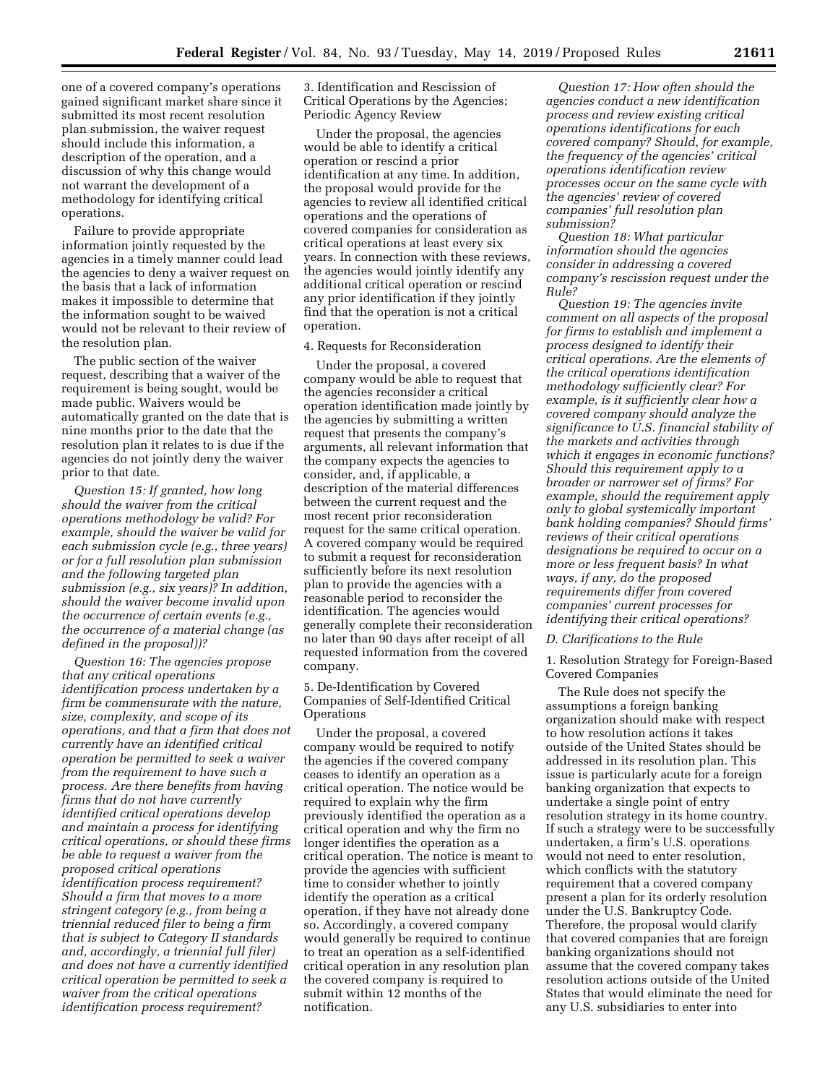one of a covered company's operations gained significant market share since it submitted its most recent resolution plan submission, the waiver request should include this information, a description of the operation, and a discussion of why this change would not warrant the development of a methodology for identifying critical operations.

Failure to provide appropriate information jointly requested by the agencies in a timely manner could lead the agencies to deny a waiver request on the basis that a lack of information makes it impossible to determine that the information sought to be waived would not be relevant to their review of the resolution plan.

The public section of the waiver request, describing that a waiver of the requirement is being sought, would be made public. Waivers would be automatically granted on the date that is nine months prior to the date that the resolution plan it relates to is due if the agencies do not jointly deny the waiver prior to that date.

*Question 15: If granted, how long should the waiver from the critical operations methodology be valid? For example, should the waiver be valid for each submission cycle (e.g., three years) or for a full resolution plan submission and the following targeted plan submission (e.g., six years)? In addition, should the waiver become invalid upon the occurrence of certain events (e.g., the occurrence of a material change (as defined in the proposal))?* 

*Question 16: The agencies propose that any critical operations identification process undertaken by a firm be commensurate with the nature, size, complexity, and scope of its operations, and that a firm that does not currently have an identified critical operation be permitted to seek a waiver from the requirement to have such a process. Are there benefits from having firms that do not have currently identified critical operations develop and maintain a process for identifying critical operations, or should these firms be able to request a waiver from the proposed critical operations identification process requirement? Should a firm that moves to a more stringent category (e.g., from being a triennial reduced filer to being a firm that is subject to Category II standards and, accordingly, a triennial full filer) and does not have a currently identified critical operation be permitted to seek a waiver from the critical operations identification process requirement?* 

3. Identification and Rescission of Critical Operations by the Agencies; Periodic Agency Review

Under the proposal, the agencies would be able to identify a critical operation or rescind a prior identification at any time. In addition, the proposal would provide for the agencies to review all identified critical operations and the operations of covered companies for consideration as critical operations at least every six years. In connection with these reviews, the agencies would jointly identify any additional critical operation or rescind any prior identification if they jointly find that the operation is not a critical operation.

4. Requests for Reconsideration

Under the proposal, a covered company would be able to request that the agencies reconsider a critical operation identification made jointly by the agencies by submitting a written request that presents the company's arguments, all relevant information that the company expects the agencies to consider, and, if applicable, a description of the material differences between the current request and the most recent prior reconsideration request for the same critical operation. A covered company would be required to submit a request for reconsideration sufficiently before its next resolution plan to provide the agencies with a reasonable period to reconsider the identification. The agencies would generally complete their reconsideration no later than 90 days after receipt of all requested information from the covered company.

# 5. De-Identification by Covered Companies of Self-Identified Critical **Operations**

Under the proposal, a covered company would be required to notify the agencies if the covered company ceases to identify an operation as a critical operation. The notice would be required to explain why the firm previously identified the operation as a critical operation and why the firm no longer identifies the operation as a critical operation. The notice is meant to provide the agencies with sufficient time to consider whether to jointly identify the operation as a critical operation, if they have not already done so. Accordingly, a covered company would generally be required to continue to treat an operation as a self-identified critical operation in any resolution plan the covered company is required to submit within 12 months of the notification.

*Question 17: How often should the agencies conduct a new identification process and review existing critical operations identifications for each covered company? Should, for example, the frequency of the agencies' critical operations identification review processes occur on the same cycle with the agencies' review of covered companies' full resolution plan submission?* 

*Question 18: What particular information should the agencies consider in addressing a covered company's rescission request under the Rule?* 

*Question 19: The agencies invite comment on all aspects of the proposal for firms to establish and implement a process designed to identify their critical operations. Are the elements of the critical operations identification methodology sufficiently clear? For example, is it sufficiently clear how a covered company should analyze the significance to U.S. financial stability of the markets and activities through which it engages in economic functions? Should this requirement apply to a broader or narrower set of firms? For example, should the requirement apply only to global systemically important bank holding companies? Should firms' reviews of their critical operations designations be required to occur on a more or less frequent basis? In what ways, if any, do the proposed requirements differ from covered companies' current processes for identifying their critical operations?* 

### *D. Clarifications to the Rule*

1. Resolution Strategy for Foreign-Based Covered Companies

The Rule does not specify the assumptions a foreign banking organization should make with respect to how resolution actions it takes outside of the United States should be addressed in its resolution plan. This issue is particularly acute for a foreign banking organization that expects to undertake a single point of entry resolution strategy in its home country. If such a strategy were to be successfully undertaken, a firm's U.S. operations would not need to enter resolution, which conflicts with the statutory requirement that a covered company present a plan for its orderly resolution under the U.S. Bankruptcy Code. Therefore, the proposal would clarify that covered companies that are foreign banking organizations should not assume that the covered company takes resolution actions outside of the United States that would eliminate the need for any U.S. subsidiaries to enter into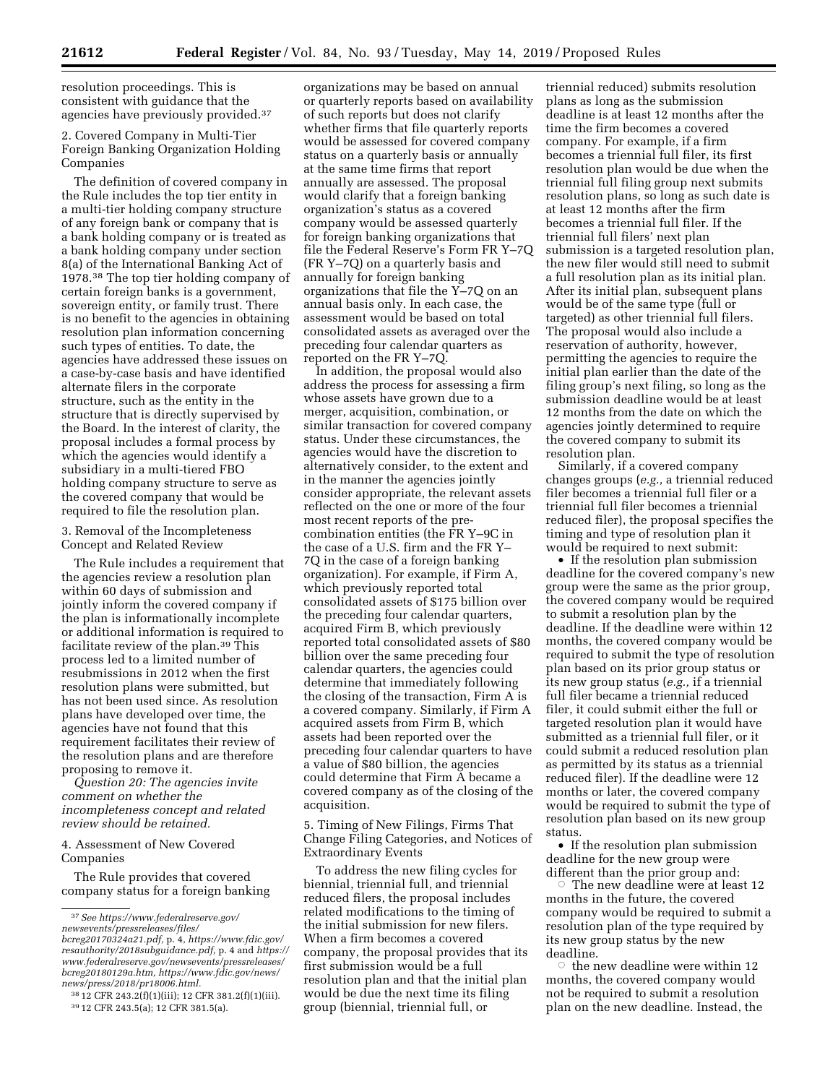resolution proceedings. This is consistent with guidance that the agencies have previously provided.37

2. Covered Company in Multi-Tier Foreign Banking Organization Holding Companies

The definition of covered company in the Rule includes the top tier entity in a multi-tier holding company structure of any foreign bank or company that is a bank holding company or is treated as a bank holding company under section 8(a) of the International Banking Act of 1978.38 The top tier holding company of certain foreign banks is a government, sovereign entity, or family trust. There is no benefit to the agencies in obtaining resolution plan information concerning such types of entities. To date, the agencies have addressed these issues on a case-by-case basis and have identified alternate filers in the corporate structure, such as the entity in the structure that is directly supervised by the Board. In the interest of clarity, the proposal includes a formal process by which the agencies would identify a subsidiary in a multi-tiered FBO holding company structure to serve as the covered company that would be required to file the resolution plan.

3. Removal of the Incompleteness Concept and Related Review

The Rule includes a requirement that the agencies review a resolution plan within 60 days of submission and jointly inform the covered company if the plan is informationally incomplete or additional information is required to facilitate review of the plan.39 This process led to a limited number of resubmissions in 2012 when the first resolution plans were submitted, but has not been used since. As resolution plans have developed over time, the agencies have not found that this requirement facilitates their review of the resolution plans and are therefore proposing to remove it.

*Question 20: The agencies invite comment on whether the incompleteness concept and related review should be retained.* 

4. Assessment of New Covered Companies

The Rule provides that covered company status for a foreign banking

organizations may be based on annual or quarterly reports based on availability of such reports but does not clarify whether firms that file quarterly reports would be assessed for covered company status on a quarterly basis or annually at the same time firms that report annually are assessed. The proposal would clarify that a foreign banking organization's status as a covered company would be assessed quarterly for foreign banking organizations that file the Federal Reserve's Form FR Y–7Q (FR Y–7Q) on a quarterly basis and annually for foreign banking organizations that file the Y–7Q on an annual basis only. In each case, the assessment would be based on total consolidated assets as averaged over the preceding four calendar quarters as reported on the FR Y–7Q.

In addition, the proposal would also address the process for assessing a firm whose assets have grown due to a merger, acquisition, combination, or similar transaction for covered company status. Under these circumstances, the agencies would have the discretion to alternatively consider, to the extent and in the manner the agencies jointly consider appropriate, the relevant assets reflected on the one or more of the four most recent reports of the precombination entities (the FR Y–9C in the case of a U.S. firm and the FR Y– 7Q in the case of a foreign banking organization). For example, if Firm A, which previously reported total consolidated assets of \$175 billion over the preceding four calendar quarters, acquired Firm B, which previously reported total consolidated assets of \$80 billion over the same preceding four calendar quarters, the agencies could determine that immediately following the closing of the transaction, Firm A is a covered company. Similarly, if Firm A acquired assets from Firm B, which assets had been reported over the preceding four calendar quarters to have a value of \$80 billion, the agencies could determine that Firm A became a covered company as of the closing of the acquisition.

5. Timing of New Filings, Firms That Change Filing Categories, and Notices of Extraordinary Events

To address the new filing cycles for biennial, triennial full, and triennial reduced filers, the proposal includes related modifications to the timing of the initial submission for new filers. When a firm becomes a covered company, the proposal provides that its first submission would be a full resolution plan and that the initial plan would be due the next time its filing group (biennial, triennial full, or

triennial reduced) submits resolution plans as long as the submission deadline is at least 12 months after the time the firm becomes a covered company. For example, if a firm becomes a triennial full filer, its first resolution plan would be due when the triennial full filing group next submits resolution plans, so long as such date is at least 12 months after the firm becomes a triennial full filer. If the triennial full filers' next plan submission is a targeted resolution plan, the new filer would still need to submit a full resolution plan as its initial plan. After its initial plan, subsequent plans would be of the same type (full or targeted) as other triennial full filers. The proposal would also include a reservation of authority, however, permitting the agencies to require the initial plan earlier than the date of the filing group's next filing, so long as the submission deadline would be at least 12 months from the date on which the agencies jointly determined to require the covered company to submit its resolution plan.

Similarly, if a covered company changes groups (*e.g.,* a triennial reduced filer becomes a triennial full filer or a triennial full filer becomes a triennial reduced filer), the proposal specifies the timing and type of resolution plan it would be required to next submit:

• If the resolution plan submission deadline for the covered company's new group were the same as the prior group, the covered company would be required to submit a resolution plan by the deadline. If the deadline were within 12 months, the covered company would be required to submit the type of resolution plan based on its prior group status or its new group status (*e.g.,* if a triennial full filer became a triennial reduced filer, it could submit either the full or targeted resolution plan it would have submitted as a triennial full filer, or it could submit a reduced resolution plan as permitted by its status as a triennial reduced filer). If the deadline were 12 months or later, the covered company would be required to submit the type of resolution plan based on its new group status.

• If the resolution plan submission deadline for the new group were different than the prior group and:

The new deadline were at least  $12$ months in the future, the covered company would be required to submit a resolution plan of the type required by its new group status by the new deadline.

 $\circ$  the new deadline were within 12 months, the covered company would not be required to submit a resolution plan on the new deadline. Instead, the

<sup>37</sup>*See [https://www.federalreserve.gov/](https://www.federalreserve.gov/newsevents/pressreleases/files/bcreg20170324a21.pdf)  [newsevents/pressreleases/files/](https://www.federalreserve.gov/newsevents/pressreleases/files/bcreg20170324a21.pdf)* 

*[bcreg20170324a21.pdf,](https://www.federalreserve.gov/newsevents/pressreleases/files/bcreg20170324a21.pdf)* p. 4, *[https://www.fdic.gov/](https://www.fdic.gov/resauthority/2018subguidance.pdf) [resauthority/2018subguidance.pdf,](https://www.fdic.gov/resauthority/2018subguidance.pdf)* p. 4 and *[https://](https://www.federalreserve.gov/newsevents/pressreleases/bcreg20180129a.htm) [www.federalreserve.gov/newsevents/pressreleases/](https://www.federalreserve.gov/newsevents/pressreleases/bcreg20180129a.htm)  [bcreg20180129a.htm,](https://www.federalreserve.gov/newsevents/pressreleases/bcreg20180129a.htm) [https://www.fdic.gov/news/](https://www.fdic.gov/news/news/press/2018/pr18006.html)  [news/press/2018/pr18006.html.](https://www.fdic.gov/news/news/press/2018/pr18006.html)* 

<sup>38</sup> 12 CFR 243.2(f)(1)(iii); 12 CFR 381.2(f)(1)(iii). 39 12 CFR 243.5(a); 12 CFR 381.5(a).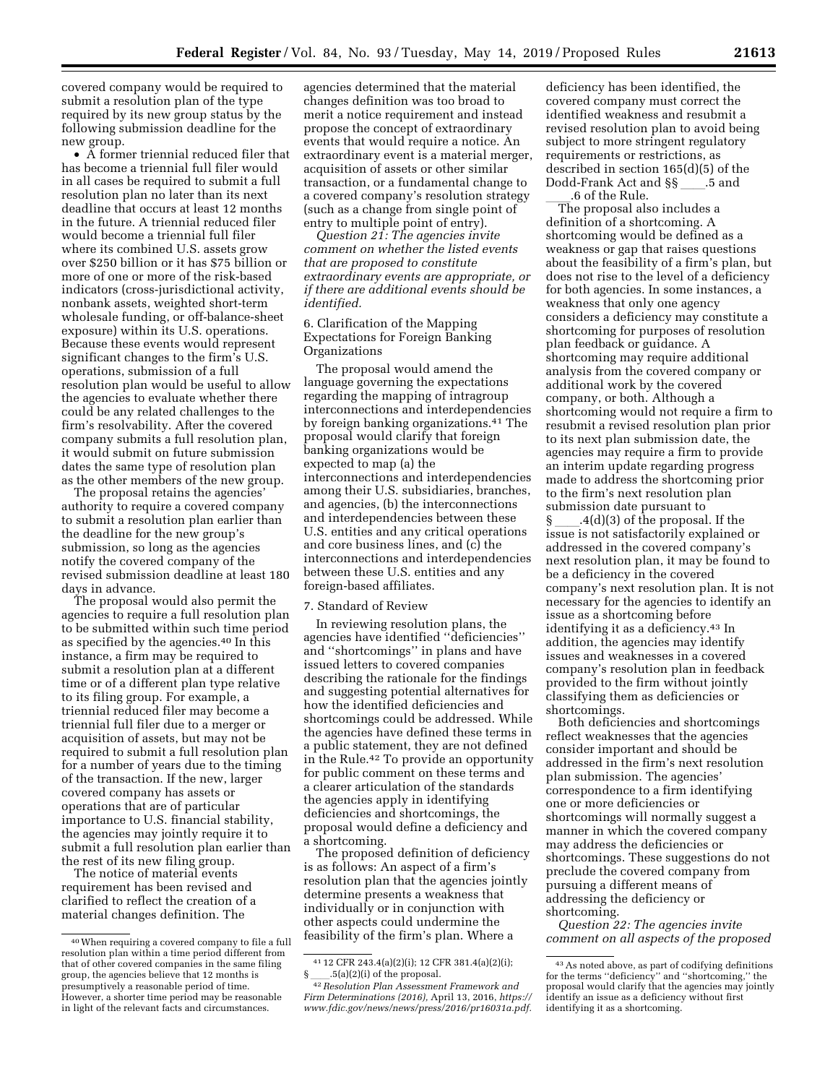covered company would be required to submit a resolution plan of the type required by its new group status by the following submission deadline for the new group.

• A former triennial reduced filer that has become a triennial full filer would in all cases be required to submit a full resolution plan no later than its next deadline that occurs at least 12 months in the future. A triennial reduced filer would become a triennial full filer where its combined U.S. assets grow over \$250 billion or it has \$75 billion or more of one or more of the risk-based indicators (cross-jurisdictional activity, nonbank assets, weighted short-term wholesale funding, or off-balance-sheet exposure) within its U.S. operations. Because these events would represent significant changes to the firm's U.S. operations, submission of a full resolution plan would be useful to allow the agencies to evaluate whether there could be any related challenges to the firm's resolvability. After the covered company submits a full resolution plan, it would submit on future submission dates the same type of resolution plan as the other members of the new group.

The proposal retains the agencies' authority to require a covered company to submit a resolution plan earlier than the deadline for the new group's submission, so long as the agencies notify the covered company of the revised submission deadline at least 180 days in advance.

The proposal would also permit the agencies to require a full resolution plan to be submitted within such time period as specified by the agencies.40 In this instance, a firm may be required to submit a resolution plan at a different time or of a different plan type relative to its filing group. For example, a triennial reduced filer may become a triennial full filer due to a merger or acquisition of assets, but may not be required to submit a full resolution plan for a number of years due to the timing of the transaction. If the new, larger covered company has assets or operations that are of particular importance to U.S. financial stability, the agencies may jointly require it to submit a full resolution plan earlier than the rest of its new filing group.

The notice of material events requirement has been revised and clarified to reflect the creation of a material changes definition. The

agencies determined that the material changes definition was too broad to merit a notice requirement and instead propose the concept of extraordinary events that would require a notice. An extraordinary event is a material merger, acquisition of assets or other similar transaction, or a fundamental change to a covered company's resolution strategy (such as a change from single point of entry to multiple point of entry).

*Question 21: The agencies invite comment on whether the listed events that are proposed to constitute extraordinary events are appropriate, or if there are additional events should be identified.* 

### 6. Clarification of the Mapping Expectations for Foreign Banking Organizations

The proposal would amend the language governing the expectations regarding the mapping of intragroup interconnections and interdependencies by foreign banking organizations.41 The proposal would clarify that foreign banking organizations would be expected to map (a) the interconnections and interdependencies among their U.S. subsidiaries, branches, and agencies, (b) the interconnections and interdependencies between these U.S. entities and any critical operations and core business lines, and (c) the interconnections and interdependencies between these U.S. entities and any foreign-based affiliates.

#### 7. Standard of Review

In reviewing resolution plans, the agencies have identified ''deficiencies'' and ''shortcomings'' in plans and have issued letters to covered companies describing the rationale for the findings and suggesting potential alternatives for how the identified deficiencies and shortcomings could be addressed. While the agencies have defined these terms in a public statement, they are not defined in the Rule.42 To provide an opportunity for public comment on these terms and a clearer articulation of the standards the agencies apply in identifying deficiencies and shortcomings, the proposal would define a deficiency and a shortcoming.

The proposed definition of deficiency is as follows: An aspect of a firm's resolution plan that the agencies jointly determine presents a weakness that individually or in conjunction with other aspects could undermine the feasibility of the firm's plan. Where a

deficiency has been identified, the covered company must correct the identified weakness and resubmit a revised resolution plan to avoid being subject to more stringent regulatory requirements or restrictions, as described in section 165(d)(5) of the Dodd-Frank Act and §§\_\_\_\_.5 and<br>.6 of the Rule.

6 of the Rule.<br>The proposal also includes a definition of a shortcoming. A shortcoming would be defined as a weakness or gap that raises questions about the feasibility of a firm's plan, but does not rise to the level of a deficiency for both agencies. In some instances, a weakness that only one agency considers a deficiency may constitute a shortcoming for purposes of resolution plan feedback or guidance. A shortcoming may require additional analysis from the covered company or additional work by the covered company, or both. Although a shortcoming would not require a firm to resubmit a revised resolution plan prior to its next plan submission date, the agencies may require a firm to provide an interim update regarding progress made to address the shortcoming prior to the firm's next resolution plan submission date pursuant to

 $\S$  .4(d)(3) of the proposal. If the issue is not satisfactorily explained or addressed in the covered company's next resolution plan, it may be found to be a deficiency in the covered company's next resolution plan. It is not necessary for the agencies to identify an issue as a shortcoming before identifying it as a deficiency.43 In addition, the agencies may identify issues and weaknesses in a covered company's resolution plan in feedback provided to the firm without jointly classifying them as deficiencies or shortcomings.

Both deficiencies and shortcomings reflect weaknesses that the agencies consider important and should be addressed in the firm's next resolution plan submission. The agencies' correspondence to a firm identifying one or more deficiencies or shortcomings will normally suggest a manner in which the covered company may address the deficiencies or shortcomings. These suggestions do not preclude the covered company from pursuing a different means of addressing the deficiency or shortcoming.

*Question 22: The agencies invite comment on all aspects of the proposed* 

<sup>40</sup>When requiring a covered company to file a full resolution plan within a time period different from that of other covered companies in the same filing group, the agencies believe that 12 months is presumptively a reasonable period of time. However, a shorter time period may be reasonable in light of the relevant facts and circumstances.

<sup>41</sup> 12 CFR 243.4(a)(2)(i); 12 CFR 381.4(a)(2)(i);  $.5(a)(2)(i)$  of the proposal.

<sup>42</sup>*Resolution Plan Assessment Framework and Firm Determinations (2016),* April 13, 2016, *[https://](https://www.fdic.gov/news/news/press/2016/pr16031a.pdf)  [www.fdic.gov/news/news/press/2016/pr16031a.pdf.](https://www.fdic.gov/news/news/press/2016/pr16031a.pdf)* 

<sup>43</sup>As noted above, as part of codifying definitions for the terms ''deficiency'' and ''shortcoming,'' the proposal would clarify that the agencies may jointly identify an issue as a deficiency without first identifying it as a shortcoming.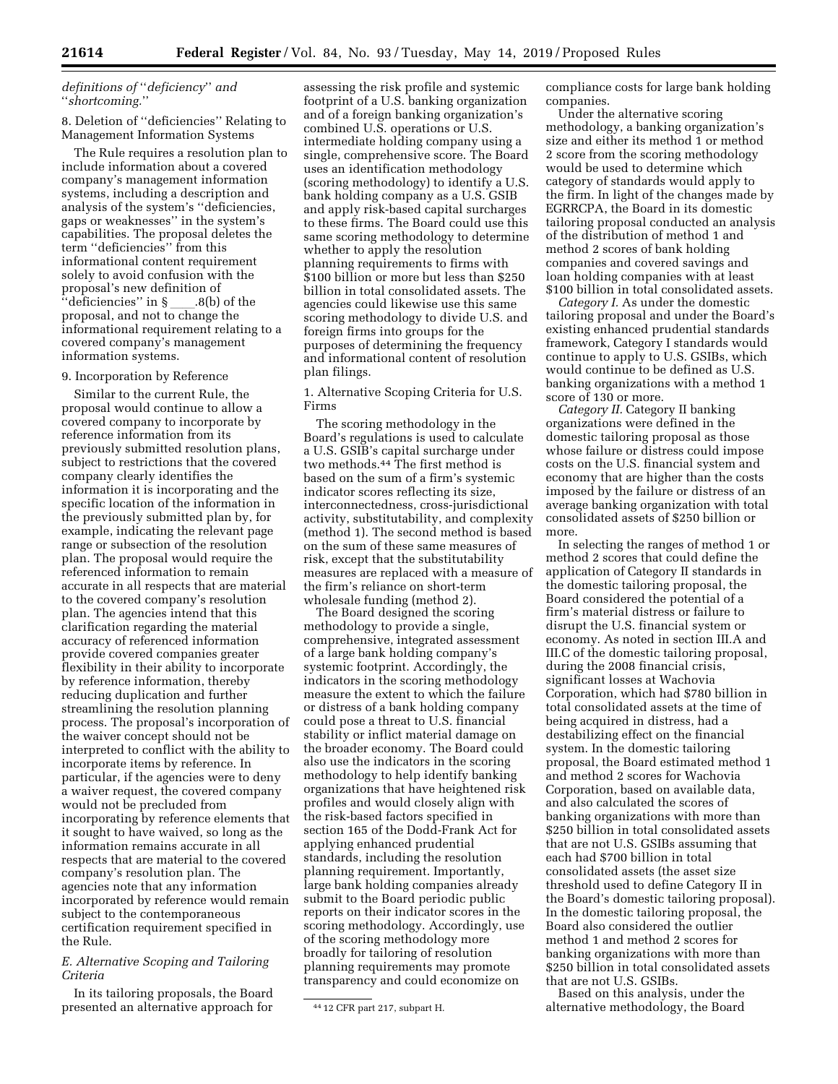# *definitions of* ''*deficiency*'' *and*  ''*shortcoming.*''

### 8. Deletion of ''deficiencies'' Relating to Management Information Systems

The Rule requires a resolution plan to include information about a covered company's management information systems, including a description and analysis of the system's ''deficiencies, gaps or weaknesses'' in the system's capabilities. The proposal deletes the term ''deficiencies'' from this informational content requirement solely to avoid confusion with the proposal's new definition of<br>"deficiencies" in §\_\_\_\_.8(b) ''deficiencies'' in § ll.8(b) of the proposal, and not to change the informational requirement relating to a covered company's management information systems.

### 9. Incorporation by Reference

Similar to the current Rule, the proposal would continue to allow a covered company to incorporate by reference information from its previously submitted resolution plans, subject to restrictions that the covered company clearly identifies the information it is incorporating and the specific location of the information in the previously submitted plan by, for example, indicating the relevant page range or subsection of the resolution plan. The proposal would require the referenced information to remain accurate in all respects that are material to the covered company's resolution plan. The agencies intend that this clarification regarding the material accuracy of referenced information provide covered companies greater flexibility in their ability to incorporate by reference information, thereby reducing duplication and further streamlining the resolution planning process. The proposal's incorporation of the waiver concept should not be interpreted to conflict with the ability to incorporate items by reference. In particular, if the agencies were to deny a waiver request, the covered company would not be precluded from incorporating by reference elements that it sought to have waived, so long as the information remains accurate in all respects that are material to the covered company's resolution plan. The agencies note that any information incorporated by reference would remain subject to the contemporaneous certification requirement specified in the Rule.

## *E. Alternative Scoping and Tailoring Criteria*

In its tailoring proposals, the Board presented an alternative approach for

assessing the risk profile and systemic footprint of a U.S. banking organization and of a foreign banking organization's combined U.S. operations or U.S. intermediate holding company using a single, comprehensive score. The Board uses an identification methodology (scoring methodology) to identify a U.S. bank holding company as a U.S. GSIB and apply risk-based capital surcharges to these firms. The Board could use this same scoring methodology to determine whether to apply the resolution planning requirements to firms with \$100 billion or more but less than \$250 billion in total consolidated assets. The agencies could likewise use this same scoring methodology to divide U.S. and foreign firms into groups for the purposes of determining the frequency and informational content of resolution plan filings.

1. Alternative Scoping Criteria for U.S. Firms

The scoring methodology in the Board's regulations is used to calculate a U.S. GSIB's capital surcharge under two methods.44 The first method is based on the sum of a firm's systemic indicator scores reflecting its size, interconnectedness, cross-jurisdictional activity, substitutability, and complexity (method 1). The second method is based on the sum of these same measures of risk, except that the substitutability measures are replaced with a measure of the firm's reliance on short-term wholesale funding (method 2).

The Board designed the scoring methodology to provide a single, comprehensive, integrated assessment of a large bank holding company's systemic footprint. Accordingly, the indicators in the scoring methodology measure the extent to which the failure or distress of a bank holding company could pose a threat to U.S. financial stability or inflict material damage on the broader economy. The Board could also use the indicators in the scoring methodology to help identify banking organizations that have heightened risk profiles and would closely align with the risk-based factors specified in section 165 of the Dodd-Frank Act for applying enhanced prudential standards, including the resolution planning requirement. Importantly, large bank holding companies already submit to the Board periodic public reports on their indicator scores in the scoring methodology. Accordingly, use of the scoring methodology more broadly for tailoring of resolution planning requirements may promote transparency and could economize on

compliance costs for large bank holding companies.

Under the alternative scoring methodology, a banking organization's size and either its method 1 or method 2 score from the scoring methodology would be used to determine which category of standards would apply to the firm. In light of the changes made by EGRRCPA, the Board in its domestic tailoring proposal conducted an analysis of the distribution of method 1 and method 2 scores of bank holding companies and covered savings and loan holding companies with at least \$100 billion in total consolidated assets.

*Category I.* As under the domestic tailoring proposal and under the Board's existing enhanced prudential standards framework, Category I standards would continue to apply to U.S. GSIBs, which would continue to be defined as U.S. banking organizations with a method 1 score of 130 or more.

*Category II.* Category II banking organizations were defined in the domestic tailoring proposal as those whose failure or distress could impose costs on the U.S. financial system and economy that are higher than the costs imposed by the failure or distress of an average banking organization with total consolidated assets of \$250 billion or more.

In selecting the ranges of method 1 or method 2 scores that could define the application of Category II standards in the domestic tailoring proposal, the Board considered the potential of a firm's material distress or failure to disrupt the U.S. financial system or economy. As noted in section III.A and III.C of the domestic tailoring proposal, during the 2008 financial crisis, significant losses at Wachovia Corporation, which had \$780 billion in total consolidated assets at the time of being acquired in distress, had a destabilizing effect on the financial system. In the domestic tailoring proposal, the Board estimated method 1 and method 2 scores for Wachovia Corporation, based on available data, and also calculated the scores of banking organizations with more than \$250 billion in total consolidated assets that are not U.S. GSIBs assuming that each had \$700 billion in total consolidated assets (the asset size threshold used to define Category II in the Board's domestic tailoring proposal). In the domestic tailoring proposal, the Board also considered the outlier method 1 and method 2 scores for banking organizations with more than \$250 billion in total consolidated assets that are not U.S. GSIBs.

Based on this analysis, under the alternative methodology, the Board

<sup>44</sup> 12 CFR part 217, subpart H.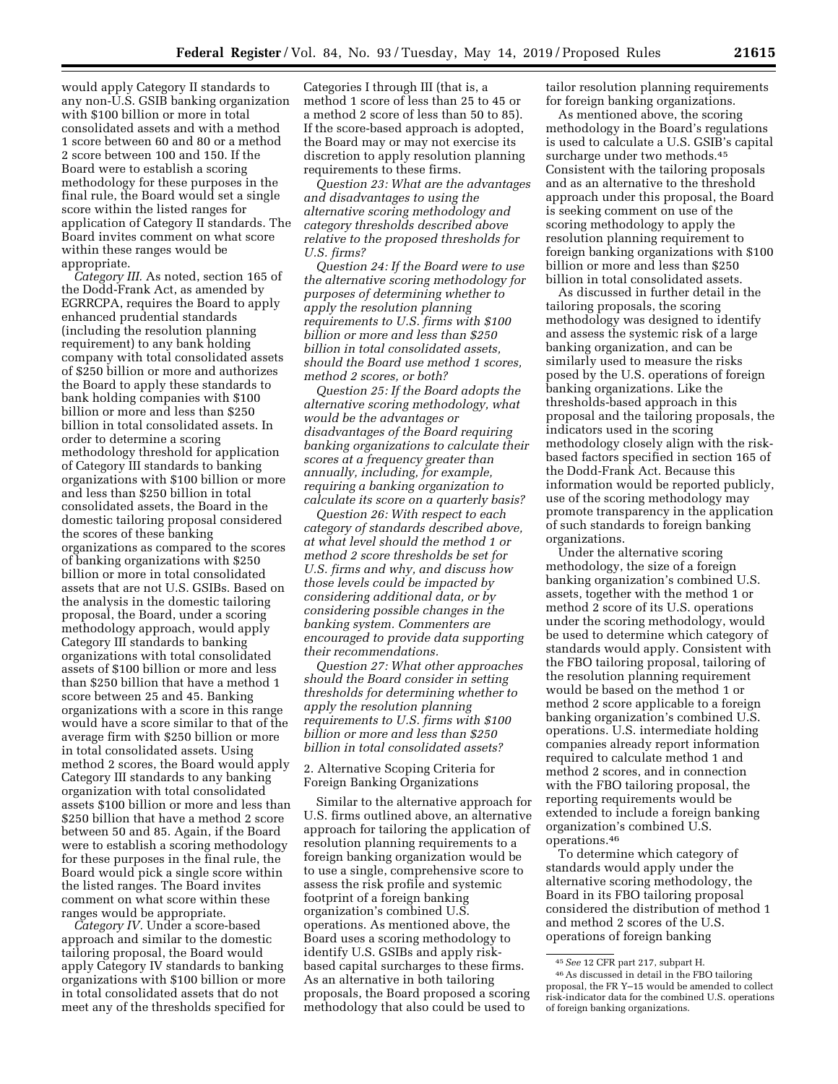would apply Category II standards to any non-U.S. GSIB banking organization with \$100 billion or more in total consolidated assets and with a method 1 score between 60 and 80 or a method 2 score between 100 and 150. If the Board were to establish a scoring methodology for these purposes in the final rule, the Board would set a single score within the listed ranges for application of Category II standards. The Board invites comment on what score within these ranges would be appropriate.

*Category III.* As noted, section 165 of the Dodd-Frank Act, as amended by EGRRCPA, requires the Board to apply enhanced prudential standards (including the resolution planning requirement) to any bank holding company with total consolidated assets of \$250 billion or more and authorizes the Board to apply these standards to bank holding companies with \$100 billion or more and less than \$250 billion in total consolidated assets. In order to determine a scoring methodology threshold for application of Category III standards to banking organizations with \$100 billion or more and less than \$250 billion in total consolidated assets, the Board in the domestic tailoring proposal considered the scores of these banking organizations as compared to the scores of banking organizations with \$250 billion or more in total consolidated assets that are not U.S. GSIBs. Based on the analysis in the domestic tailoring proposal, the Board, under a scoring methodology approach, would apply Category III standards to banking organizations with total consolidated assets of \$100 billion or more and less than \$250 billion that have a method 1 score between 25 and 45. Banking organizations with a score in this range would have a score similar to that of the average firm with \$250 billion or more in total consolidated assets. Using method 2 scores, the Board would apply Category III standards to any banking organization with total consolidated assets \$100 billion or more and less than \$250 billion that have a method 2 score between 50 and 85. Again, if the Board were to establish a scoring methodology for these purposes in the final rule, the Board would pick a single score within the listed ranges. The Board invites comment on what score within these ranges would be appropriate.

*Category IV.* Under a score-based approach and similar to the domestic tailoring proposal, the Board would apply Category IV standards to banking organizations with \$100 billion or more in total consolidated assets that do not meet any of the thresholds specified for

Categories I through III (that is, a method 1 score of less than 25 to 45 or a method 2 score of less than 50 to 85). If the score-based approach is adopted, the Board may or may not exercise its discretion to apply resolution planning requirements to these firms.

*Question 23: What are the advantages and disadvantages to using the alternative scoring methodology and category thresholds described above relative to the proposed thresholds for U.S. firms?* 

*Question 24: If the Board were to use the alternative scoring methodology for purposes of determining whether to apply the resolution planning requirements to U.S. firms with \$100 billion or more and less than \$250 billion in total consolidated assets, should the Board use method 1 scores, method 2 scores, or both?* 

*Question 25: If the Board adopts the alternative scoring methodology, what would be the advantages or disadvantages of the Board requiring banking organizations to calculate their scores at a frequency greater than annually, including, for example, requiring a banking organization to calculate its score on a quarterly basis?* 

*Question 26: With respect to each category of standards described above, at what level should the method 1 or method 2 score thresholds be set for U.S. firms and why, and discuss how those levels could be impacted by considering additional data, or by considering possible changes in the banking system. Commenters are encouraged to provide data supporting their recommendations.* 

*Question 27: What other approaches should the Board consider in setting thresholds for determining whether to apply the resolution planning requirements to U.S. firms with \$100 billion or more and less than \$250 billion in total consolidated assets?* 

2. Alternative Scoping Criteria for Foreign Banking Organizations

Similar to the alternative approach for U.S. firms outlined above, an alternative approach for tailoring the application of resolution planning requirements to a foreign banking organization would be to use a single, comprehensive score to assess the risk profile and systemic footprint of a foreign banking organization's combined U.S. operations. As mentioned above, the Board uses a scoring methodology to identify U.S. GSIBs and apply riskbased capital surcharges to these firms. As an alternative in both tailoring proposals, the Board proposed a scoring methodology that also could be used to

tailor resolution planning requirements for foreign banking organizations.

As mentioned above, the scoring methodology in the Board's regulations is used to calculate a U.S. GSIB's capital surcharge under two methods.45 Consistent with the tailoring proposals and as an alternative to the threshold approach under this proposal, the Board is seeking comment on use of the scoring methodology to apply the resolution planning requirement to foreign banking organizations with \$100 billion or more and less than \$250 billion in total consolidated assets.

As discussed in further detail in the tailoring proposals, the scoring methodology was designed to identify and assess the systemic risk of a large banking organization, and can be similarly used to measure the risks posed by the U.S. operations of foreign banking organizations. Like the thresholds-based approach in this proposal and the tailoring proposals, the indicators used in the scoring methodology closely align with the riskbased factors specified in section 165 of the Dodd-Frank Act. Because this information would be reported publicly, use of the scoring methodology may promote transparency in the application of such standards to foreign banking organizations.

Under the alternative scoring methodology, the size of a foreign banking organization's combined U.S. assets, together with the method 1 or method 2 score of its U.S. operations under the scoring methodology, would be used to determine which category of standards would apply. Consistent with the FBO tailoring proposal, tailoring of the resolution planning requirement would be based on the method 1 or method 2 score applicable to a foreign banking organization's combined U.S. operations. U.S. intermediate holding companies already report information required to calculate method 1 and method 2 scores, and in connection with the FBO tailoring proposal, the reporting requirements would be extended to include a foreign banking organization's combined U.S. operations.46

To determine which category of standards would apply under the alternative scoring methodology, the Board in its FBO tailoring proposal considered the distribution of method 1 and method 2 scores of the U.S. operations of foreign banking

<sup>45</sup>*See* 12 CFR part 217, subpart H.

<sup>46</sup>As discussed in detail in the FBO tailoring proposal, the FR Y–15 would be amended to collect risk-indicator data for the combined U.S. operations of foreign banking organizations.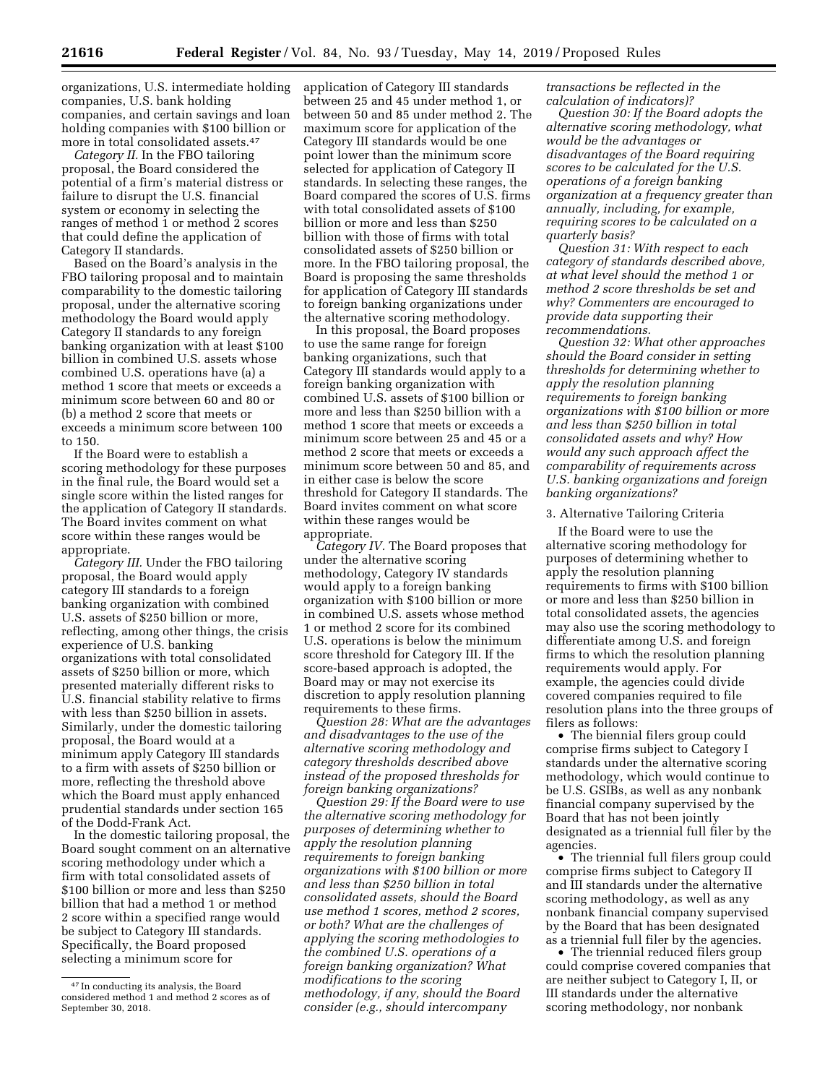organizations, U.S. intermediate holding companies, U.S. bank holding

companies, and certain savings and loan holding companies with \$100 billion or more in total consolidated assets.47 *Category II.* In the FBO tailoring

proposal, the Board considered the potential of a firm's material distress or failure to disrupt the U.S. financial system or economy in selecting the ranges of method 1 or method 2 scores that could define the application of Category II standards.

Based on the Board's analysis in the FBO tailoring proposal and to maintain comparability to the domestic tailoring proposal, under the alternative scoring methodology the Board would apply Category II standards to any foreign banking organization with at least \$100 billion in combined U.S. assets whose combined U.S. operations have (a) a method 1 score that meets or exceeds a minimum score between 60 and 80 or (b) a method 2 score that meets or exceeds a minimum score between 100 to 150.

If the Board were to establish a scoring methodology for these purposes in the final rule, the Board would set a single score within the listed ranges for the application of Category II standards. The Board invites comment on what score within these ranges would be appropriate.

*Category III.* Under the FBO tailoring proposal, the Board would apply category III standards to a foreign banking organization with combined U.S. assets of \$250 billion or more, reflecting, among other things, the crisis experience of U.S. banking organizations with total consolidated assets of \$250 billion or more, which presented materially different risks to U.S. financial stability relative to firms with less than \$250 billion in assets. Similarly, under the domestic tailoring proposal, the Board would at a minimum apply Category III standards to a firm with assets of \$250 billion or more, reflecting the threshold above which the Board must apply enhanced prudential standards under section 165 of the Dodd-Frank Act.

In the domestic tailoring proposal, the Board sought comment on an alternative scoring methodology under which a firm with total consolidated assets of \$100 billion or more and less than \$250 billion that had a method 1 or method 2 score within a specified range would be subject to Category III standards. Specifically, the Board proposed selecting a minimum score for

application of Category III standards between 25 and 45 under method 1, or between 50 and 85 under method 2. The maximum score for application of the Category III standards would be one point lower than the minimum score selected for application of Category II standards. In selecting these ranges, the Board compared the scores of U.S. firms with total consolidated assets of \$100 billion or more and less than \$250 billion with those of firms with total consolidated assets of \$250 billion or more. In the FBO tailoring proposal, the Board is proposing the same thresholds for application of Category III standards to foreign banking organizations under the alternative scoring methodology.

In this proposal, the Board proposes to use the same range for foreign banking organizations, such that Category III standards would apply to a foreign banking organization with combined U.S. assets of \$100 billion or more and less than \$250 billion with a method 1 score that meets or exceeds a minimum score between 25 and 45 or a method 2 score that meets or exceeds a minimum score between 50 and 85, and in either case is below the score threshold for Category II standards. The Board invites comment on what score within these ranges would be appropriate.

*Category IV.* The Board proposes that under the alternative scoring methodology, Category IV standards would apply to a foreign banking organization with \$100 billion or more in combined U.S. assets whose method 1 or method 2 score for its combined U.S. operations is below the minimum score threshold for Category III. If the score-based approach is adopted, the Board may or may not exercise its discretion to apply resolution planning requirements to these firms.

*Question 28: What are the advantages and disadvantages to the use of the alternative scoring methodology and category thresholds described above instead of the proposed thresholds for foreign banking organizations?* 

*Question 29: If the Board were to use the alternative scoring methodology for purposes of determining whether to apply the resolution planning requirements to foreign banking organizations with \$100 billion or more and less than \$250 billion in total consolidated assets, should the Board use method 1 scores, method 2 scores, or both? What are the challenges of applying the scoring methodologies to the combined U.S. operations of a foreign banking organization? What modifications to the scoring methodology, if any, should the Board consider (e.g., should intercompany* 

*transactions be reflected in the calculation of indicators)?* 

*Question 30: If the Board adopts the alternative scoring methodology, what would be the advantages or disadvantages of the Board requiring scores to be calculated for the U.S. operations of a foreign banking organization at a frequency greater than annually, including, for example, requiring scores to be calculated on a quarterly basis?* 

*Question 31: With respect to each category of standards described above, at what level should the method 1 or method 2 score thresholds be set and why? Commenters are encouraged to provide data supporting their recommendations.* 

*Question 32: What other approaches should the Board consider in setting thresholds for determining whether to apply the resolution planning requirements to foreign banking organizations with \$100 billion or more and less than \$250 billion in total consolidated assets and why? How would any such approach affect the comparability of requirements across U.S. banking organizations and foreign banking organizations?* 

#### 3. Alternative Tailoring Criteria

If the Board were to use the alternative scoring methodology for purposes of determining whether to apply the resolution planning requirements to firms with \$100 billion or more and less than \$250 billion in total consolidated assets, the agencies may also use the scoring methodology to differentiate among U.S. and foreign firms to which the resolution planning requirements would apply. For example, the agencies could divide covered companies required to file resolution plans into the three groups of filers as follows:

• The biennial filers group could comprise firms subject to Category I standards under the alternative scoring methodology, which would continue to be U.S. GSIBs, as well as any nonbank financial company supervised by the Board that has not been jointly designated as a triennial full filer by the agencies.

• The triennial full filers group could comprise firms subject to Category II and III standards under the alternative scoring methodology, as well as any nonbank financial company supervised by the Board that has been designated as a triennial full filer by the agencies.

• The triennial reduced filers group could comprise covered companies that are neither subject to Category I, II, or III standards under the alternative scoring methodology, nor nonbank

<sup>47</sup> In conducting its analysis, the Board considered method 1 and method 2 scores as of September 30, 2018.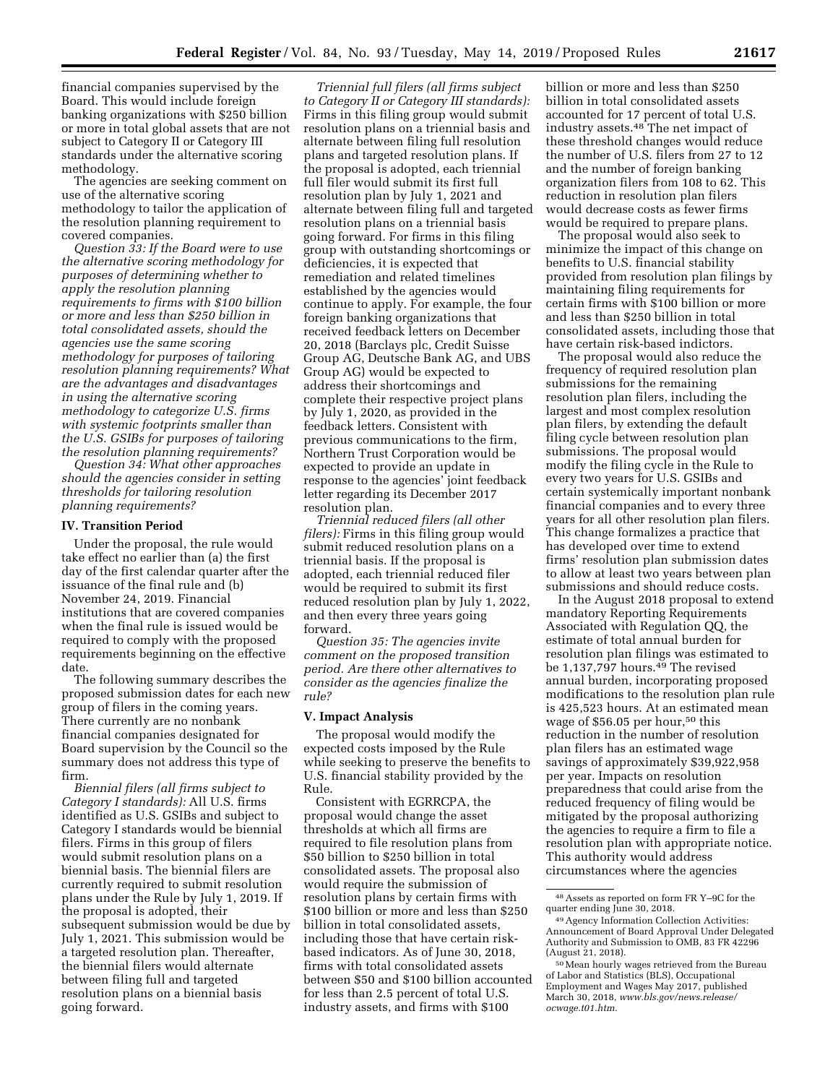financial companies supervised by the Board. This would include foreign banking organizations with \$250 billion or more in total global assets that are not subject to Category II or Category III standards under the alternative scoring

methodology. The agencies are seeking comment on use of the alternative scoring methodology to tailor the application of the resolution planning requirement to covered companies.

*Question 33: If the Board were to use the alternative scoring methodology for purposes of determining whether to apply the resolution planning requirements to firms with \$100 billion or more and less than \$250 billion in total consolidated assets, should the agencies use the same scoring methodology for purposes of tailoring resolution planning requirements? What are the advantages and disadvantages in using the alternative scoring methodology to categorize U.S. firms with systemic footprints smaller than the U.S. GSIBs for purposes of tailoring the resolution planning requirements?* 

*Question 34: What other approaches should the agencies consider in setting thresholds for tailoring resolution planning requirements?* 

#### **IV. Transition Period**

Under the proposal, the rule would take effect no earlier than (a) the first day of the first calendar quarter after the issuance of the final rule and (b) November 24, 2019. Financial institutions that are covered companies when the final rule is issued would be required to comply with the proposed requirements beginning on the effective date.

The following summary describes the proposed submission dates for each new group of filers in the coming years. There currently are no nonbank financial companies designated for Board supervision by the Council so the summary does not address this type of firm.

*Biennial filers (all firms subject to Category I standards):* All U.S. firms identified as U.S. GSIBs and subject to Category I standards would be biennial filers. Firms in this group of filers would submit resolution plans on a biennial basis. The biennial filers are currently required to submit resolution plans under the Rule by July 1, 2019. If the proposal is adopted, their subsequent submission would be due by July 1, 2021. This submission would be a targeted resolution plan. Thereafter, the biennial filers would alternate between filing full and targeted resolution plans on a biennial basis going forward.

*Triennial full filers (all firms subject to Category II or Category III standards):*  Firms in this filing group would submit resolution plans on a triennial basis and alternate between filing full resolution plans and targeted resolution plans. If the proposal is adopted, each triennial full filer would submit its first full resolution plan by July 1, 2021 and alternate between filing full and targeted resolution plans on a triennial basis going forward. For firms in this filing group with outstanding shortcomings or deficiencies, it is expected that remediation and related timelines established by the agencies would continue to apply. For example, the four foreign banking organizations that received feedback letters on December 20, 2018 (Barclays plc, Credit Suisse Group AG, Deutsche Bank AG, and UBS Group AG) would be expected to address their shortcomings and complete their respective project plans by July 1, 2020, as provided in the feedback letters. Consistent with previous communications to the firm, Northern Trust Corporation would be expected to provide an update in response to the agencies' joint feedback letter regarding its December 2017 resolution plan.

*Triennial reduced filers (all other filers):* Firms in this filing group would submit reduced resolution plans on a triennial basis. If the proposal is adopted, each triennial reduced filer would be required to submit its first reduced resolution plan by July 1, 2022, and then every three years going forward.

*Question 35: The agencies invite comment on the proposed transition period. Are there other alternatives to consider as the agencies finalize the rule?* 

#### **V. Impact Analysis**

The proposal would modify the expected costs imposed by the Rule while seeking to preserve the benefits to U.S. financial stability provided by the Rule.

Consistent with EGRRCPA, the proposal would change the asset thresholds at which all firms are required to file resolution plans from \$50 billion to \$250 billion in total consolidated assets. The proposal also would require the submission of resolution plans by certain firms with \$100 billion or more and less than \$250 billion in total consolidated assets, including those that have certain riskbased indicators. As of June 30, 2018, firms with total consolidated assets between \$50 and \$100 billion accounted for less than 2.5 percent of total U.S. industry assets, and firms with \$100

billion or more and less than \$250 billion in total consolidated assets accounted for 17 percent of total U.S. industry assets.48 The net impact of these threshold changes would reduce the number of U.S. filers from 27 to 12 and the number of foreign banking organization filers from 108 to 62. This reduction in resolution plan filers would decrease costs as fewer firms would be required to prepare plans.

The proposal would also seek to minimize the impact of this change on benefits to U.S. financial stability provided from resolution plan filings by maintaining filing requirements for certain firms with \$100 billion or more and less than \$250 billion in total consolidated assets, including those that have certain risk-based indictors.

The proposal would also reduce the frequency of required resolution plan submissions for the remaining resolution plan filers, including the largest and most complex resolution plan filers, by extending the default filing cycle between resolution plan submissions. The proposal would modify the filing cycle in the Rule to every two years for U.S. GSIBs and certain systemically important nonbank financial companies and to every three years for all other resolution plan filers. This change formalizes a practice that has developed over time to extend firms' resolution plan submission dates to allow at least two years between plan submissions and should reduce costs.

In the August 2018 proposal to extend mandatory Reporting Requirements Associated with Regulation QQ, the estimate of total annual burden for resolution plan filings was estimated to be 1,137,797 hours.49 The revised annual burden, incorporating proposed modifications to the resolution plan rule is 425,523 hours. At an estimated mean wage of \$56.05 per hour,<sup>50</sup> this reduction in the number of resolution plan filers has an estimated wage savings of approximately \$39,922,958 per year. Impacts on resolution preparedness that could arise from the reduced frequency of filing would be mitigated by the proposal authorizing the agencies to require a firm to file a resolution plan with appropriate notice. This authority would address circumstances where the agencies

 $48$  Assets as reported on form FR Y–9C for the quarter ending June 30, 2018.

<sup>49</sup> Agency Information Collection Activities: Announcement of Board Approval Under Delegated Authority and Submission to OMB, 83 FR 42296<br>(August 21, 2018).

<sup>&</sup>lt;sup>50</sup> Mean hourly wages retrieved from the Bureau of Labor and Statistics (BLS), Occupational Employment and Wages May 2017, published March 30, 2018, *[www.bls.gov/news.release/](http://www.bls.gov/news.release/ocwage.t01.htm)  [ocwage.t01.htm.](http://www.bls.gov/news.release/ocwage.t01.htm)*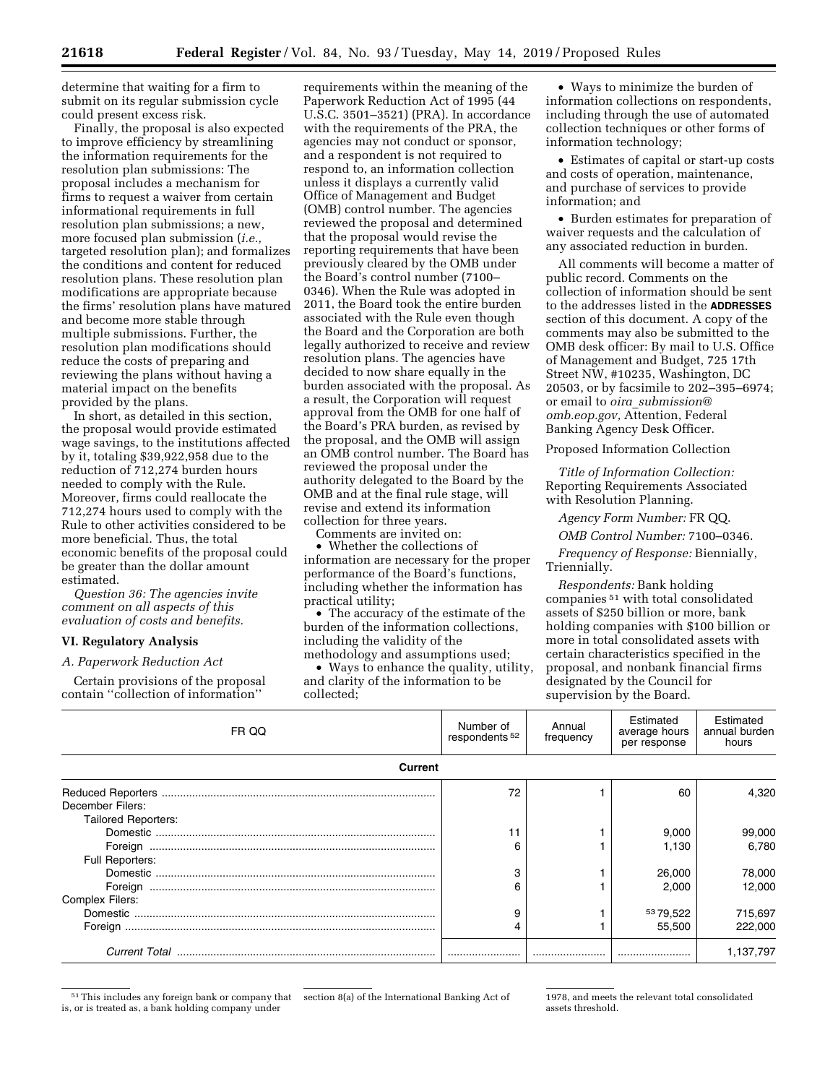determine that waiting for a firm to submit on its regular submission cycle could present excess risk.

Finally, the proposal is also expected to improve efficiency by streamlining the information requirements for the resolution plan submissions: The proposal includes a mechanism for firms to request a waiver from certain informational requirements in full resolution plan submissions; a new, more focused plan submission (*i.e.,*  targeted resolution plan); and formalizes the conditions and content for reduced resolution plans. These resolution plan modifications are appropriate because the firms' resolution plans have matured and become more stable through multiple submissions. Further, the resolution plan modifications should reduce the costs of preparing and reviewing the plans without having a material impact on the benefits provided by the plans.

In short, as detailed in this section, the proposal would provide estimated wage savings, to the institutions affected by it, totaling \$39,922,958 due to the reduction of 712,274 burden hours needed to comply with the Rule. Moreover, firms could reallocate the 712,274 hours used to comply with the Rule to other activities considered to be more beneficial. Thus, the total economic benefits of the proposal could be greater than the dollar amount estimated.

*Question 36: The agencies invite comment on all aspects of this evaluation of costs and benefits.* 

### **VI. Regulatory Analysis**

#### *A. Paperwork Reduction Act*

Certain provisions of the proposal contain ''collection of information''

requirements within the meaning of the Paperwork Reduction Act of 1995 (44 U.S.C. 3501–3521) (PRA). In accordance with the requirements of the PRA, the agencies may not conduct or sponsor, and a respondent is not required to respond to, an information collection unless it displays a currently valid Office of Management and Budget (OMB) control number. The agencies reviewed the proposal and determined that the proposal would revise the reporting requirements that have been previously cleared by the OMB under the Board's control number (7100– 0346). When the Rule was adopted in 2011, the Board took the entire burden associated with the Rule even though the Board and the Corporation are both legally authorized to receive and review resolution plans. The agencies have decided to now share equally in the burden associated with the proposal. As a result, the Corporation will request approval from the OMB for one half of the Board's PRA burden, as revised by the proposal, and the OMB will assign an OMB control number. The Board has reviewed the proposal under the authority delegated to the Board by the OMB and at the final rule stage, will revise and extend its information collection for three years.

Comments are invited on:

• Whether the collections of information are necessary for the proper performance of the Board's functions, including whether the information has practical utility;

• The accuracy of the estimate of the burden of the information collections, including the validity of the methodology and assumptions used;

• Ways to enhance the quality, utility, and clarity of the information to be collected;

• Ways to minimize the burden of information collections on respondents, including through the use of automated collection techniques or other forms of information technology;

• Estimates of capital or start-up costs and costs of operation, maintenance, and purchase of services to provide information; and

• Burden estimates for preparation of waiver requests and the calculation of any associated reduction in burden.

All comments will become a matter of public record. Comments on the collection of information should be sent to the addresses listed in the **ADDRESSES** section of this document. A copy of the comments may also be submitted to the OMB desk officer: By mail to U.S. Office of Management and Budget, 725 17th Street NW, #10235, Washington, DC 20503, or by facsimile to 202–395–6974; or email to *oira*\_*[submission@](mailto:oira_submission@omb.eop.gov) [omb.eop.gov,](mailto:oira_submission@omb.eop.gov)* Attention, Federal Banking Agency Desk Officer.

Proposed Information Collection

*Title of Information Collection:*  Reporting Requirements Associated with Resolution Planning.

*Agency Form Number:* FR QQ.

*OMB Control Number:* 7100–0346.

*Frequency of Response:* Biennially, Triennially.

*Respondents:* Bank holding companies 51 with total consolidated assets of \$250 billion or more, bank holding companies with \$100 billion or more in total consolidated assets with certain characteristics specified in the proposal, and nonbank financial firms designated by the Council for supervision by the Board.

| FR QQ                      | Number of<br>respondents <sup>52</sup> | Annual<br>frequency | Estimated<br>average hours<br>per response | Estimated<br>annual burden<br>hours |  |  |
|----------------------------|----------------------------------------|---------------------|--------------------------------------------|-------------------------------------|--|--|
| Current                    |                                        |                     |                                            |                                     |  |  |
|                            | 72                                     |                     | 60                                         | 4.320                               |  |  |
| December Filers:           |                                        |                     |                                            |                                     |  |  |
| <b>Tailored Reporters:</b> |                                        |                     |                                            |                                     |  |  |
|                            |                                        |                     | 9,000                                      | 99,000                              |  |  |
|                            | 6                                      |                     | 1.130                                      | 6.780                               |  |  |
| Full Reporters:            |                                        |                     |                                            |                                     |  |  |
|                            | 3                                      |                     | 26,000                                     | 78,000                              |  |  |
|                            | 6                                      |                     | 2.000                                      | 12.000                              |  |  |
| Complex Filers:            |                                        |                     |                                            |                                     |  |  |
|                            | 9                                      |                     | 5379,522                                   | 715,697                             |  |  |
| Foreign                    | 4                                      |                     | 55.500                                     | 222,000                             |  |  |
|                            |                                        |                     |                                            | 1,137,797                           |  |  |

51This includes any foreign bank or company that is, or is treated as, a bank holding company under

section 8(a) of the International Banking Act of 1978, and meets the relevant total consolidated assets threshold.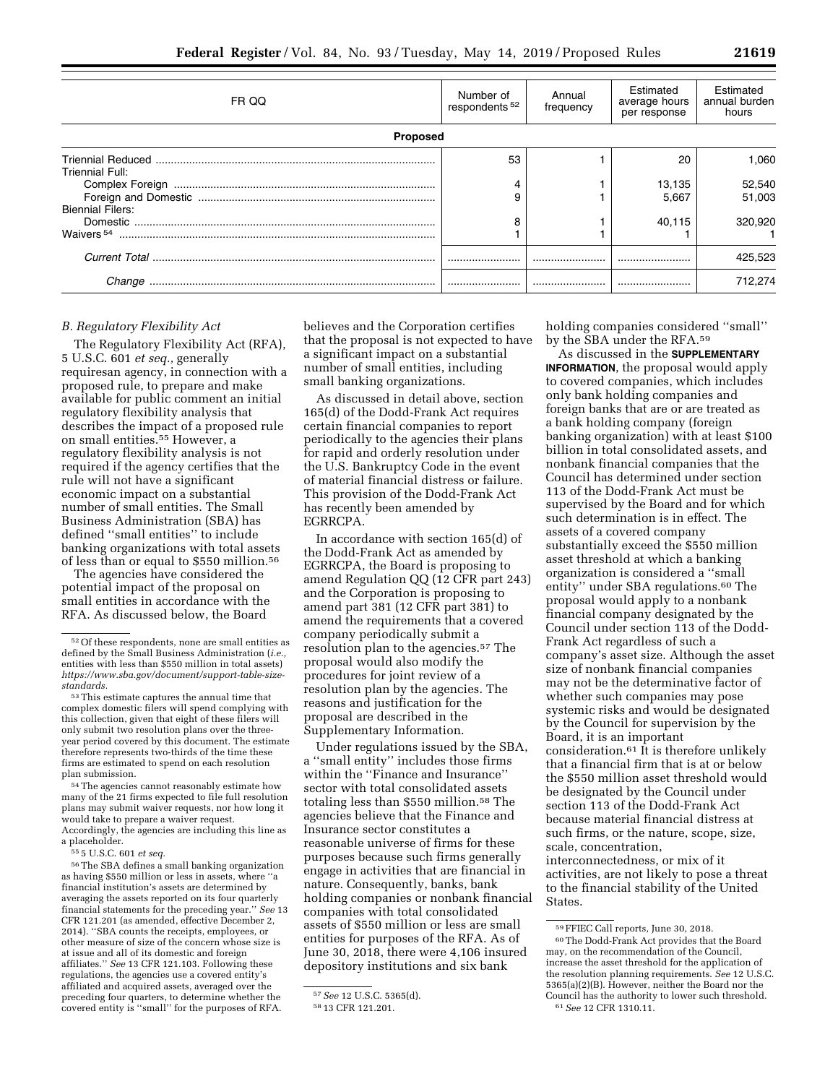| FR QQ                   | Number of<br>respondents <sup>52</sup> | Annual<br>frequency | Estimated<br>average hours<br>per response | Estimated<br>annual burden<br>hours |  |  |
|-------------------------|----------------------------------------|---------------------|--------------------------------------------|-------------------------------------|--|--|
| <b>Proposed</b>         |                                        |                     |                                            |                                     |  |  |
| Triennial Full:         | 53                                     |                     | 20                                         | 1.060                               |  |  |
|                         | 9                                      |                     | 13,135<br>5.667                            | 52,540<br>51.003                    |  |  |
| <b>Biennial Filers:</b> | я                                      |                     | 40.115                                     | 320,920                             |  |  |
|                         |                                        |                     |                                            | 425,523                             |  |  |
| Change                  |                                        |                     |                                            | 712.274                             |  |  |

### *B. Regulatory Flexibility Act*

The Regulatory Flexibility Act (RFA), 5 U.S.C. 601 *et seq.,* generally requiresan agency, in connection with a proposed rule, to prepare and make available for public comment an initial regulatory flexibility analysis that describes the impact of a proposed rule on small entities.55 However, a regulatory flexibility analysis is not required if the agency certifies that the rule will not have a significant economic impact on a substantial number of small entities. The Small Business Administration (SBA) has defined ''small entities'' to include banking organizations with total assets of less than or equal to \$550 million.56

The agencies have considered the potential impact of the proposal on small entities in accordance with the RFA. As discussed below, the Board

54The agencies cannot reasonably estimate how many of the 21 firms expected to file full resolution plans may submit waiver requests, nor how long it would take to prepare a waiver request. Accordingly, the agencies are including this line as a placeholder.

55 5 U.S.C. 601 *et seq.* 

 $^{56}\mathrm{\,The\,SBA}$  defines a small banking organization as having \$550 million or less in assets, where ''a financial institution's assets are determined by averaging the assets reported on its four quarterly financial statements for the preceding year.'' *See* 13 CFR 121.201 (as amended, effective December 2, 2014). ''SBA counts the receipts, employees, or other measure of size of the concern whose size is at issue and all of its domestic and foreign affiliates.'' *See* 13 CFR 121.103. Following these regulations, the agencies use a covered entity's affiliated and acquired assets, averaged over the preceding four quarters, to determine whether the covered entity is ''small'' for the purposes of RFA.

believes and the Corporation certifies that the proposal is not expected to have a significant impact on a substantial number of small entities, including small banking organizations.

As discussed in detail above, section 165(d) of the Dodd-Frank Act requires certain financial companies to report periodically to the agencies their plans for rapid and orderly resolution under the U.S. Bankruptcy Code in the event of material financial distress or failure. This provision of the Dodd-Frank Act has recently been amended by EGRRCPA.

In accordance with section 165(d) of the Dodd-Frank Act as amended by EGRRCPA, the Board is proposing to amend Regulation QQ (12 CFR part 243) and the Corporation is proposing to amend part 381 (12 CFR part 381) to amend the requirements that a covered company periodically submit a resolution plan to the agencies.57 The proposal would also modify the procedures for joint review of a resolution plan by the agencies. The reasons and justification for the proposal are described in the Supplementary Information.

Under regulations issued by the SBA, a ''small entity'' includes those firms within the ''Finance and Insurance'' sector with total consolidated assets totaling less than \$550 million.58 The agencies believe that the Finance and Insurance sector constitutes a reasonable universe of firms for these purposes because such firms generally engage in activities that are financial in nature. Consequently, banks, bank holding companies or nonbank financial companies with total consolidated assets of \$550 million or less are small entities for purposes of the RFA. As of June 30, 2018, there were 4,106 insured depository institutions and six bank

holding companies considered ''small'' by the SBA under the RFA.59

As discussed in the **SUPPLEMENTARY INFORMATION**, the proposal would apply to covered companies, which includes only bank holding companies and foreign banks that are or are treated as a bank holding company (foreign banking organization) with at least \$100 billion in total consolidated assets, and nonbank financial companies that the Council has determined under section 113 of the Dodd-Frank Act must be supervised by the Board and for which such determination is in effect. The assets of a covered company substantially exceed the \$550 million asset threshold at which a banking organization is considered a ''small entity'' under SBA regulations.60 The proposal would apply to a nonbank financial company designated by the Council under section 113 of the Dodd-Frank Act regardless of such a company's asset size. Although the asset size of nonbank financial companies may not be the determinative factor of whether such companies may pose systemic risks and would be designated by the Council for supervision by the Board, it is an important consideration.61 It is therefore unlikely that a financial firm that is at or below the \$550 million asset threshold would be designated by the Council under section 113 of the Dodd-Frank Act because material financial distress at such firms, or the nature, scope, size, scale, concentration, interconnectedness, or mix of it activities, are not likely to pose a threat to the financial stability of the United States.

<sup>52</sup>Of these respondents, none are small entities as defined by the Small Business Administration (*i.e.,*  entities with less than \$550 million in total assets) *[https://www.sba.gov/document/support-table-size](https://www.sba.gov/document/support-table-size-standards)[standards.](https://www.sba.gov/document/support-table-size-standards)* 

<sup>53</sup>This estimate captures the annual time that complex domestic filers will spend complying with this collection, given that eight of these filers will only submit two resolution plans over the threeyear period covered by this document. The estimate therefore represents two-thirds of the time these firms are estimated to spend on each resolution plan submission.

<sup>57</sup>*See* 12 U.S.C. 5365(d).

<sup>58</sup> 13 CFR 121.201.

<sup>59</sup>FFIEC Call reports, June 30, 2018.

<sup>60</sup>The Dodd-Frank Act provides that the Board may, on the recommendation of the Council, increase the asset threshold for the application of the resolution planning requirements. *See* 12 U.S.C. 5365(a)(2)(B). However, neither the Board nor the Council has the authority to lower such threshold. 61*See* 12 CFR 1310.11.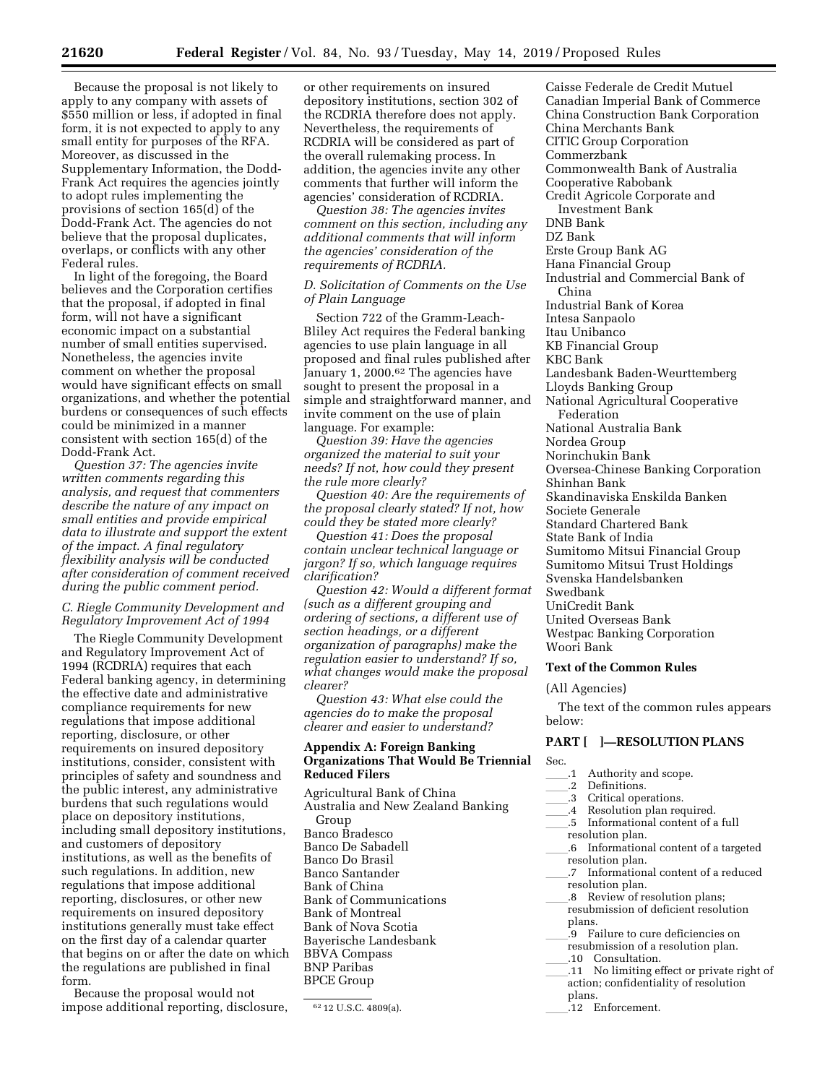Because the proposal is not likely to apply to any company with assets of \$550 million or less, if adopted in final form, it is not expected to apply to any small entity for purposes of the RFA. Moreover, as discussed in the Supplementary Information, the Dodd-Frank Act requires the agencies jointly to adopt rules implementing the

provisions of section 165(d) of the Dodd-Frank Act. The agencies do not believe that the proposal duplicates, overlaps, or conflicts with any other Federal rules.

In light of the foregoing, the Board believes and the Corporation certifies that the proposal, if adopted in final form, will not have a significant economic impact on a substantial number of small entities supervised. Nonetheless, the agencies invite comment on whether the proposal would have significant effects on small organizations, and whether the potential burdens or consequences of such effects could be minimized in a manner consistent with section 165(d) of the Dodd-Frank Act.

*Question 37: The agencies invite written comments regarding this analysis, and request that commenters describe the nature of any impact on small entities and provide empirical data to illustrate and support the extent of the impact. A final regulatory flexibility analysis will be conducted after consideration of comment received during the public comment period.* 

# *C. Riegle Community Development and Regulatory Improvement Act of 1994*

The Riegle Community Development and Regulatory Improvement Act of 1994 (RCDRIA) requires that each Federal banking agency, in determining the effective date and administrative compliance requirements for new regulations that impose additional reporting, disclosure, or other requirements on insured depository institutions, consider, consistent with principles of safety and soundness and the public interest, any administrative burdens that such regulations would place on depository institutions, including small depository institutions, and customers of depository institutions, as well as the benefits of such regulations. In addition, new regulations that impose additional reporting, disclosures, or other new requirements on insured depository institutions generally must take effect on the first day of a calendar quarter that begins on or after the date on which the regulations are published in final form.

Because the proposal would not impose additional reporting, disclosure, or other requirements on insured depository institutions, section 302 of the RCDRIA therefore does not apply. Nevertheless, the requirements of RCDRIA will be considered as part of the overall rulemaking process. In addition, the agencies invite any other comments that further will inform the agencies' consideration of RCDRIA.

*Question 38: The agencies invites comment on this section, including any additional comments that will inform the agencies' consideration of the requirements of RCDRIA.* 

### *D. Solicitation of Comments on the Use of Plain Language*

Section 722 of the Gramm-Leach-Bliley Act requires the Federal banking agencies to use plain language in all proposed and final rules published after January 1, 2000.62 The agencies have sought to present the proposal in a simple and straightforward manner, and invite comment on the use of plain language. For example:

*Question 39: Have the agencies organized the material to suit your needs? If not, how could they present the rule more clearly?* 

*Question 40: Are the requirements of the proposal clearly stated? If not, how could they be stated more clearly?* 

*Question 41: Does the proposal contain unclear technical language or jargon? If so, which language requires clarification?* 

*Question 42: Would a different format (such as a different grouping and ordering of sections, a different use of section headings, or a different organization of paragraphs) make the regulation easier to understand? If so, what changes would make the proposal clearer?* 

*Question 43: What else could the agencies do to make the proposal clearer and easier to understand?* 

## **Appendix A: Foreign Banking Organizations That Would Be Triennial Reduced Filers**

Agricultural Bank of China Australia and New Zealand Banking Group Banco Bradesco Banco De Sabadell Banco Do Brasil Banco Santander Bank of China Bank of Communications Bank of Montreal Bank of Nova Scotia Bayerische Landesbank BBVA Compass BNP Paribas BPCE Group

Caisse Federale de Credit Mutuel Canadian Imperial Bank of Commerce China Construction Bank Corporation China Merchants Bank CITIC Group Corporation Commerzbank Commonwealth Bank of Australia Cooperative Rabobank Credit Agricole Corporate and Investment Bank DNB Bank DZ Bank Erste Group Bank AG Hana Financial Group Industrial and Commercial Bank of China Industrial Bank of Korea Intesa Sanpaolo Itau Unibanco KB Financial Group KBC Bank Landesbank Baden-Weurttemberg Lloyds Banking Group National Agricultural Cooperative Federation National Australia Bank Nordea Group Norinchukin Bank Oversea-Chinese Banking Corporation Shinhan Bank Skandinaviska Enskilda Banken Societe Generale Standard Chartered Bank State Bank of India Sumitomo Mitsui Financial Group Sumitomo Mitsui Trust Holdings Svenska Handelsbanken Swedbank UniCredit Bank United Overseas Bank Westpac Banking Corporation Woori Bank

# **Text of the Common Rules**

#### (All Agencies)

The text of the common rules appears below:

# **PART [ ]—RESOLUTION PLANS**

### Sec.

- <sup>1</sup> Authority and scope.<br><sup>1</sup>.2 Definitions.
- 
- .3 Critical operations.
- 3 Critical operations.<br>4 Resolution plan req
- <sup>4</sup> Resolution plan required.<br>5 Informational content of a .5 Informational content of a full resolution plan.
- .6 Informational content of a targeted resolution plan.
- .7 Informational content of a reduced resolution plan.
- .8 Review of resolution plans; resubmission of deficient resolution plans.
- ll.9 Failure to cure deficiencies on
- resubmission of a resolution plan.<br>.10 Consultation.
- 10 Consultation.<br>11 No limiting ef
- $\frac{11}{\frac{11}{\frac{11}{\frac{100}{\frac{100}{\frac{100}{\frac{100}{\frac{100}{\frac{100}{\frac{100}{\frac{100}{\frac{100}{\frac{100}{\frac{100}{\frac{100}{\frac{100}{\frac{100}{\frac{100}{\frac{100}{\frac{100}{\frac{100}{\frac{100}{\frac{100}{\frac{100}{\frac{100}{\frac{100}{\frac{100}{\frac{100}{\frac{100}{\frac{100}{\frac{100}{\frac{100$ action; confidentiality of resolution plans.
	- ll.12 Enforcement.

<sup>62</sup> 12 U.S.C. 4809(a).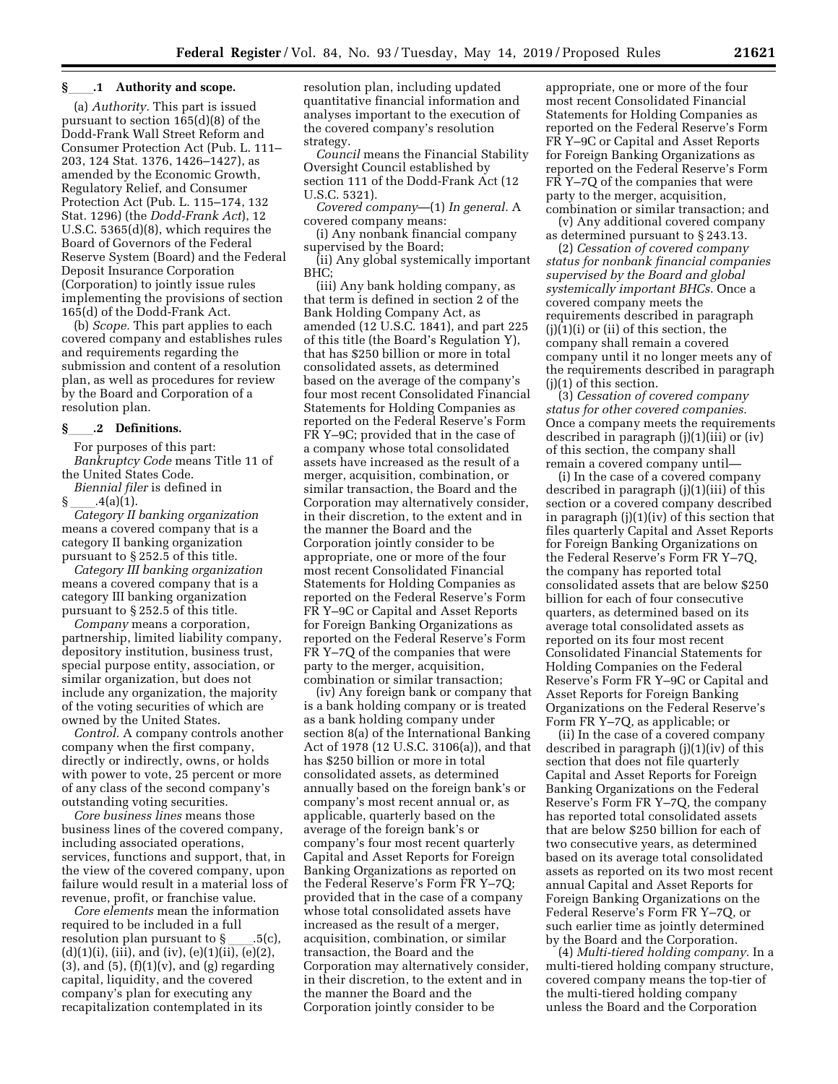### **§**ll**.1 Authority and scope.**

(a) *Authority.* This part is issued pursuant to section 165(d)(8) of the Dodd-Frank Wall Street Reform and Consumer Protection Act (Pub. L. 111– 203, 124 Stat. 1376, 1426–1427), as amended by the Economic Growth, Regulatory Relief, and Consumer Protection Act (Pub. L. 115–174, 132 Stat. 1296) (the *Dodd-Frank Act*), 12 U.S.C. 5365(d)(8), which requires the Board of Governors of the Federal Reserve System (Board) and the Federal Deposit Insurance Corporation (Corporation) to jointly issue rules implementing the provisions of section 165(d) of the Dodd-Frank Act.

(b) *Scope.* This part applies to each covered company and establishes rules and requirements regarding the submission and content of a resolution plan, as well as procedures for review by the Board and Corporation of a resolution plan.

### **§**ll**.2 Definitions.**

For purposes of this part: *Bankruptcy Code* means Title 11 of the United States Code.

*Biennial filer* is defined in

§ ll.4(a)(1). *Category II banking organization*  means a covered company that is a category II banking organization pursuant to § 252.5 of this title.

*Category III banking organization*  means a covered company that is a category III banking organization pursuant to § 252.5 of this title.

*Company* means a corporation, partnership, limited liability company, depository institution, business trust, special purpose entity, association, or similar organization, but does not include any organization, the majority of the voting securities of which are owned by the United States.

*Control.* A company controls another company when the first company, directly or indirectly, owns, or holds with power to vote, 25 percent or more of any class of the second company's outstanding voting securities.

*Core business lines* means those business lines of the covered company, including associated operations, services, functions and support, that, in the view of the covered company, upon failure would result in a material loss of revenue, profit, or franchise value.

*Core elements* mean the information required to be included in a full resolution plan pursuant to §\_\_\_.5(c),<br>(d)(1)(i), (iii), and (iv), (e)(1)(ii), (e)(2),  $(3)$ , and  $(5)$ ,  $(f)(1)(v)$ , and  $(g)$  regarding capital, liquidity, and the covered company's plan for executing any recapitalization contemplated in its

resolution plan, including updated quantitative financial information and analyses important to the execution of the covered company's resolution strategy.

*Council* means the Financial Stability Oversight Council established by section 111 of the Dodd-Frank Act (12 U.S.C. 5321).

*Covered company*—(1) *In general.* A covered company means:

(i) Any nonbank financial company supervised by the Board;

(ii) Any global systemically important BHC;

(iii) Any bank holding company, as that term is defined in section 2 of the Bank Holding Company Act, as amended (12 U.S.C. 1841), and part 225 of this title (the Board's Regulation Y), that has \$250 billion or more in total consolidated assets, as determined based on the average of the company's four most recent Consolidated Financial Statements for Holding Companies as reported on the Federal Reserve's Form FR Y–9C; provided that in the case of a company whose total consolidated assets have increased as the result of a merger, acquisition, combination, or similar transaction, the Board and the Corporation may alternatively consider, in their discretion, to the extent and in the manner the Board and the Corporation jointly consider to be appropriate, one or more of the four most recent Consolidated Financial Statements for Holding Companies as reported on the Federal Reserve's Form FR Y–9C or Capital and Asset Reports for Foreign Banking Organizations as reported on the Federal Reserve's Form FR Y–7Q of the companies that were party to the merger, acquisition, combination or similar transaction;

(iv) Any foreign bank or company that is a bank holding company or is treated as a bank holding company under section 8(a) of the International Banking Act of 1978 (12 U.S.C. 3106(a)), and that has \$250 billion or more in total consolidated assets, as determined annually based on the foreign bank's or company's most recent annual or, as applicable, quarterly based on the average of the foreign bank's or company's four most recent quarterly Capital and Asset Reports for Foreign Banking Organizations as reported on the Federal Reserve's Form FR Y–7Q; provided that in the case of a company whose total consolidated assets have increased as the result of a merger, acquisition, combination, or similar transaction, the Board and the Corporation may alternatively consider, in their discretion, to the extent and in the manner the Board and the Corporation jointly consider to be

appropriate, one or more of the four most recent Consolidated Financial Statements for Holding Companies as reported on the Federal Reserve's Form FR Y–9C or Capital and Asset Reports for Foreign Banking Organizations as reported on the Federal Reserve's Form FR Y–7Q of the companies that were party to the merger, acquisition, combination or similar transaction; and

(v) Any additional covered company as determined pursuant to § 243.13.

(2) *Cessation of covered company status for nonbank financial companies supervised by the Board and global systemically important BHCs.* Once a covered company meets the requirements described in paragraph (j)(1)(i) or (ii) of this section, the company shall remain a covered company until it no longer meets any of the requirements described in paragraph (j)(1) of this section.

(3) *Cessation of covered company status for other covered companies.*  Once a company meets the requirements described in paragraph (j)(1)(iii) or (iv) of this section, the company shall remain a covered company until—

(i) In the case of a covered company described in paragraph (j)(1)(iii) of this section or a covered company described in paragraph (j)(1)(iv) of this section that files quarterly Capital and Asset Reports for Foreign Banking Organizations on the Federal Reserve's Form FR Y–7Q, the company has reported total consolidated assets that are below \$250 billion for each of four consecutive quarters, as determined based on its average total consolidated assets as reported on its four most recent Consolidated Financial Statements for Holding Companies on the Federal Reserve's Form FR Y–9C or Capital and Asset Reports for Foreign Banking Organizations on the Federal Reserve's Form FR Y–7Q, as applicable; or

(ii) In the case of a covered company described in paragraph (j)(1)(iv) of this section that does not file quarterly Capital and Asset Reports for Foreign Banking Organizations on the Federal Reserve's Form FR Y–7Q, the company has reported total consolidated assets that are below \$250 billion for each of two consecutive years, as determined based on its average total consolidated assets as reported on its two most recent annual Capital and Asset Reports for Foreign Banking Organizations on the Federal Reserve's Form FR Y–7Q, or such earlier time as jointly determined by the Board and the Corporation.

(4) *Multi-tiered holding company.* In a multi-tiered holding company structure, covered company means the top-tier of the multi-tiered holding company unless the Board and the Corporation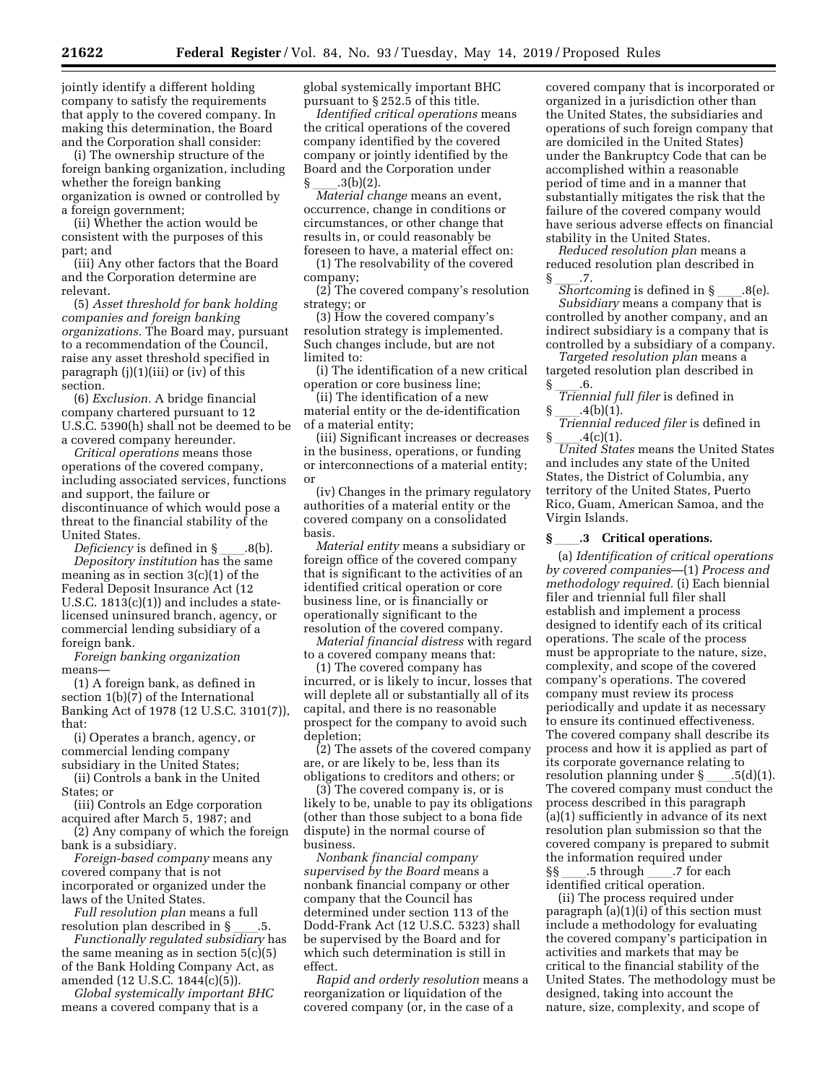jointly identify a different holding company to satisfy the requirements that apply to the covered company. In making this determination, the Board and the Corporation shall consider:

(i) The ownership structure of the foreign banking organization, including whether the foreign banking organization is owned or controlled by a foreign government;

(ii) Whether the action would be consistent with the purposes of this part; and

(iii) Any other factors that the Board and the Corporation determine are relevant.

(5) *Asset threshold for bank holding companies and foreign banking organizations.* The Board may, pursuant to a recommendation of the Council, raise any asset threshold specified in paragraph (j)(1)(iii) or (iv) of this section.

(6) *Exclusion.* A bridge financial company chartered pursuant to 12 U.S.C. 5390(h) shall not be deemed to be a covered company hereunder.

*Critical operations* means those operations of the covered company, including associated services, functions and support, the failure or discontinuance of which would pose a threat to the financial stability of the United States.<br>Deficiency is defined in §

*Deficiency* is defined in §ll.8(b). *Depository institution* has the same meaning as in section 3(c)(1) of the Federal Deposit Insurance Act (12 U.S.C. 1813(c)(1)) and includes a statelicensed uninsured branch, agency, or commercial lending subsidiary of a foreign bank.

*Foreign banking organization*  means—

(1) A foreign bank, as defined in section 1(b)(7) of the International Banking Act of 1978 (12 U.S.C. 3101(7)), that:

(i) Operates a branch, agency, or commercial lending company subsidiary in the United States;

(ii) Controls a bank in the United States; or

(iii) Controls an Edge corporation acquired after March 5, 1987; and

(2) Any company of which the foreign bank is a subsidiary.

*Foreign-based company* means any covered company that is not incorporated or organized under the laws of the United States.

*Full resolution plan* means a full

resolution plan described in §ll.5. *Functionally regulated subsidiary* has the same meaning as in section  $5(c)(5)$ of the Bank Holding Company Act, as amended (12 U.S.C. 1844(c)(5)).

*Global systemically important BHC*  means a covered company that is a

global systemically important BHC pursuant to § 252.5 of this title.

*Identified critical operations* means the critical operations of the covered company identified by the covered company or jointly identified by the Board and the Corporation under

§ \_\_\_.3(b)(2).<br>*Material change* means an event, occurrence, change in conditions or circumstances, or other change that results in, or could reasonably be foreseen to have, a material effect on:

(1) The resolvability of the covered company;

(2) The covered company's resolution strategy; or

(3) How the covered company's resolution strategy is implemented. Such changes include, but are not limited to:

(i) The identification of a new critical operation or core business line;

(ii) The identification of a new material entity or the de-identification of a material entity;

(iii) Significant increases or decreases in the business, operations, or funding or interconnections of a material entity; or

(iv) Changes in the primary regulatory authorities of a material entity or the covered company on a consolidated basis.

*Material entity* means a subsidiary or foreign office of the covered company that is significant to the activities of an identified critical operation or core business line, or is financially or operationally significant to the resolution of the covered company.

*Material financial distress* with regard to a covered company means that:

(1) The covered company has incurred, or is likely to incur, losses that will deplete all or substantially all of its capital, and there is no reasonable prospect for the company to avoid such depletion;

(2) The assets of the covered company are, or are likely to be, less than its obligations to creditors and others; or

(3) The covered company is, or is likely to be, unable to pay its obligations (other than those subject to a bona fide dispute) in the normal course of business.

*Nonbank financial company supervised by the Board* means a nonbank financial company or other company that the Council has determined under section 113 of the Dodd-Frank Act (12 U.S.C. 5323) shall be supervised by the Board and for which such determination is still in effect.

*Rapid and orderly resolution* means a reorganization or liquidation of the covered company (or, in the case of a

covered company that is incorporated or organized in a jurisdiction other than the United States, the subsidiaries and operations of such foreign company that are domiciled in the United States) under the Bankruptcy Code that can be accomplished within a reasonable period of time and in a manner that substantially mitigates the risk that the failure of the covered company would have serious adverse effects on financial stability in the United States.

*Reduced resolution plan* means a reduced resolution plan described in

.7.<br>*Shortcoming* is defined in § *Shortcoming* is defined in §\_\_\_\_.8(e).<br>*Subsidiary* means a company that is controlled by another company, and an indirect subsidiary is a company that is controlled by a subsidiary of a company.

*Targeted resolution plan* means a targeted resolution plan described in

§ \_\_\_.6.<br>*Triennial full filer* is defined in

§ <sub>——</sub>.4(b)(1).<br>*Triennial reduced filer* is defined in

§ \_\_\_\_.4(c)(1).<br>*United States* means the United States and includes any state of the United States, the District of Columbia, any territory of the United States, Puerto Rico, Guam, American Samoa, and the Virgin Islands.

#### **§** ll**.3 Critical operations.**

(a) *Identification of critical operations by covered companies*—(1) *Process and methodology required.* (i) Each biennial filer and triennial full filer shall establish and implement a process designed to identify each of its critical operations. The scale of the process must be appropriate to the nature, size, complexity, and scope of the covered company's operations. The covered company must review its process periodically and update it as necessary to ensure its continued effectiveness. The covered company shall describe its process and how it is applied as part of its corporate governance relating to resolution planning under  $\S$  \_\_\_\_.5(d)(1). The covered company must conduct the process described in this paragraph (a)(1) sufficiently in advance of its next resolution plan submission so that the covered company is prepared to submit the information required under §§ \_\_\_\_.5 through \_\_\_\_.7 for each<br>identified critical operation.

(ii) The process required under paragraph (a)(1)(i) of this section must include a methodology for evaluating the covered company's participation in activities and markets that may be critical to the financial stability of the United States. The methodology must be designed, taking into account the nature, size, complexity, and scope of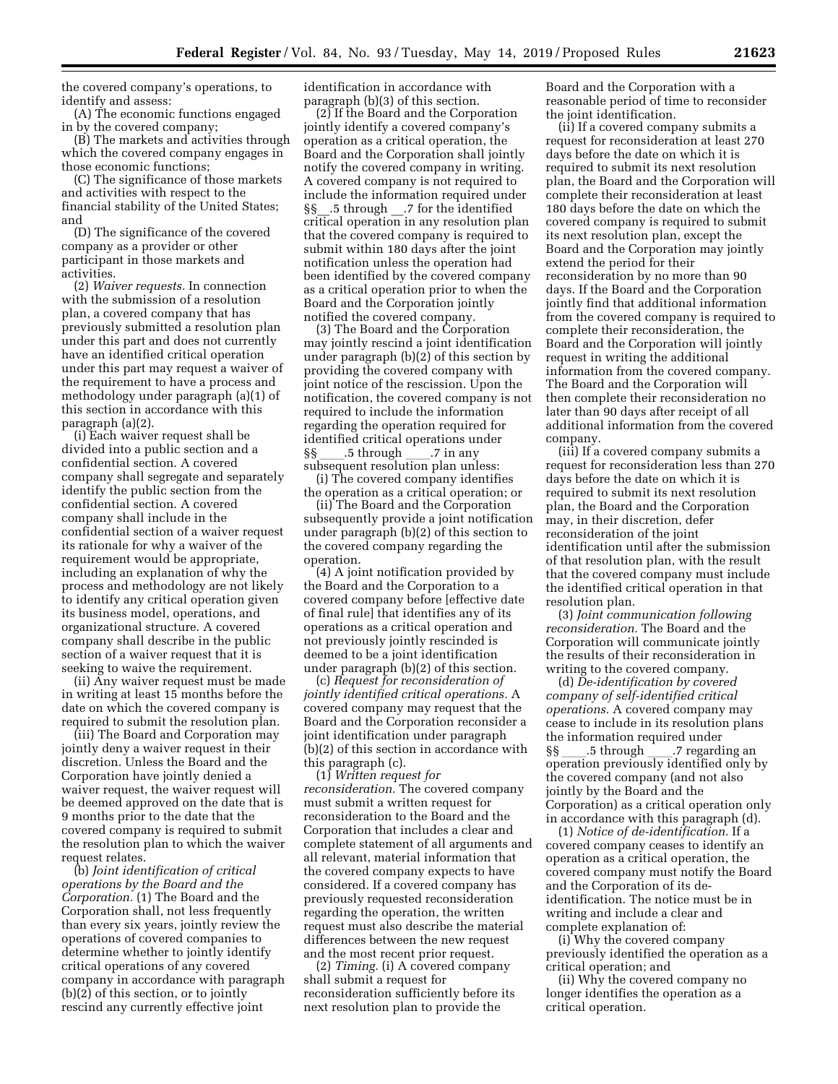the covered company's operations, to identify and assess:

(A) The economic functions engaged in by the covered company;

(B) The markets and activities through which the covered company engages in those economic functions;

(C) The significance of those markets and activities with respect to the financial stability of the United States; and

(D) The significance of the covered company as a provider or other participant in those markets and activities.

(2) *Waiver requests.* In connection with the submission of a resolution plan, a covered company that has previously submitted a resolution plan under this part and does not currently have an identified critical operation under this part may request a waiver of the requirement to have a process and methodology under paragraph (a)(1) of this section in accordance with this paragraph (a)(2).

(i) Each waiver request shall be divided into a public section and a confidential section. A covered company shall segregate and separately identify the public section from the confidential section. A covered company shall include in the confidential section of a waiver request its rationale for why a waiver of the requirement would be appropriate, including an explanation of why the process and methodology are not likely to identify any critical operation given its business model, operations, and organizational structure. A covered company shall describe in the public section of a waiver request that it is seeking to waive the requirement.

(ii) Any waiver request must be made in writing at least 15 months before the date on which the covered company is required to submit the resolution plan.

(iii) The Board and Corporation may jointly deny a waiver request in their discretion. Unless the Board and the Corporation have jointly denied a waiver request, the waiver request will be deemed approved on the date that is 9 months prior to the date that the covered company is required to submit the resolution plan to which the waiver request relates.

(b) *Joint identification of critical operations by the Board and the Corporation.* (1) The Board and the Corporation shall, not less frequently than every six years, jointly review the operations of covered companies to determine whether to jointly identify critical operations of any covered company in accordance with paragraph (b)(2) of this section, or to jointly rescind any currently effective joint

identification in accordance with paragraph (b)(3) of this section.

(2) If the Board and the Corporation jointly identify a covered company's operation as a critical operation, the Board and the Corporation shall jointly notify the covered company in writing. A covered company is not required to include the information required under §§ .5 through .7 for the identified critical operation in any resolution plan that the covered company is required to submit within 180 days after the joint notification unless the operation had been identified by the covered company as a critical operation prior to when the Board and the Corporation jointly notified the covered company.

(3) The Board and the Corporation may jointly rescind a joint identification under paragraph (b)(2) of this section by providing the covered company with joint notice of the rescission. Upon the notification, the covered company is not required to include the information regarding the operation required for identified critical operations under §§ \_\_\_\_.5 through \_\_\_\_.7 in any<br>subsequent resolution plan unless:

(i) The covered company identifies the operation as a critical operation; or

(ii) The Board and the Corporation subsequently provide a joint notification under paragraph (b)(2) of this section to the covered company regarding the operation.

(4) A joint notification provided by the Board and the Corporation to a covered company before [effective date of final rule] that identifies any of its operations as a critical operation and not previously jointly rescinded is deemed to be a joint identification under paragraph (b)(2) of this section.

(c) *Request for reconsideration of jointly identified critical operations.* A covered company may request that the Board and the Corporation reconsider a joint identification under paragraph (b)(2) of this section in accordance with this paragraph (c).

(1) *Written request for reconsideration.* The covered company must submit a written request for reconsideration to the Board and the Corporation that includes a clear and complete statement of all arguments and all relevant, material information that the covered company expects to have considered. If a covered company has previously requested reconsideration regarding the operation, the written request must also describe the material differences between the new request and the most recent prior request.

(2) *Timing.* (i) A covered company shall submit a request for reconsideration sufficiently before its next resolution plan to provide the

Board and the Corporation with a reasonable period of time to reconsider the joint identification.

(ii) If a covered company submits a request for reconsideration at least 270 days before the date on which it is required to submit its next resolution plan, the Board and the Corporation will complete their reconsideration at least 180 days before the date on which the covered company is required to submit its next resolution plan, except the Board and the Corporation may jointly extend the period for their reconsideration by no more than 90 days. If the Board and the Corporation jointly find that additional information from the covered company is required to complete their reconsideration, the Board and the Corporation will jointly request in writing the additional information from the covered company. The Board and the Corporation will then complete their reconsideration no later than 90 days after receipt of all additional information from the covered company.

(iii) If a covered company submits a request for reconsideration less than 270 days before the date on which it is required to submit its next resolution plan, the Board and the Corporation may, in their discretion, defer reconsideration of the joint identification until after the submission of that resolution plan, with the result that the covered company must include the identified critical operation in that resolution plan.

(3) *Joint communication following reconsideration.* The Board and the Corporation will communicate jointly the results of their reconsideration in writing to the covered company.

(d) *De-identification by covered company of self-identified critical operations.* A covered company may cease to include in its resolution plans the information required under §§ \_\_\_\_.5 through \_\_\_\_.7 regarding an<br>operation previously identified only by the covered company (and not also jointly by the Board and the Corporation) as a critical operation only in accordance with this paragraph (d).

(1) *Notice of de-identification.* If a covered company ceases to identify an operation as a critical operation, the covered company must notify the Board and the Corporation of its deidentification. The notice must be in writing and include a clear and complete explanation of:

(i) Why the covered company previously identified the operation as a critical operation; and

(ii) Why the covered company no longer identifies the operation as a critical operation.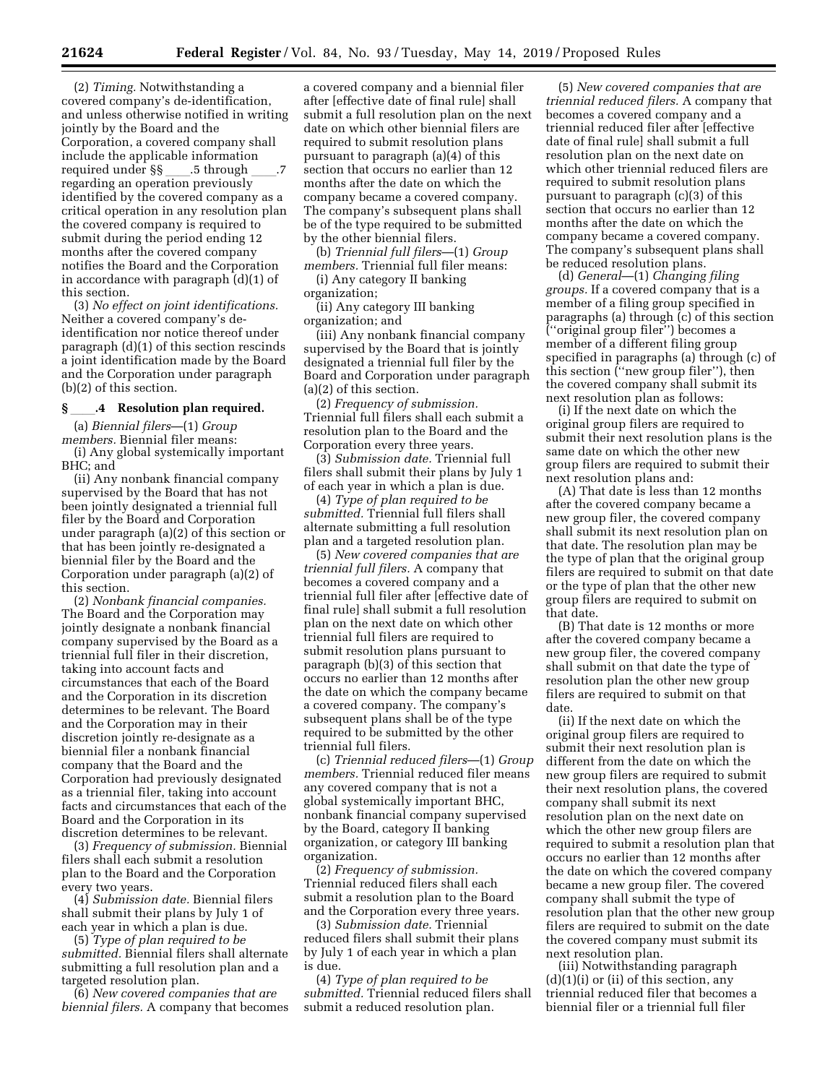(2) *Timing.* Notwithstanding a covered company's de-identification, and unless otherwise notified in writing jointly by the Board and the Corporation, a covered company shall include the applicable information required under §§ \_\_\_\_.5 through \_\_\_\_.7<br>regarding an operation previously identified by the covered company as a critical operation in any resolution plan the covered company is required to submit during the period ending 12 months after the covered company notifies the Board and the Corporation in accordance with paragraph (d)(1) of this section.

(3) *No effect on joint identifications.*  Neither a covered company's deidentification nor notice thereof under paragraph (d)(1) of this section rescinds a joint identification made by the Board and the Corporation under paragraph (b)(2) of this section.

### **§** ll**.4 Resolution plan required.**

(a) *Biennial filers*—(1) *Group members.* Biennial filer means: (i) Any global systemically important BHC; and

(ii) Any nonbank financial company supervised by the Board that has not been jointly designated a triennial full filer by the Board and Corporation under paragraph (a)(2) of this section or that has been jointly re-designated a biennial filer by the Board and the Corporation under paragraph (a)(2) of this section.

(2) *Nonbank financial companies.*  The Board and the Corporation may jointly designate a nonbank financial company supervised by the Board as a triennial full filer in their discretion, taking into account facts and circumstances that each of the Board and the Corporation in its discretion determines to be relevant. The Board and the Corporation may in their discretion jointly re-designate as a biennial filer a nonbank financial company that the Board and the Corporation had previously designated as a triennial filer, taking into account facts and circumstances that each of the Board and the Corporation in its discretion determines to be relevant.

(3) *Frequency of submission.* Biennial filers shall each submit a resolution plan to the Board and the Corporation every two years.

(4) *Submission date.* Biennial filers shall submit their plans by July 1 of each year in which a plan is due.

(5) *Type of plan required to be submitted.* Biennial filers shall alternate submitting a full resolution plan and a targeted resolution plan.

(6) *New covered companies that are biennial filers.* A company that becomes

a covered company and a biennial filer after [effective date of final rule] shall submit a full resolution plan on the next date on which other biennial filers are required to submit resolution plans pursuant to paragraph (a)(4) of this section that occurs no earlier than 12 months after the date on which the company became a covered company. The company's subsequent plans shall be of the type required to be submitted by the other biennial filers.

(b) *Triennial full filers*—(1) *Group members.* Triennial full filer means: (i) Any category II banking

organization;

(ii) Any category III banking organization; and

(iii) Any nonbank financial company supervised by the Board that is jointly designated a triennial full filer by the Board and Corporation under paragraph (a)(2) of this section.

(2) *Frequency of submission.*  Triennial full filers shall each submit a resolution plan to the Board and the Corporation every three years.

(3) *Submission date.* Triennial full filers shall submit their plans by July 1 of each year in which a plan is due.

(4) *Type of plan required to be submitted.* Triennial full filers shall alternate submitting a full resolution plan and a targeted resolution plan.

(5) *New covered companies that are triennial full filers.* A company that becomes a covered company and a triennial full filer after [effective date of final rule] shall submit a full resolution plan on the next date on which other triennial full filers are required to submit resolution plans pursuant to paragraph (b)(3) of this section that occurs no earlier than 12 months after the date on which the company became a covered company. The company's subsequent plans shall be of the type required to be submitted by the other triennial full filers.

(c) *Triennial reduced filers*—(1) *Group members.* Triennial reduced filer means any covered company that is not a global systemically important BHC, nonbank financial company supervised by the Board, category II banking organization, or category III banking organization.

(2) *Frequency of submission.*  Triennial reduced filers shall each submit a resolution plan to the Board and the Corporation every three years.

(3) *Submission date.* Triennial reduced filers shall submit their plans by July 1 of each year in which a plan is due.

(4) *Type of plan required to be submitted.* Triennial reduced filers shall submit a reduced resolution plan.

(5) *New covered companies that are triennial reduced filers.* A company that becomes a covered company and a triennial reduced filer after [effective date of final rule] shall submit a full resolution plan on the next date on which other triennial reduced filers are required to submit resolution plans pursuant to paragraph (c)(3) of this section that occurs no earlier than 12 months after the date on which the company became a covered company. The company's subsequent plans shall be reduced resolution plans.

(d) *General*—(1) *Changing filing groups.* If a covered company that is a member of a filing group specified in paragraphs (a) through (c) of this section (''original group filer'') becomes a member of a different filing group specified in paragraphs (a) through (c) of this section (''new group filer''), then the covered company shall submit its next resolution plan as follows:

(i) If the next date on which the original group filers are required to submit their next resolution plans is the same date on which the other new group filers are required to submit their next resolution plans and:

(A) That date is less than 12 months after the covered company became a new group filer, the covered company shall submit its next resolution plan on that date. The resolution plan may be the type of plan that the original group filers are required to submit on that date or the type of plan that the other new group filers are required to submit on that date.

(B) That date is 12 months or more after the covered company became a new group filer, the covered company shall submit on that date the type of resolution plan the other new group filers are required to submit on that date.

(ii) If the next date on which the original group filers are required to submit their next resolution plan is different from the date on which the new group filers are required to submit their next resolution plans, the covered company shall submit its next resolution plan on the next date on which the other new group filers are required to submit a resolution plan that occurs no earlier than 12 months after the date on which the covered company became a new group filer. The covered company shall submit the type of resolution plan that the other new group filers are required to submit on the date the covered company must submit its next resolution plan.

(iii) Notwithstanding paragraph  $(d)(1)(i)$  or (ii) of this section, any triennial reduced filer that becomes a biennial filer or a triennial full filer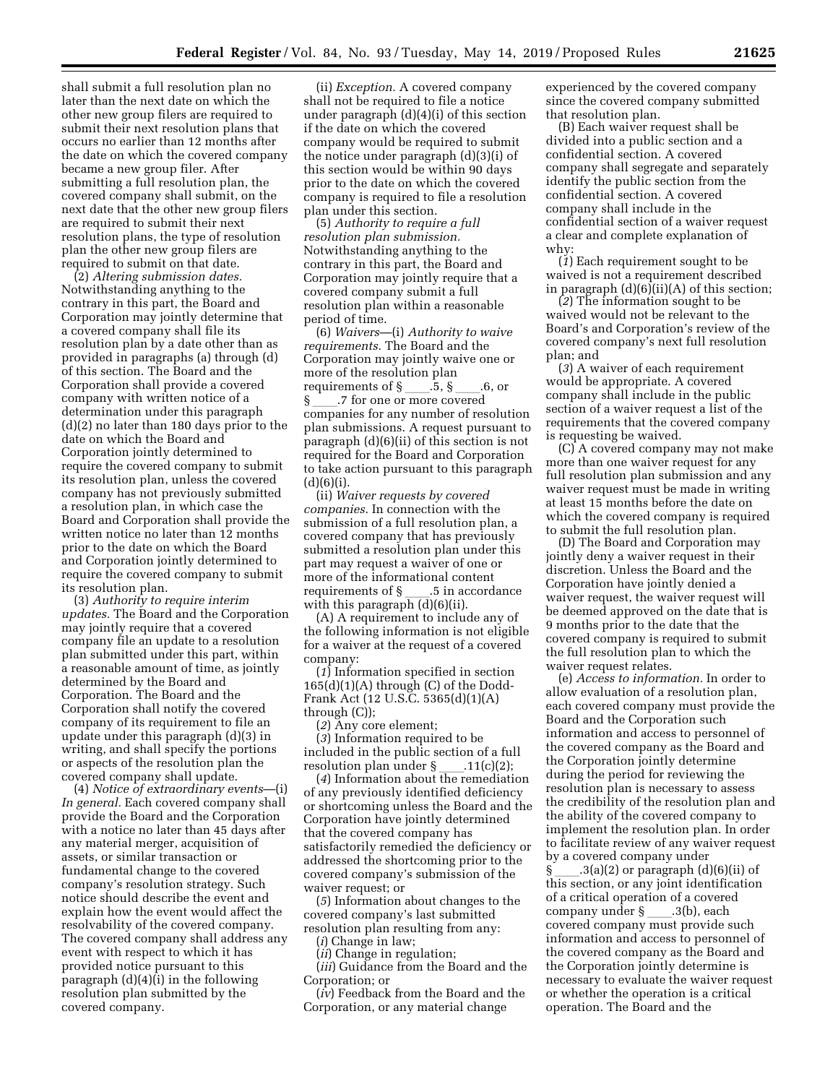shall submit a full resolution plan no later than the next date on which the other new group filers are required to submit their next resolution plans that occurs no earlier than 12 months after the date on which the covered company became a new group filer. After submitting a full resolution plan, the covered company shall submit, on the next date that the other new group filers are required to submit their next resolution plans, the type of resolution plan the other new group filers are required to submit on that date.

(2) *Altering submission dates.*  Notwithstanding anything to the contrary in this part, the Board and Corporation may jointly determine that a covered company shall file its resolution plan by a date other than as provided in paragraphs (a) through (d) of this section. The Board and the Corporation shall provide a covered company with written notice of a determination under this paragraph (d)(2) no later than 180 days prior to the date on which the Board and Corporation jointly determined to require the covered company to submit its resolution plan, unless the covered company has not previously submitted a resolution plan, in which case the Board and Corporation shall provide the written notice no later than 12 months prior to the date on which the Board and Corporation jointly determined to require the covered company to submit its resolution plan.

(3) *Authority to require interim updates.* The Board and the Corporation may jointly require that a covered company file an update to a resolution plan submitted under this part, within a reasonable amount of time, as jointly determined by the Board and Corporation. The Board and the Corporation shall notify the covered company of its requirement to file an update under this paragraph (d)(3) in writing, and shall specify the portions or aspects of the resolution plan the covered company shall update.

(4) *Notice of extraordinary events*—(i) *In general.* Each covered company shall provide the Board and the Corporation with a notice no later than 45 days after any material merger, acquisition of assets, or similar transaction or fundamental change to the covered company's resolution strategy. Such notice should describe the event and explain how the event would affect the resolvability of the covered company. The covered company shall address any event with respect to which it has provided notice pursuant to this paragraph (d)(4)(i) in the following resolution plan submitted by the covered company.

(ii) *Exception.* A covered company shall not be required to file a notice under paragraph (d)(4)(i) of this section if the date on which the covered company would be required to submit the notice under paragraph (d)(3)(i) of this section would be within 90 days prior to the date on which the covered company is required to file a resolution plan under this section.

(5) *Authority to require a full resolution plan submission.*  Notwithstanding anything to the contrary in this part, the Board and Corporation may jointly require that a covered company submit a full resolution plan within a reasonable period of time.

(6) *Waivers*—(i) *Authority to waive requirements.* The Board and the Corporation may jointly waive one or more of the resolution plan requirements of §\_\_\_\_.5, §\_\_\_\_.6, or<br>§ 7 for one or more covered § \_\_\_\_.7 for one or more covered<br>companies for any number of res companies for any number of resolution plan submissions. A request pursuant to paragraph (d)(6)(ii) of this section is not required for the Board and Corporation to take action pursuant to this paragraph  $(d)(6)(i).$ 

(ii) *Waiver requests by covered companies.* In connection with the submission of a full resolution plan, a covered company that has previously submitted a resolution plan under this part may request a waiver of one or more of the informational content requirements of § \_\_\_\_.5 in accordance<br>with this paragraph (d)(6)(ii).

(A) A requirement to include any of the following information is not eligible for a waiver at the request of a covered company:

(*1*) Information specified in section  $165(d)(1)(A)$  through (C) of the Dodd-Frank Act (12 U.S.C. 5365(d)(1)(A) through (C));

(*2*) Any core element;

(*3*) Information required to be included in the public section of a full

resolution plan under §<sub>\_\_\_\_\_</sub>.11(c)(2);<br>(4) Information about the remediation of any previously identified deficiency or shortcoming unless the Board and the Corporation have jointly determined that the covered company has satisfactorily remedied the deficiency or addressed the shortcoming prior to the covered company's submission of the waiver request; or

(*5*) Information about changes to the covered company's last submitted resolution plan resulting from any:

(*i*) Change in law;

(*ii*) Change in regulation;

(*iii*) Guidance from the Board and the Corporation; or

(*iv*) Feedback from the Board and the Corporation, or any material change

experienced by the covered company since the covered company submitted that resolution plan.

(B) Each waiver request shall be divided into a public section and a confidential section. A covered company shall segregate and separately identify the public section from the confidential section. A covered company shall include in the confidential section of a waiver request a clear and complete explanation of why:

(*1*) Each requirement sought to be waived is not a requirement described in paragraph  $(d)(6)(ii)(A)$  of this section;

(*2*) The information sought to be waived would not be relevant to the Board's and Corporation's review of the covered company's next full resolution plan; and

(*3*) A waiver of each requirement would be appropriate. A covered company shall include in the public section of a waiver request a list of the requirements that the covered company is requesting be waived.

(C) A covered company may not make more than one waiver request for any full resolution plan submission and any waiver request must be made in writing at least 15 months before the date on which the covered company is required to submit the full resolution plan.

(D) The Board and Corporation may jointly deny a waiver request in their discretion. Unless the Board and the Corporation have jointly denied a waiver request, the waiver request will be deemed approved on the date that is 9 months prior to the date that the covered company is required to submit the full resolution plan to which the waiver request relates.

(e) *Access to information.* In order to allow evaluation of a resolution plan, each covered company must provide the Board and the Corporation such information and access to personnel of the covered company as the Board and the Corporation jointly determine during the period for reviewing the resolution plan is necessary to assess the credibility of the resolution plan and the ability of the covered company to implement the resolution plan. In order to facilitate review of any waiver request by a covered company under  $\lceil 3(a)(2) \rceil$  or paragraph  $(d)(6)(ii)$  of this section, or any joint identification of a critical operation of a covered<br>company under §\_\_\_\_\_.3(b), each company under § \_\_\_\_.3(b), each<br>covered company must provide such information and access to personnel of the covered company as the Board and the Corporation jointly determine is necessary to evaluate the waiver request or whether the operation is a critical operation. The Board and the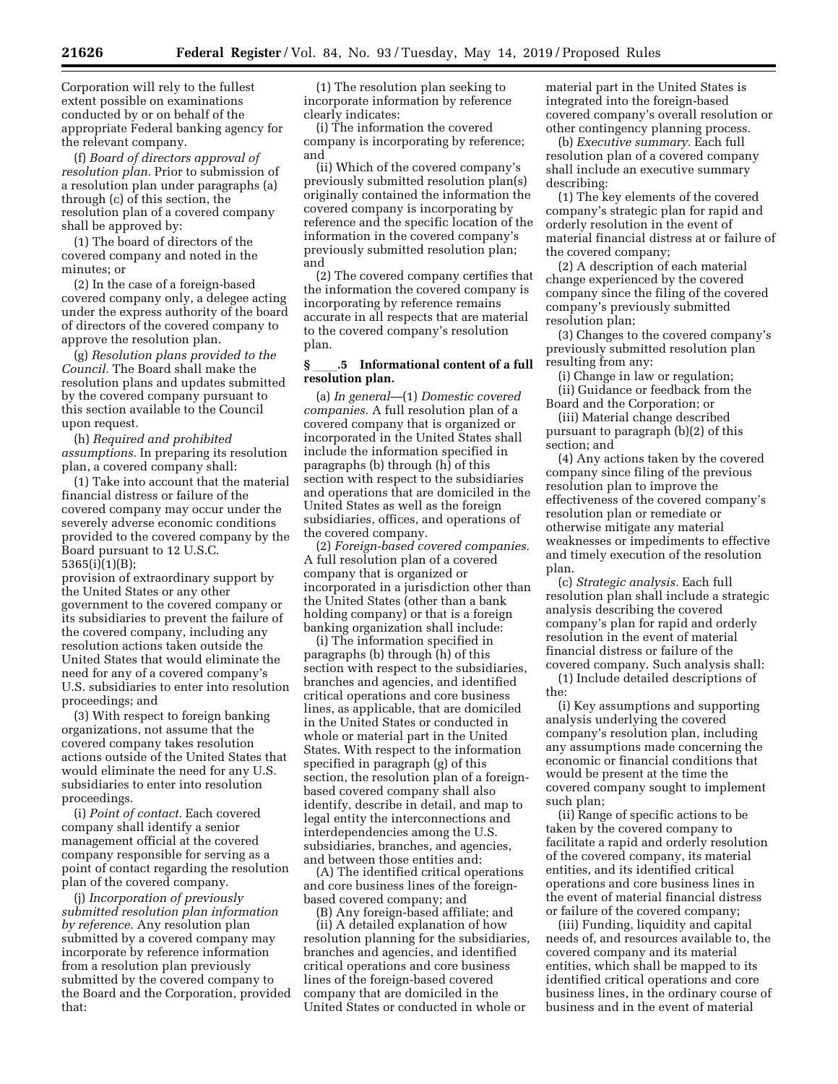Corporation will rely to the fullest extent possible on examinations conducted by or on behalf of the appropriate Federal banking agency for the relevant company.

(f) *Board of directors approval of resolution plan.* Prior to submission of a resolution plan under paragraphs (a) through (c) of this section, the resolution plan of a covered company shall be approved by:

(1) The board of directors of the covered company and noted in the minutes; or

(2) In the case of a foreign-based covered company only, a delegee acting under the express authority of the board of directors of the covered company to approve the resolution plan.

(g) *Resolution plans provided to the Council.* The Board shall make the resolution plans and updates submitted by the covered company pursuant to this section available to the Council upon request.

(h) *Required and prohibited assumptions.* In preparing its resolution plan, a covered company shall:

(1) Take into account that the material financial distress or failure of the covered company may occur under the severely adverse economic conditions provided to the covered company by the Board pursuant to 12 U.S.C. 5365(i)(1)(B);

provision of extraordinary support by the United States or any other government to the covered company or its subsidiaries to prevent the failure of the covered company, including any resolution actions taken outside the United States that would eliminate the need for any of a covered company's U.S. subsidiaries to enter into resolution proceedings; and

(3) With respect to foreign banking organizations, not assume that the covered company takes resolution actions outside of the United States that would eliminate the need for any U.S. subsidiaries to enter into resolution proceedings.

(i) *Point of contact.* Each covered company shall identify a senior management official at the covered company responsible for serving as a point of contact regarding the resolution plan of the covered company.

(j) *Incorporation of previously submitted resolution plan information by reference.* Any resolution plan submitted by a covered company may incorporate by reference information from a resolution plan previously submitted by the covered company to the Board and the Corporation, provided that:

(1) The resolution plan seeking to incorporate information by reference clearly indicates:

(i) The information the covered company is incorporating by reference; and

(ii) Which of the covered company's previously submitted resolution plan(s) originally contained the information the covered company is incorporating by reference and the specific location of the information in the covered company's previously submitted resolution plan; and

(2) The covered company certifies that the information the covered company is incorporating by reference remains accurate in all respects that are material to the covered company's resolution plan.

## **§** ll**.5 Informational content of a full resolution plan.**

(a) *In general*—(1) *Domestic covered companies.* A full resolution plan of a covered company that is organized or incorporated in the United States shall include the information specified in paragraphs (b) through (h) of this section with respect to the subsidiaries and operations that are domiciled in the United States as well as the foreign subsidiaries, offices, and operations of the covered company.

(2) *Foreign-based covered companies.*  A full resolution plan of a covered company that is organized or incorporated in a jurisdiction other than the United States (other than a bank holding company) or that is a foreign banking organization shall include:

(i) The information specified in paragraphs (b) through (h) of this section with respect to the subsidiaries, branches and agencies, and identified critical operations and core business lines, as applicable, that are domiciled in the United States or conducted in whole or material part in the United States. With respect to the information specified in paragraph (g) of this section, the resolution plan of a foreignbased covered company shall also identify, describe in detail, and map to legal entity the interconnections and interdependencies among the U.S. subsidiaries, branches, and agencies, and between those entities and:

(A) The identified critical operations and core business lines of the foreignbased covered company; and

(B) Any foreign-based affiliate; and (ii) A detailed explanation of how resolution planning for the subsidiaries, branches and agencies, and identified critical operations and core business lines of the foreign-based covered company that are domiciled in the United States or conducted in whole or

material part in the United States is integrated into the foreign-based covered company's overall resolution or other contingency planning process.

(b) *Executive summary.* Each full resolution plan of a covered company shall include an executive summary describing:

(1) The key elements of the covered company's strategic plan for rapid and orderly resolution in the event of material financial distress at or failure of the covered company;

(2) A description of each material change experienced by the covered company since the filing of the covered company's previously submitted resolution plan;

(3) Changes to the covered company's previously submitted resolution plan resulting from any:

(i) Change in law or regulation;

(ii) Guidance or feedback from the Board and the Corporation; or

(iii) Material change described pursuant to paragraph (b)(2) of this section; and

(4) Any actions taken by the covered company since filing of the previous resolution plan to improve the effectiveness of the covered company's resolution plan or remediate or otherwise mitigate any material weaknesses or impediments to effective and timely execution of the resolution plan.

(c) *Strategic analysis.* Each full resolution plan shall include a strategic analysis describing the covered company's plan for rapid and orderly resolution in the event of material financial distress or failure of the covered company. Such analysis shall:

(1) Include detailed descriptions of the:

(i) Key assumptions and supporting analysis underlying the covered company's resolution plan, including any assumptions made concerning the economic or financial conditions that would be present at the time the covered company sought to implement such plan;

(ii) Range of specific actions to be taken by the covered company to facilitate a rapid and orderly resolution of the covered company, its material entities, and its identified critical operations and core business lines in the event of material financial distress or failure of the covered company;

(iii) Funding, liquidity and capital needs of, and resources available to, the covered company and its material entities, which shall be mapped to its identified critical operations and core business lines, in the ordinary course of business and in the event of material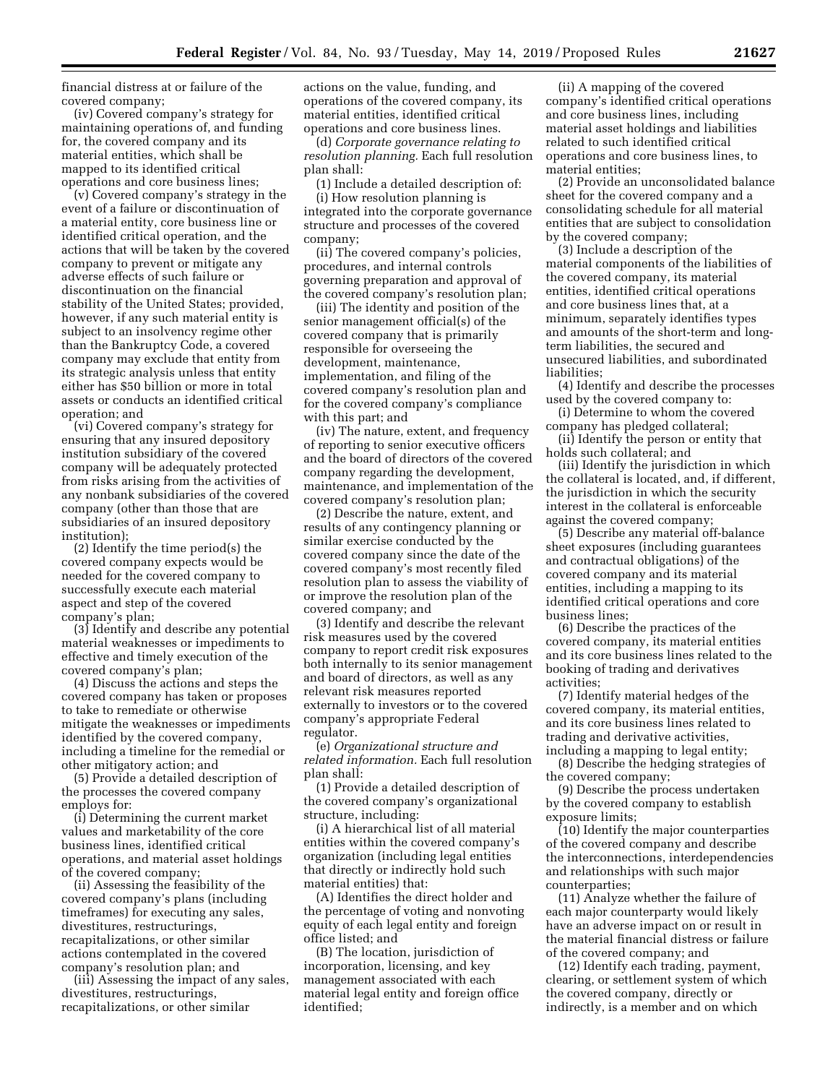financial distress at or failure of the covered company;

(iv) Covered company's strategy for maintaining operations of, and funding for, the covered company and its material entities, which shall be mapped to its identified critical operations and core business lines;

(v) Covered company's strategy in the event of a failure or discontinuation of a material entity, core business line or identified critical operation, and the actions that will be taken by the covered company to prevent or mitigate any adverse effects of such failure or discontinuation on the financial stability of the United States; provided, however, if any such material entity is subject to an insolvency regime other than the Bankruptcy Code, a covered company may exclude that entity from its strategic analysis unless that entity either has \$50 billion or more in total assets or conducts an identified critical operation; and

(vi) Covered company's strategy for ensuring that any insured depository institution subsidiary of the covered company will be adequately protected from risks arising from the activities of any nonbank subsidiaries of the covered company (other than those that are subsidiaries of an insured depository institution);

(2) Identify the time period(s) the covered company expects would be needed for the covered company to successfully execute each material aspect and step of the covered company's plan;

(3) Identify and describe any potential material weaknesses or impediments to effective and timely execution of the covered company's plan;

(4) Discuss the actions and steps the covered company has taken or proposes to take to remediate or otherwise mitigate the weaknesses or impediments identified by the covered company, including a timeline for the remedial or other mitigatory action; and

(5) Provide a detailed description of the processes the covered company employs for:

(i) Determining the current market values and marketability of the core business lines, identified critical operations, and material asset holdings of the covered company;

(ii) Assessing the feasibility of the covered company's plans (including timeframes) for executing any sales, divestitures, restructurings, recapitalizations, or other similar actions contemplated in the covered company's resolution plan; and

(iii) Assessing the impact of any sales, divestitures, restructurings, recapitalizations, or other similar

actions on the value, funding, and operations of the covered company, its material entities, identified critical operations and core business lines.

(d) *Corporate governance relating to resolution planning.* Each full resolution plan shall:

(1) Include a detailed description of: (i) How resolution planning is integrated into the corporate governance structure and processes of the covered company;

(ii) The covered company's policies, procedures, and internal controls governing preparation and approval of the covered company's resolution plan;

(iii) The identity and position of the senior management official(s) of the covered company that is primarily responsible for overseeing the development, maintenance, implementation, and filing of the covered company's resolution plan and for the covered company's compliance with this part; and

(iv) The nature, extent, and frequency of reporting to senior executive officers and the board of directors of the covered company regarding the development, maintenance, and implementation of the covered company's resolution plan;

(2) Describe the nature, extent, and results of any contingency planning or similar exercise conducted by the covered company since the date of the covered company's most recently filed resolution plan to assess the viability of or improve the resolution plan of the covered company; and

(3) Identify and describe the relevant risk measures used by the covered company to report credit risk exposures both internally to its senior management and board of directors, as well as any relevant risk measures reported externally to investors or to the covered company's appropriate Federal regulator.

(e) *Organizational structure and related information.* Each full resolution plan shall:

(1) Provide a detailed description of the covered company's organizational structure, including:

(i) A hierarchical list of all material entities within the covered company's organization (including legal entities that directly or indirectly hold such material entities) that:

(A) Identifies the direct holder and the percentage of voting and nonvoting equity of each legal entity and foreign office listed; and

(B) The location, jurisdiction of incorporation, licensing, and key management associated with each material legal entity and foreign office identified;

(ii) A mapping of the covered company's identified critical operations and core business lines, including material asset holdings and liabilities related to such identified critical operations and core business lines, to material entities;

(2) Provide an unconsolidated balance sheet for the covered company and a consolidating schedule for all material entities that are subject to consolidation by the covered company;

(3) Include a description of the material components of the liabilities of the covered company, its material entities, identified critical operations and core business lines that, at a minimum, separately identifies types and amounts of the short-term and longterm liabilities, the secured and unsecured liabilities, and subordinated liabilities<sup>.</sup>

(4) Identify and describe the processes used by the covered company to:

(i) Determine to whom the covered company has pledged collateral;

(ii) Identify the person or entity that holds such collateral; and

(iii) Identify the jurisdiction in which the collateral is located, and, if different, the jurisdiction in which the security interest in the collateral is enforceable against the covered company;

(5) Describe any material off-balance sheet exposures (including guarantees and contractual obligations) of the covered company and its material entities, including a mapping to its identified critical operations and core business lines;

(6) Describe the practices of the covered company, its material entities and its core business lines related to the booking of trading and derivatives activities;

(7) Identify material hedges of the covered company, its material entities, and its core business lines related to trading and derivative activities, including a mapping to legal entity;

(8) Describe the hedging strategies of the covered company;

(9) Describe the process undertaken by the covered company to establish exposure limits;

(10) Identify the major counterparties of the covered company and describe the interconnections, interdependencies and relationships with such major counterparties;

(11) Analyze whether the failure of each major counterparty would likely have an adverse impact on or result in the material financial distress or failure of the covered company; and

(12) Identify each trading, payment, clearing, or settlement system of which the covered company, directly or indirectly, is a member and on which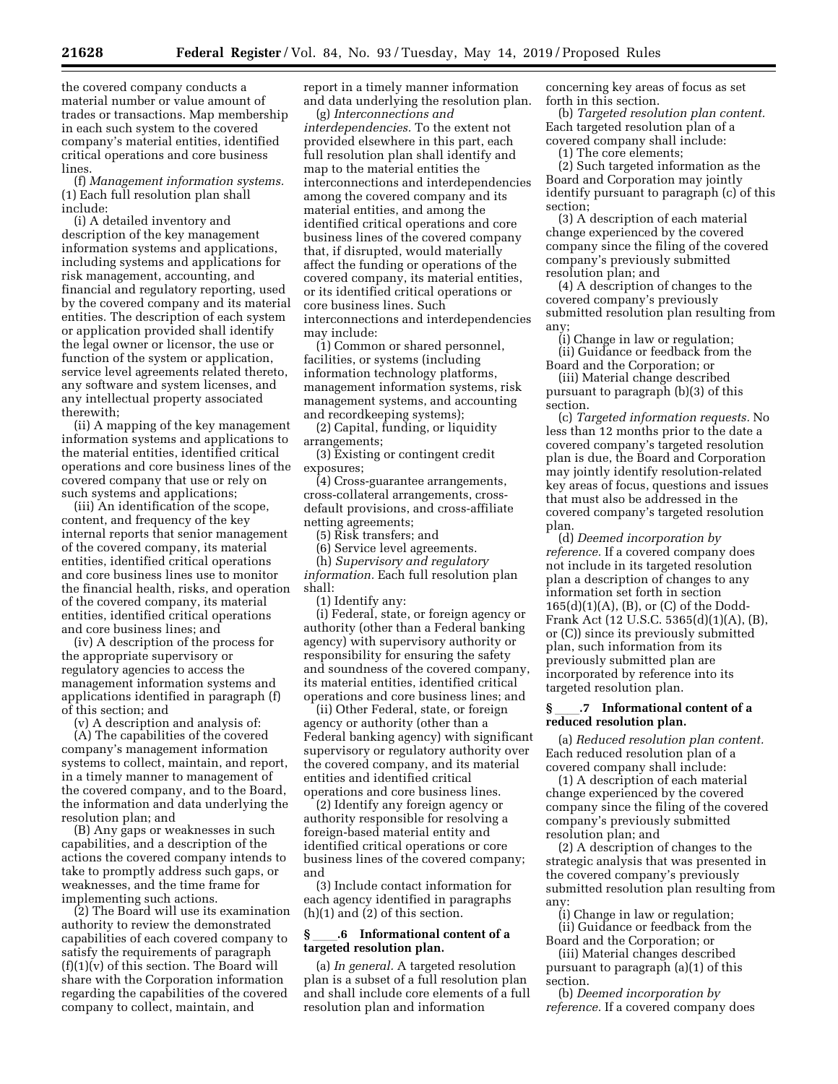the covered company conducts a material number or value amount of trades or transactions. Map membership in each such system to the covered company's material entities, identified critical operations and core business lines.

(f) *Management information systems.*  (1) Each full resolution plan shall include:

(i) A detailed inventory and description of the key management information systems and applications, including systems and applications for risk management, accounting, and financial and regulatory reporting, used by the covered company and its material entities. The description of each system or application provided shall identify the legal owner or licensor, the use or function of the system or application, service level agreements related thereto, any software and system licenses, and any intellectual property associated therewith;

(ii) A mapping of the key management information systems and applications to the material entities, identified critical operations and core business lines of the covered company that use or rely on such systems and applications;

(iii) An identification of the scope, content, and frequency of the key internal reports that senior management of the covered company, its material entities, identified critical operations and core business lines use to monitor the financial health, risks, and operation of the covered company, its material entities, identified critical operations and core business lines; and

(iv) A description of the process for the appropriate supervisory or regulatory agencies to access the management information systems and applications identified in paragraph (f) of this section; and

(v) A description and analysis of:

(A) The capabilities of the covered company's management information systems to collect, maintain, and report, in a timely manner to management of the covered company, and to the Board, the information and data underlying the resolution plan; and

(B) Any gaps or weaknesses in such capabilities, and a description of the actions the covered company intends to take to promptly address such gaps, or weaknesses, and the time frame for implementing such actions.

(2) The Board will use its examination authority to review the demonstrated capabilities of each covered company to satisfy the requirements of paragraph (f)(1)(v) of this section. The Board will share with the Corporation information regarding the capabilities of the covered company to collect, maintain, and

report in a timely manner information and data underlying the resolution plan.

(g) *Interconnections and interdependencies.* To the extent not provided elsewhere in this part, each full resolution plan shall identify and map to the material entities the interconnections and interdependencies among the covered company and its material entities, and among the identified critical operations and core business lines of the covered company that, if disrupted, would materially affect the funding or operations of the covered company, its material entities, or its identified critical operations or core business lines. Such interconnections and interdependencies may include:

(1) Common or shared personnel, facilities, or systems (including information technology platforms, management information systems, risk management systems, and accounting and recordkeeping systems);

(2) Capital, funding, or liquidity arrangements;

(3) Existing or contingent credit exposures;

(4) Cross-guarantee arrangements, cross-collateral arrangements, crossdefault provisions, and cross-affiliate netting agreements;

(5) Risk transfers; and

(6) Service level agreements.

(h) *Supervisory and regulatory information.* Each full resolution plan shall:

(1) Identify any:

(i) Federal, state, or foreign agency or authority (other than a Federal banking agency) with supervisory authority or responsibility for ensuring the safety and soundness of the covered company, its material entities, identified critical operations and core business lines; and

(ii) Other Federal, state, or foreign agency or authority (other than a Federal banking agency) with significant supervisory or regulatory authority over the covered company, and its material entities and identified critical operations and core business lines.

(2) Identify any foreign agency or authority responsible for resolving a foreign-based material entity and identified critical operations or core business lines of the covered company; and

(3) Include contact information for each agency identified in paragraphs (h)(1) and (2) of this section.

### **§** ll**.6 Informational content of a targeted resolution plan.**

(a) *In general.* A targeted resolution plan is a subset of a full resolution plan and shall include core elements of a full resolution plan and information

concerning key areas of focus as set forth in this section.

(b) *Targeted resolution plan content.*  Each targeted resolution plan of a covered company shall include:

(1) The core elements;

(2) Such targeted information as the Board and Corporation may jointly identify pursuant to paragraph (c) of this section;

(3) A description of each material change experienced by the covered company since the filing of the covered company's previously submitted resolution plan; and

(4) A description of changes to the covered company's previously submitted resolution plan resulting from any;

(i) Change in law or regulation; (ii) Guidance or feedback from the Board and the Corporation; or

(iii) Material change described pursuant to paragraph (b)(3) of this section.

(c) *Targeted information requests.* No less than 12 months prior to the date a covered company's targeted resolution plan is due, the Board and Corporation may jointly identify resolution-related key areas of focus, questions and issues that must also be addressed in the covered company's targeted resolution plan.

(d) *Deemed incorporation by reference.* If a covered company does not include in its targeted resolution plan a description of changes to any information set forth in section 165(d)(1)(A), (B), or (C) of the Dodd-Frank Act (12 U.S.C. 5365(d)(1)(A), (B), or (C)) since its previously submitted plan, such information from its previously submitted plan are incorporated by reference into its targeted resolution plan.

### **§** ll**.7 Informational content of a reduced resolution plan.**

(a) *Reduced resolution plan content.*  Each reduced resolution plan of a covered company shall include:

(1) A description of each material change experienced by the covered company since the filing of the covered company's previously submitted resolution plan; and

(2) A description of changes to the strategic analysis that was presented in the covered company's previously submitted resolution plan resulting from any:

(i) Change in law or regulation; (ii) Guidance or feedback from the

Board and the Corporation; or (iii) Material changes described pursuant to paragraph (a)(1) of this section.

(b) *Deemed incorporation by reference.* If a covered company does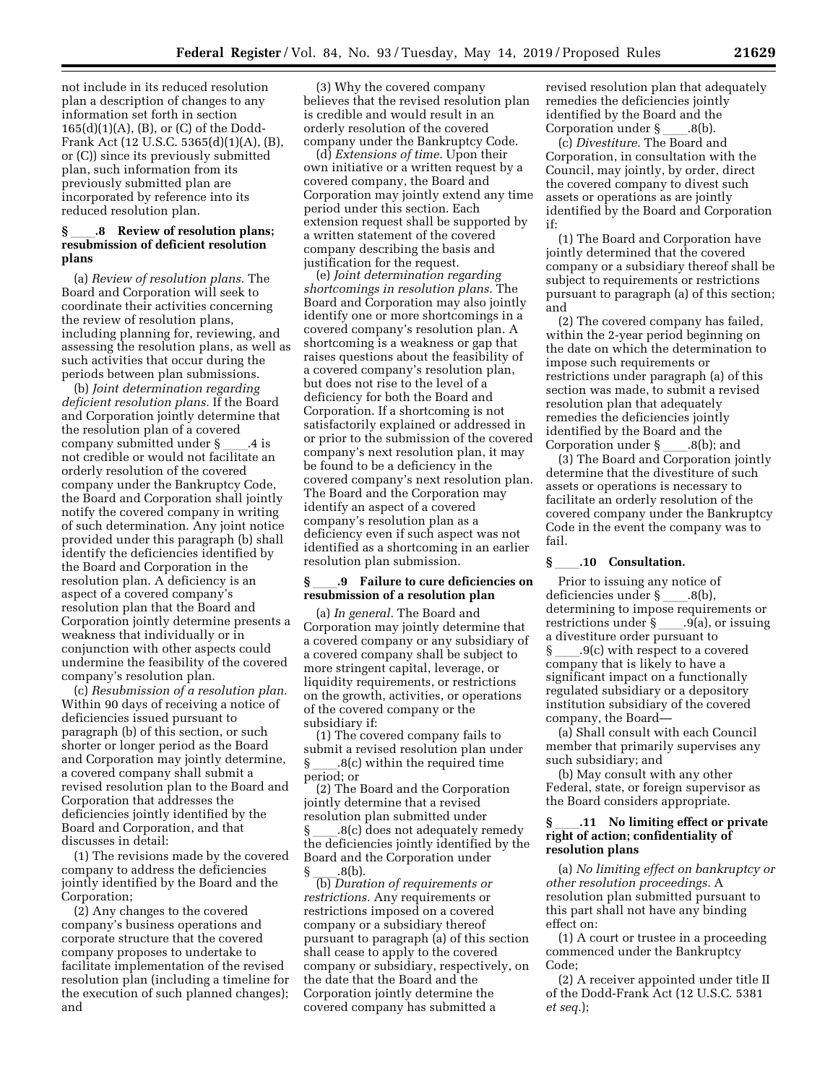not include in its reduced resolution plan a description of changes to any information set forth in section 165(d)(1)(A), (B), or (C) of the Dodd-Frank Act (12 U.S.C. 5365(d)(1)(A), (B), or (C)) since its previously submitted plan, such information from its previously submitted plan are incorporated by reference into its reduced resolution plan.

# **§** ll**.8 Review of resolution plans; resubmission of deficient resolution plans**

(a) *Review of resolution plans.* The Board and Corporation will seek to coordinate their activities concerning the review of resolution plans, including planning for, reviewing, and assessing the resolution plans, as well as such activities that occur during the periods between plan submissions.

(b) *Joint determination regarding deficient resolution plans.* If the Board and Corporation jointly determine that the resolution plan of a covered company submitted under § \_\_\_\_.4 is<br>not credible or would not facilitate an orderly resolution of the covered company under the Bankruptcy Code, the Board and Corporation shall jointly notify the covered company in writing of such determination. Any joint notice provided under this paragraph (b) shall identify the deficiencies identified by the Board and Corporation in the resolution plan. A deficiency is an aspect of a covered company's resolution plan that the Board and Corporation jointly determine presents a weakness that individually or in conjunction with other aspects could undermine the feasibility of the covered company's resolution plan.

(c) *Resubmission of a resolution plan.*  Within 90 days of receiving a notice of deficiencies issued pursuant to paragraph (b) of this section, or such shorter or longer period as the Board and Corporation may jointly determine, a covered company shall submit a revised resolution plan to the Board and Corporation that addresses the deficiencies jointly identified by the Board and Corporation, and that discusses in detail:

(1) The revisions made by the covered company to address the deficiencies jointly identified by the Board and the Corporation;

(2) Any changes to the covered company's business operations and corporate structure that the covered company proposes to undertake to facilitate implementation of the revised resolution plan (including a timeline for the execution of such planned changes); and

(3) Why the covered company believes that the revised resolution plan is credible and would result in an orderly resolution of the covered company under the Bankruptcy Code.

(d) *Extensions of time.* Upon their own initiative or a written request by a covered company, the Board and Corporation may jointly extend any time period under this section. Each extension request shall be supported by a written statement of the covered company describing the basis and justification for the request.

(e) *Joint determination regarding shortcomings in resolution plans.* The Board and Corporation may also jointly identify one or more shortcomings in a covered company's resolution plan. A shortcoming is a weakness or gap that raises questions about the feasibility of a covered company's resolution plan, but does not rise to the level of a deficiency for both the Board and Corporation. If a shortcoming is not satisfactorily explained or addressed in or prior to the submission of the covered company's next resolution plan, it may be found to be a deficiency in the covered company's next resolution plan. The Board and the Corporation may identify an aspect of a covered company's resolution plan as a deficiency even if such aspect was not identified as a shortcoming in an earlier resolution plan submission.

### **§** ll**.9 Failure to cure deficiencies on resubmission of a resolution plan**

(a) *In general.* The Board and Corporation may jointly determine that a covered company or any subsidiary of a covered company shall be subject to more stringent capital, leverage, or liquidity requirements, or restrictions on the growth, activities, or operations of the covered company or the subsidiary if:

(1) The covered company fails to submit a revised resolution plan under  $.8(c)$  within the required time period; or

(2) The Board and the Corporation jointly determine that a revised resolution plan submitted under .8(c) does not adequately remedy the deficiencies jointly identified by the Board and the Corporation under

§ \_\_\_.8(b).<br>(b) *Duration of requirements or restrictions.* Any requirements or restrictions imposed on a covered company or a subsidiary thereof pursuant to paragraph (a) of this section shall cease to apply to the covered company or subsidiary, respectively, on the date that the Board and the Corporation jointly determine the covered company has submitted a

revised resolution plan that adequately remedies the deficiencies jointly identified by the Board and the

Corporation under §<sub>\_\_\_\_</sub>.8(b).<br>(c) *Divestiture.* The Board and Corporation, in consultation with the Council, may jointly, by order, direct the covered company to divest such assets or operations as are jointly identified by the Board and Corporation if:

(1) The Board and Corporation have jointly determined that the covered company or a subsidiary thereof shall be subject to requirements or restrictions pursuant to paragraph (a) of this section; and

(2) The covered company has failed, within the 2-year period beginning on the date on which the determination to impose such requirements or restrictions under paragraph (a) of this section was made, to submit a revised resolution plan that adequately remedies the deficiencies jointly identified by the Board and the<br>Corporation under § .8(b); and

Corporation under § \_\_\_\_.8(b); and<br>(3) The Board and Corporation jointly determine that the divestiture of such assets or operations is necessary to facilitate an orderly resolution of the covered company under the Bankruptcy Code in the event the company was to fail.

# **§** ll**.10 Consultation.**

Prior to issuing any notice of deficiencies under § \_\_\_\_.8(b),<br>determining to impose requirements or restrictions under § \_\_\_\_.9(a), or issuing<br>a divestiture order pursuant to  $\S$  .9(c) with respect to a covered company that is likely to have a significant impact on a functionally regulated subsidiary or a depository institution subsidiary of the covered company, the Board—

(a) Shall consult with each Council member that primarily supervises any such subsidiary; and

(b) May consult with any other Federal, state, or foreign supervisor as the Board considers appropriate.

### **§** ll**.11 No limiting effect or private right of action; confidentiality of resolution plans**

(a) *No limiting effect on bankruptcy or other resolution proceedings.* A resolution plan submitted pursuant to this part shall not have any binding effect on:

(1) A court or trustee in a proceeding commenced under the Bankruptcy Code;

(2) A receiver appointed under title II of the Dodd-Frank Act (12 U.S.C. 5381 *et seq.*);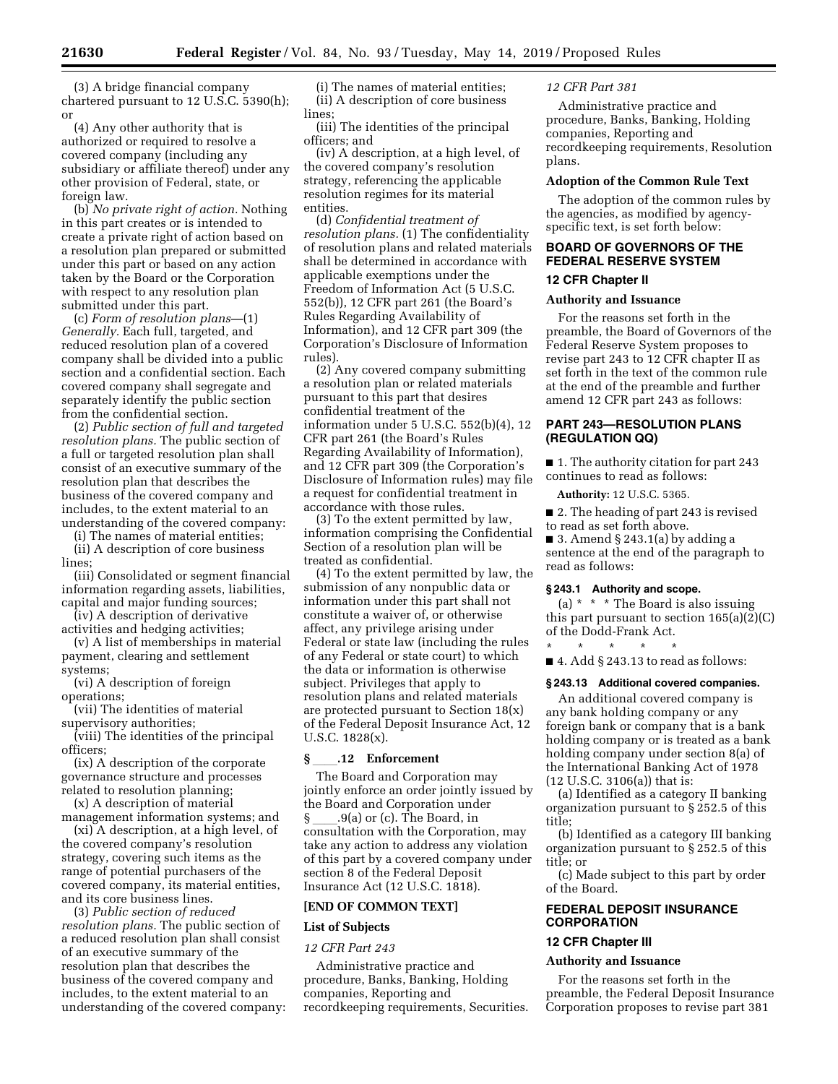(3) A bridge financial company chartered pursuant to 12 U.S.C. 5390(h); or

(4) Any other authority that is authorized or required to resolve a covered company (including any subsidiary or affiliate thereof) under any other provision of Federal, state, or foreign law.

(b) *No private right of action.* Nothing in this part creates or is intended to create a private right of action based on a resolution plan prepared or submitted under this part or based on any action taken by the Board or the Corporation with respect to any resolution plan submitted under this part.

(c) *Form of resolution plans—*(1) *Generally.* Each full, targeted, and reduced resolution plan of a covered company shall be divided into a public section and a confidential section. Each covered company shall segregate and separately identify the public section from the confidential section.

(2) *Public section of full and targeted resolution plans.* The public section of a full or targeted resolution plan shall consist of an executive summary of the resolution plan that describes the business of the covered company and includes, to the extent material to an understanding of the covered company:

(i) The names of material entities;

(ii) A description of core business lines;

(iii) Consolidated or segment financial information regarding assets, liabilities, capital and major funding sources;

(iv) A description of derivative activities and hedging activities;

(v) A list of memberships in material payment, clearing and settlement systems;

(vi) A description of foreign operations;

(vii) The identities of material supervisory authorities;

(viii) The identities of the principal officers;

(ix) A description of the corporate governance structure and processes related to resolution planning;

(x) A description of material management information systems; and

(xi) A description, at a high level, of the covered company's resolution strategy, covering such items as the range of potential purchasers of the covered company, its material entities, and its core business lines.

(3) *Public section of reduced resolution plans.* The public section of a reduced resolution plan shall consist of an executive summary of the resolution plan that describes the business of the covered company and includes, to the extent material to an understanding of the covered company:

(i) The names of material entities; (ii) A description of core business lines;

(iii) The identities of the principal officers; and

(iv) A description, at a high level, of the covered company's resolution strategy, referencing the applicable resolution regimes for its material entities.

(d) *Confidential treatment of resolution plans.* (1) The confidentiality of resolution plans and related materials shall be determined in accordance with applicable exemptions under the Freedom of Information Act (5 U.S.C. 552(b)), 12 CFR part 261 (the Board's Rules Regarding Availability of Information), and 12 CFR part 309 (the Corporation's Disclosure of Information rules).

(2) Any covered company submitting a resolution plan or related materials pursuant to this part that desires confidential treatment of the information under 5 U.S.C. 552(b)(4), 12 CFR part 261 (the Board's Rules Regarding Availability of Information), and 12 CFR part 309 (the Corporation's Disclosure of Information rules) may file a request for confidential treatment in accordance with those rules.

(3) To the extent permitted by law, information comprising the Confidential Section of a resolution plan will be treated as confidential.

(4) To the extent permitted by law, the submission of any nonpublic data or information under this part shall not constitute a waiver of, or otherwise affect, any privilege arising under Federal or state law (including the rules of any Federal or state court) to which the data or information is otherwise subject. Privileges that apply to resolution plans and related materials are protected pursuant to Section 18(x) of the Federal Deposit Insurance Act, 12 U.S.C. 1828(x).

# **§** ll**.12 Enforcement**

The Board and Corporation may jointly enforce an order jointly issued by the Board and Corporation under § \_\_\_\_.9(a) or (c). The Board, in consultation with the Corporation, may take any action to address any violation of this part by a covered company under section 8 of the Federal Deposit Insurance Act (12 U.S.C. 1818).

### **[END OF COMMON TEXT]**

### **List of Subjects**

### *12 CFR Part 243*

Administrative practice and procedure, Banks, Banking, Holding companies, Reporting and recordkeeping requirements, Securities.

### *12 CFR Part 381*

Administrative practice and procedure, Banks, Banking, Holding companies, Reporting and recordkeeping requirements, Resolution plans.

### **Adoption of the Common Rule Text**

The adoption of the common rules by the agencies, as modified by agencyspecific text, is set forth below:

# **BOARD OF GOVERNORS OF THE FEDERAL RESERVE SYSTEM**

# **12 CFR Chapter II**

# **Authority and Issuance**

For the reasons set forth in the preamble, the Board of Governors of the Federal Reserve System proposes to revise part 243 to 12 CFR chapter II as set forth in the text of the common rule at the end of the preamble and further amend 12 CFR part 243 as follows:

## **PART 243—RESOLUTION PLANS (REGULATION QQ)**

■ 1. The authority citation for part 243 continues to read as follows:

**Authority:** 12 U.S.C. 5365.

■ 2. The heading of part 243 is revised

to read as set forth above. ■ 3. Amend § 243.1(a) by adding a sentence at the end of the paragraph to read as follows:

### **§ 243.1 Authority and scope.**

(a) \* \* \* The Board is also issuing this part pursuant to section 165(a)(2)(C) of the Dodd-Frank Act. \* \* \* \* \*

 $\blacksquare$  4. Add § 243.13 to read as follows:

#### **§ 243.13 Additional covered companies.**

An additional covered company is any bank holding company or any foreign bank or company that is a bank holding company or is treated as a bank holding company under section 8(a) of the International Banking Act of 1978 (12 U.S.C. 3106(a)) that is:

(a) Identified as a category II banking organization pursuant to § 252.5 of this title;

(b) Identified as a category III banking organization pursuant to § 252.5 of this title; or

(c) Made subject to this part by order of the Board.

# **FEDERAL DEPOSIT INSURANCE CORPORATION**

# **12 CFR Chapter III**

### **Authority and Issuance**

For the reasons set forth in the preamble, the Federal Deposit Insurance Corporation proposes to revise part 381